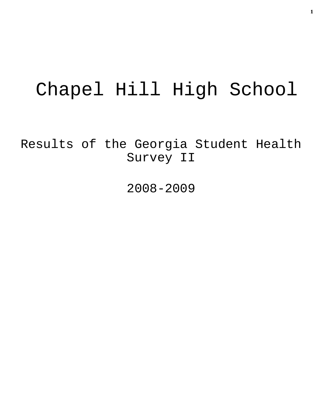# Chapel Hill High School

Results of the Georgia Student Health Survey II

2008-2009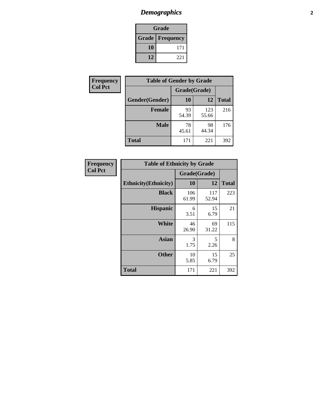# *Demographics* **2**

| Grade                  |     |  |  |  |
|------------------------|-----|--|--|--|
| <b>Grade</b> Frequency |     |  |  |  |
| 10                     | 171 |  |  |  |
| 12                     | 221 |  |  |  |

| <b>Frequency</b> | <b>Table of Gender by Grade</b> |              |              |              |  |
|------------------|---------------------------------|--------------|--------------|--------------|--|
| <b>Col Pct</b>   |                                 | Grade(Grade) |              |              |  |
|                  | Gender(Gender)                  | <b>10</b>    | 12           | <b>Total</b> |  |
|                  | <b>Female</b>                   | 93<br>54.39  | 123<br>55.66 | 216          |  |
|                  | <b>Male</b>                     | 78<br>45.61  | 98<br>44.34  | 176          |  |
|                  | <b>Total</b>                    | 171          | 221          | 392          |  |

| <b>Frequency</b> |
|------------------|
| <b>Col Pct</b>   |

| <b>Table of Ethnicity by Grade</b> |              |              |              |  |  |  |
|------------------------------------|--------------|--------------|--------------|--|--|--|
|                                    | Grade(Grade) |              |              |  |  |  |
| <b>Ethnicity</b> (Ethnicity)       | 10           | 12           | <b>Total</b> |  |  |  |
| <b>Black</b>                       | 106<br>61.99 | 117<br>52.94 | 223          |  |  |  |
| <b>Hispanic</b>                    | 6<br>3.51    | 15<br>6.79   | 21           |  |  |  |
| White                              | 46<br>26.90  | 69<br>31.22  | 115          |  |  |  |
| <b>Asian</b>                       | 3<br>1.75    | 5<br>2.26    | 8            |  |  |  |
| <b>Other</b>                       | 10<br>5.85   | 15<br>6.79   | 25           |  |  |  |
| <b>Total</b>                       | 171          | 221          | 392          |  |  |  |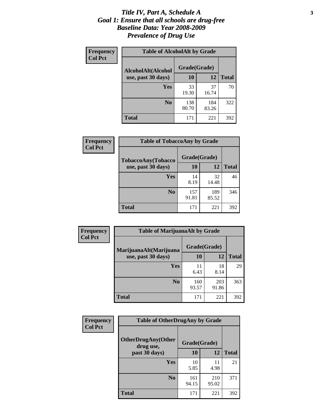### *Title IV, Part A, Schedule A* **3** *Goal 1: Ensure that all schools are drug-free Baseline Data: Year 2008-2009 Prevalence of Drug Use*

| Frequency<br><b>Col Pct</b> | <b>Table of AlcoholAlt by Grade</b> |              |              |              |  |
|-----------------------------|-------------------------------------|--------------|--------------|--------------|--|
|                             | AlcoholAlt(Alcohol                  | Grade(Grade) |              |              |  |
|                             | use, past 30 days)                  | <b>10</b>    | 12           | <b>Total</b> |  |
|                             | Yes                                 | 33<br>19.30  | 37<br>16.74  | 70           |  |
|                             | N <sub>0</sub>                      | 138<br>80.70 | 184<br>83.26 | 322          |  |
|                             | Total                               | 171          | 221          | 392          |  |

| Frequency      | <b>Table of TobaccoAny by Grade</b> |              |              |              |  |
|----------------|-------------------------------------|--------------|--------------|--------------|--|
| <b>Col Pct</b> | <b>TobaccoAny(Tobacco</b>           | Grade(Grade) |              |              |  |
|                | use, past 30 days)                  | <b>10</b>    | 12           | <b>Total</b> |  |
|                | Yes                                 | 14<br>8.19   | 32<br>14.48  | 46           |  |
|                | N <sub>0</sub>                      | 157<br>91.81 | 189<br>85.52 | 346          |  |
|                | Total                               | 171          | 221          | 392          |  |

| Frequency      | <b>Table of MarijuanaAlt by Grade</b> |              |              |              |  |
|----------------|---------------------------------------|--------------|--------------|--------------|--|
| <b>Col Pct</b> | MarijuanaAlt(Marijuana                | Grade(Grade) |              |              |  |
|                | use, past 30 days)                    | 10           | 12           | <b>Total</b> |  |
|                | Yes                                   | 11<br>6.43   | 18<br>8.14   | 29           |  |
|                | N <sub>0</sub>                        | 160<br>93.57 | 203<br>91.86 | 363          |  |
|                | <b>Total</b>                          | 171          | 221          | 392          |  |

| Frequency<br><b>Col Pct</b> | <b>Table of OtherDrugAny by Grade</b>  |              |              |              |  |
|-----------------------------|----------------------------------------|--------------|--------------|--------------|--|
|                             | <b>OtherDrugAny(Other</b><br>drug use, | Grade(Grade) |              |              |  |
|                             | past 30 days)                          | 10           | 12           | <b>Total</b> |  |
|                             | Yes                                    | 10<br>5.85   | 11<br>4.98   | 21           |  |
|                             | N <sub>0</sub>                         | 161<br>94.15 | 210<br>95.02 | 371          |  |
|                             | <b>Total</b>                           | 171          | 221          | 392          |  |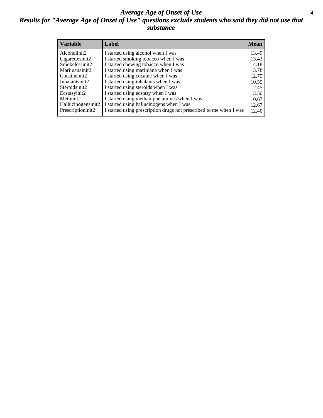### *Average Age of Onset of Use* **4** *Results for "Average Age of Onset of Use" questions exclude students who said they did not use that substance*

| <b>Variable</b>    | Label                                                              | <b>Mean</b> |
|--------------------|--------------------------------------------------------------------|-------------|
| Alcoholinit2       | I started using alcohol when I was                                 | 13.49       |
| Cigarettesinit2    | I started smoking tobacco when I was                               | 13.42       |
| Smokelessinit2     | I started chewing tobacco when I was                               | 14.18       |
| Marijuanainit2     | I started using marijuana when I was                               | 13.78       |
| Cocaineinit2       | I started using cocaine when I was                                 | 12.75       |
| Inhalantsinit2     | I started using inhalants when I was                               | 10.55       |
| Steroidsinit2      | I started using steroids when I was                                | 12.45       |
| Ecstasyinit2       | I started using ecstasy when I was                                 | 13.50       |
| Methinit2          | I started using methamphetamines when I was                        | 10.67       |
| Hallucinogensinit2 | I started using hallucinogens when I was                           | 12.67       |
| Prescriptioninit2  | I started using prescription drugs not prescribed to me when I was | 12.40       |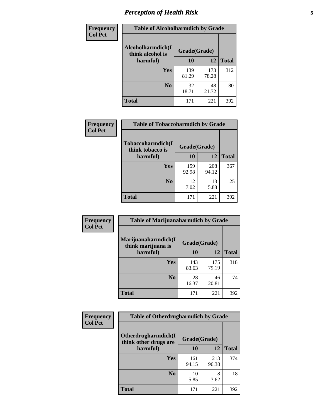# *Perception of Health Risk* **5**

| Frequency      | <b>Table of Alcoholharmdich by Grade</b> |              |              |              |  |
|----------------|------------------------------------------|--------------|--------------|--------------|--|
| <b>Col Pct</b> | Alcoholharmdich(I<br>think alcohol is    | Grade(Grade) |              |              |  |
|                | harmful)                                 | 10           | 12           | <b>Total</b> |  |
|                | Yes                                      | 139<br>81.29 | 173<br>78.28 | 312          |  |
|                | N <sub>0</sub>                           | 32<br>18.71  | 48<br>21.72  | 80           |  |
|                | <b>Total</b>                             | 171          | 221          | 392          |  |

| Frequency      | <b>Table of Tobaccoharmdich by Grade</b> |              |              |              |  |
|----------------|------------------------------------------|--------------|--------------|--------------|--|
| <b>Col Pct</b> | Tobaccoharmdich(I<br>think tobacco is    | Grade(Grade) |              |              |  |
|                | harmful)                                 | 10           | 12           | <b>Total</b> |  |
|                | Yes                                      | 159<br>92.98 | 208<br>94.12 | 367          |  |
|                | N <sub>0</sub>                           | 12<br>7.02   | 13<br>5.88   | 25           |  |
|                | <b>Total</b>                             | 171          | 221          | 392          |  |

| <b>Frequency</b> | <b>Table of Marijuanaharmdich by Grade</b> |              |              |              |  |  |
|------------------|--------------------------------------------|--------------|--------------|--------------|--|--|
| <b>Col Pct</b>   | Marijuanaharmdich(I<br>think marijuana is  | Grade(Grade) |              |              |  |  |
|                  | harmful)                                   | 10           | 12           | <b>Total</b> |  |  |
|                  | Yes                                        | 143<br>83.63 | 175<br>79.19 | 318          |  |  |
|                  | N <sub>0</sub>                             | 28<br>16.37  | 46<br>20.81  | 74           |  |  |
|                  | <b>Total</b>                               | 171          | 221          | 392          |  |  |

| Frequency      | <b>Table of Otherdrugharmdich by Grade</b>   |              |              |              |  |  |  |
|----------------|----------------------------------------------|--------------|--------------|--------------|--|--|--|
| <b>Col Pct</b> | Otherdrugharmdich(I<br>think other drugs are | Grade(Grade) |              |              |  |  |  |
|                | harmful)                                     | 10           | 12           | <b>Total</b> |  |  |  |
|                | <b>Yes</b>                                   | 161<br>94.15 | 213<br>96.38 | 374          |  |  |  |
|                | N <sub>0</sub>                               | 10<br>5.85   | 8<br>3.62    | 18           |  |  |  |
|                | <b>Total</b>                                 | 171          | 221          | 392          |  |  |  |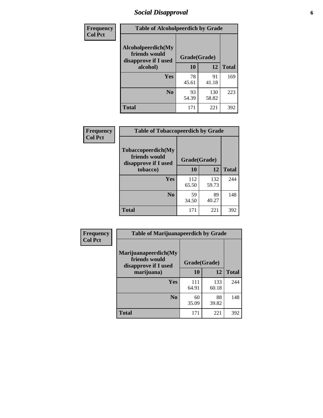# *Social Disapproval* **6**

| Frequency      | <b>Table of Alcoholpeerdich by Grade</b>                    |              |              |              |
|----------------|-------------------------------------------------------------|--------------|--------------|--------------|
| <b>Col Pct</b> | Alcoholpeerdich(My<br>friends would<br>disapprove if I used | Grade(Grade) |              |              |
|                | alcohol)                                                    | 10           | 12           | <b>Total</b> |
|                | <b>Yes</b>                                                  | 78<br>45.61  | 91<br>41.18  | 169          |
|                | N <sub>0</sub>                                              | 93<br>54.39  | 130<br>58.82 | 223          |
|                | <b>Total</b>                                                | 171          | 221          | 392          |

| <b>Frequency</b> |
|------------------|
| <b>Col Pct</b>   |

| <b>Table of Tobaccopeerdich by Grade</b>                    |              |              |              |  |  |  |
|-------------------------------------------------------------|--------------|--------------|--------------|--|--|--|
| Tobaccopeerdich(My<br>friends would<br>disapprove if I used | Grade(Grade) |              |              |  |  |  |
| tobacco)                                                    | 10           | 12           | <b>Total</b> |  |  |  |
| Yes                                                         | 112<br>65.50 | 132<br>59.73 | 244          |  |  |  |
| N <sub>0</sub>                                              | 59<br>34.50  | 89<br>40.27  | 148          |  |  |  |
| <b>Total</b>                                                | 171          | 221          | 392          |  |  |  |

| Frequency      | <b>Table of Marijuanapeerdich by Grade</b>                    |              |              |              |  |  |  |
|----------------|---------------------------------------------------------------|--------------|--------------|--------------|--|--|--|
| <b>Col Pct</b> | Marijuanapeerdich(My<br>friends would<br>disapprove if I used | Grade(Grade) |              |              |  |  |  |
|                | marijuana)                                                    | 10           | 12           | <b>Total</b> |  |  |  |
|                | <b>Yes</b>                                                    | 111<br>64.91 | 133<br>60.18 | 244          |  |  |  |
|                | N <sub>0</sub>                                                | 60<br>35.09  | 88<br>39.82  | 148          |  |  |  |
|                | <b>Total</b>                                                  | 171          | 221          | 392          |  |  |  |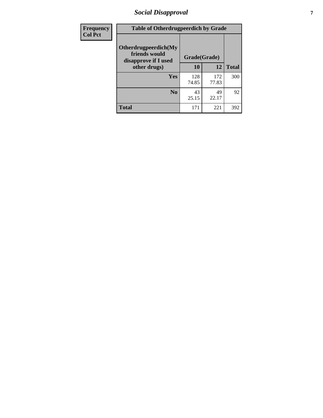# *Social Disapproval* **7**

| Frequency      | <b>Table of Otherdrugpeerdich by Grade</b>                    |              |              |              |  |  |  |
|----------------|---------------------------------------------------------------|--------------|--------------|--------------|--|--|--|
| <b>Col Pct</b> | Otherdrugpeerdich(My<br>friends would<br>disapprove if I used | Grade(Grade) |              |              |  |  |  |
|                | other drugs)                                                  | 10           | 12           | <b>Total</b> |  |  |  |
|                | Yes                                                           | 128<br>74.85 | 172<br>77.83 | 300          |  |  |  |
|                | N <sub>0</sub>                                                | 43<br>25.15  | 49<br>22.17  | 92           |  |  |  |
|                | <b>Total</b>                                                  | 171          | 221          | 392          |  |  |  |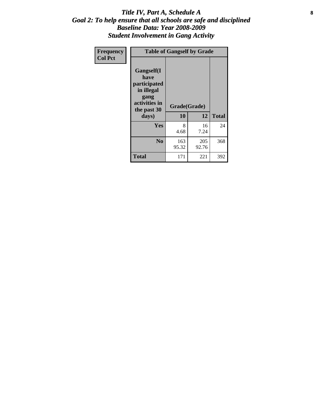### Title IV, Part A, Schedule A **8** *Goal 2: To help ensure that all schools are safe and disciplined Baseline Data: Year 2008-2009 Student Involvement in Gang Activity*

| Frequency      | <b>Table of Gangself by Grade</b>                                                                 |                    |              |              |
|----------------|---------------------------------------------------------------------------------------------------|--------------------|--------------|--------------|
| <b>Col Pct</b> | Gangself(I<br>have<br>participated<br>in illegal<br>gang<br>activities in<br>the past 30<br>days) | Grade(Grade)<br>10 | 12           | <b>Total</b> |
|                | Yes                                                                                               | 8<br>4.68          | 16<br>7.24   | 24           |
|                | N <sub>0</sub>                                                                                    | 163<br>95.32       | 205<br>92.76 | 368          |
|                | <b>Total</b>                                                                                      | 171                | 221          | 392          |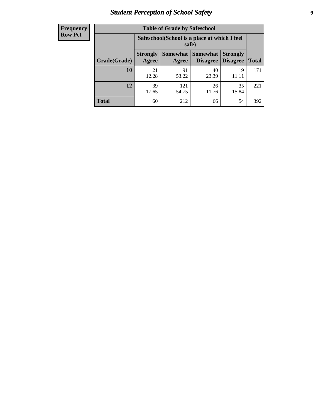# *Student Perception of School Safety* **9**

| <b>Frequency</b><br>Row Pct |
|-----------------------------|
|                             |

| <b>Table of Grade by Safeschool</b> |                          |                                                        |                               |                                    |              |  |  |
|-------------------------------------|--------------------------|--------------------------------------------------------|-------------------------------|------------------------------------|--------------|--|--|
|                                     |                          | Safeschool (School is a place at which I feel<br>safe) |                               |                                    |              |  |  |
| Grade(Grade)                        | <b>Strongly</b><br>Agree | Agree                                                  | Somewhat Somewhat<br>Disagree | <b>Strongly</b><br><b>Disagree</b> | <b>Total</b> |  |  |
| 10                                  | 21<br>12.28              | 91<br>53.22                                            | 40<br>23.39                   | 19<br>11.11                        | 171          |  |  |
| 12                                  | 39<br>17.65              | 121<br>54.75                                           | 26<br>11.76                   | 35<br>15.84                        | 221          |  |  |
| <b>Total</b>                        | 60                       | 212                                                    | 66                            | 54                                 | 392          |  |  |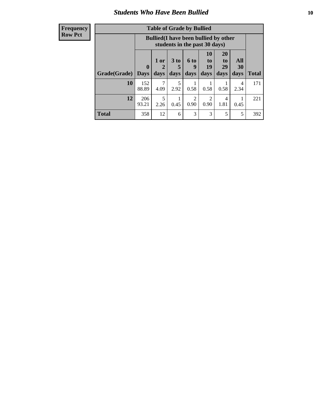### *Students Who Have Been Bullied* **10**

#### **Frequency Row Pct**

| <b>Table of Grade by Bullied</b> |                  |                                                                               |                              |                          |                        |                        |                   |              |
|----------------------------------|------------------|-------------------------------------------------------------------------------|------------------------------|--------------------------|------------------------|------------------------|-------------------|--------------|
|                                  |                  | <b>Bullied</b> (I have been bullied by other<br>students in the past 30 days) |                              |                          |                        |                        |                   |              |
| Grade(Grade)                     | 0<br><b>Days</b> | 1 or<br>2<br>days                                                             | 3 <sub>to</sub><br>5<br>days | <b>6 to</b><br>9<br>days | 10<br>to<br>19<br>days | 20<br>to<br>29<br>days | All<br>30<br>days | <b>Total</b> |
| 10                               | 152<br>88.89     | 7<br>4.09                                                                     | 5<br>2.92                    | 0.58                     | 0.58                   | 0.58                   | 4<br>2.34         | 171          |
| 12                               | 206<br>93.21     | 5<br>2.26                                                                     | 0.45                         | $\overline{2}$<br>0.90   | 2<br>0.90              | 4<br>1.81              | 0.45              | 221          |
| <b>Total</b>                     | 358              | 12                                                                            | 6                            | 3                        | 3                      | 5                      | 5                 | 392          |

 $\blacksquare$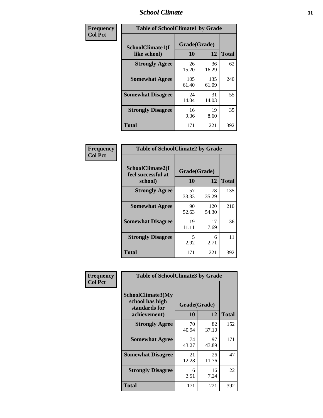### *School Climate* **11**

| Frequency      | <b>Table of SchoolClimate1 by Grade</b> |                    |              |              |  |  |
|----------------|-----------------------------------------|--------------------|--------------|--------------|--|--|
| <b>Col Pct</b> | SchoolClimate1(I<br>like school)        | Grade(Grade)<br>10 | 12           | <b>Total</b> |  |  |
|                | <b>Strongly Agree</b>                   | 26<br>15.20        | 36<br>16.29  | 62           |  |  |
|                | <b>Somewhat Agree</b>                   | 105<br>61.40       | 135<br>61.09 | 240          |  |  |
|                | <b>Somewhat Disagree</b>                | 24<br>14.04        | 31<br>14.03  | 55           |  |  |
|                | <b>Strongly Disagree</b>                | 16<br>9.36         | 19<br>8.60   | 35           |  |  |
|                | <b>Total</b>                            | 171                | 221          | 392          |  |  |

| Frequency<br>Col Pct |  |
|----------------------|--|
|                      |  |

| <b>Table of SchoolClimate2 by Grade</b>           |                    |              |              |  |
|---------------------------------------------------|--------------------|--------------|--------------|--|
| SchoolClimate2(I<br>feel successful at<br>school) | Grade(Grade)<br>10 | 12           | <b>Total</b> |  |
| <b>Strongly Agree</b>                             | 57<br>33.33        | 78<br>35.29  | 135          |  |
| <b>Somewhat Agree</b>                             | 90<br>52.63        | 120<br>54.30 | 210          |  |
| <b>Somewhat Disagree</b>                          | 19<br>11.11        | 17<br>7.69   | 36           |  |
| <b>Strongly Disagree</b>                          | 5.<br>2.92         | 6<br>2.71    | 11           |  |
| <b>Total</b>                                      | 171                | 221          | 392          |  |

| Frequency      | <b>Table of SchoolClimate3 by Grade</b>                               |                    |             |              |  |
|----------------|-----------------------------------------------------------------------|--------------------|-------------|--------------|--|
| <b>Col Pct</b> | SchoolClimate3(My<br>school has high<br>standards for<br>achievement) | Grade(Grade)<br>10 | 12          | <b>Total</b> |  |
|                |                                                                       |                    |             |              |  |
|                | <b>Strongly Agree</b>                                                 | 70<br>40.94        | 82<br>37.10 | 152          |  |
|                | <b>Somewhat Agree</b>                                                 | 74<br>43.27        | 97<br>43.89 | 171          |  |
|                | <b>Somewhat Disagree</b>                                              | 21<br>12.28        | 26<br>11.76 | 47           |  |
|                | <b>Strongly Disagree</b>                                              | 6<br>3.51          | 16<br>7.24  | 22           |  |
|                | Total                                                                 | 171                | 221         | 392          |  |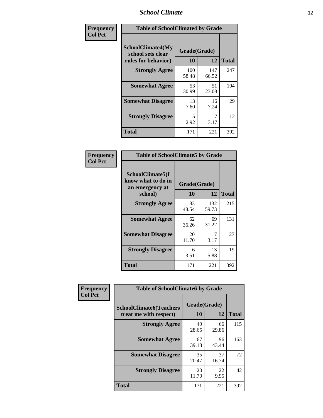### *School Climate* **12**

| Frequency      | <b>Table of SchoolClimate4 by Grade</b>                       |                    |              |              |
|----------------|---------------------------------------------------------------|--------------------|--------------|--------------|
| <b>Col Pct</b> | SchoolClimate4(My<br>school sets clear<br>rules for behavior) | Grade(Grade)<br>10 | 12           | <b>Total</b> |
|                | <b>Strongly Agree</b>                                         | 100<br>58.48       | 147<br>66.52 | 247          |
|                | <b>Somewhat Agree</b>                                         | 53<br>30.99        | 51<br>23.08  | 104          |
|                | <b>Somewhat Disagree</b>                                      | 13<br>7.60         | 16<br>7.24   | 29           |
|                | <b>Strongly Disagree</b>                                      | 5<br>2.92          | 3.17         | 12           |
|                | <b>Total</b>                                                  | 171                | 221          | 392          |

| <b>Table of SchoolClimate5 by Grade</b>                   |              |              |              |  |  |
|-----------------------------------------------------------|--------------|--------------|--------------|--|--|
| SchoolClimate5(I<br>know what to do in<br>an emergency at | Grade(Grade) |              |              |  |  |
| school)                                                   | 10           | 12           | <b>Total</b> |  |  |
| <b>Strongly Agree</b>                                     | 83<br>48.54  | 132<br>59.73 | 215          |  |  |
| <b>Somewhat Agree</b>                                     | 62<br>36.26  | 69<br>31.22  | 131          |  |  |
| <b>Somewhat Disagree</b>                                  | 20<br>11.70  | 7<br>3.17    | 27           |  |  |
| <b>Strongly Disagree</b>                                  | 6<br>3.51    | 13<br>5.88   | 19           |  |  |
| Total                                                     | 171          | 221          | 392          |  |  |

| Frequency      | <b>Table of SchoolClimate6 by Grade</b>                  |                    |             |              |
|----------------|----------------------------------------------------------|--------------------|-------------|--------------|
| <b>Col Pct</b> | <b>SchoolClimate6(Teachers</b><br>treat me with respect) | Grade(Grade)<br>10 | 12          | <b>Total</b> |
|                | <b>Strongly Agree</b>                                    | 49<br>28.65        | 66<br>29.86 | 115          |
|                | <b>Somewhat Agree</b>                                    | 67<br>39.18        | 96<br>43.44 | 163          |
|                | <b>Somewhat Disagree</b>                                 | 35<br>20.47        | 37<br>16.74 | 72           |
|                | <b>Strongly Disagree</b>                                 | 20<br>11.70        | 22<br>9.95  | 42           |
|                | <b>Total</b>                                             | 171                | 221         | 392          |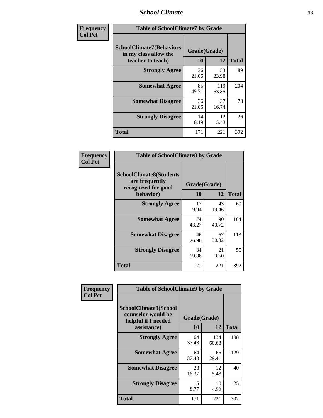### *School Climate* **13**

| Frequency      | <b>Table of SchoolClimate7 by Grade</b>                                       |                           |              |              |
|----------------|-------------------------------------------------------------------------------|---------------------------|--------------|--------------|
| <b>Col Pct</b> | <b>SchoolClimate7(Behaviors</b><br>in my class allow the<br>teacher to teach) | Grade(Grade)<br><b>10</b> | 12           | <b>Total</b> |
|                | <b>Strongly Agree</b>                                                         | 36<br>21.05               | 53<br>23.98  | 89           |
|                | <b>Somewhat Agree</b>                                                         | 85<br>49.71               | 119<br>53.85 | 204          |
|                | <b>Somewhat Disagree</b>                                                      | 36<br>21.05               | 37<br>16.74  | 73           |
|                | <b>Strongly Disagree</b>                                                      | 14<br>8.19                | 12<br>5.43   | 26           |
|                | <b>Total</b>                                                                  | 171                       | 221          | 392          |

| Frequency      | <b>Table of SchoolClimate8 by Grade</b>                                              |                    |             |              |
|----------------|--------------------------------------------------------------------------------------|--------------------|-------------|--------------|
| <b>Col Pct</b> | <b>SchoolClimate8(Students</b><br>are frequently<br>recognized for good<br>behavior) | Grade(Grade)<br>10 | 12          | <b>Total</b> |
|                | <b>Strongly Agree</b>                                                                | 17<br>9.94         | 43<br>19.46 | 60           |
|                | <b>Somewhat Agree</b>                                                                | 74<br>43.27        | 90<br>40.72 | 164          |
|                | <b>Somewhat Disagree</b>                                                             | 46<br>26.90        | 67<br>30.32 | 113          |
|                | <b>Strongly Disagree</b>                                                             | 34<br>19.88        | 21<br>9.50  | 55           |
|                | <b>Total</b>                                                                         | 171                | 221         | 392          |

| Frequency<br><b>Col Pct</b> | <b>Table of SchoolClimate9 by Grade</b>                                           |                    |              |              |
|-----------------------------|-----------------------------------------------------------------------------------|--------------------|--------------|--------------|
|                             | SchoolClimate9(School<br>counselor would be<br>helpful if I needed<br>assistance) | Grade(Grade)<br>10 | 12           | <b>Total</b> |
|                             | <b>Strongly Agree</b>                                                             | 64<br>37.43        | 134<br>60.63 | 198          |
|                             | <b>Somewhat Agree</b>                                                             | 64<br>37.43        | 65<br>29.41  | 129          |
|                             | <b>Somewhat Disagree</b>                                                          | 28<br>16.37        | 12<br>5.43   | 40           |
|                             | <b>Strongly Disagree</b>                                                          | 15<br>8.77         | 10<br>4.52   | 25           |
|                             | Total                                                                             | 171                | 221          | 392          |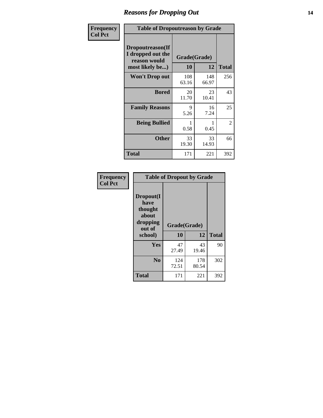### *Reasons for Dropping Out* **14**

| Frequency      | <b>Table of Dropoutreason by Grade</b>                                   |                    |              |              |
|----------------|--------------------------------------------------------------------------|--------------------|--------------|--------------|
| <b>Col Pct</b> | Dropoutreason(If<br>I dropped out the<br>reason would<br>most likely be) | Grade(Grade)<br>10 | 12           | <b>Total</b> |
|                | Won't Drop out                                                           | 108<br>63.16       | 148<br>66.97 | 256          |
|                | <b>Bored</b>                                                             | 20<br>11.70        | 23<br>10.41  | 43           |
|                | <b>Family Reasons</b>                                                    | 9<br>5.26          | 16<br>7.24   | 25           |
|                | <b>Being Bullied</b>                                                     | 0.58               | 0.45         | 2            |
|                | <b>Other</b>                                                             | 33<br>19.30        | 33<br>14.93  | 66           |
|                | <b>Total</b>                                                             | 171                | 221          | 392          |

| Frequency      | <b>Table of Dropout by Grade</b>                                       |                    |              |              |
|----------------|------------------------------------------------------------------------|--------------------|--------------|--------------|
| <b>Col Pct</b> | Dropout(I<br>have<br>thought<br>about<br>dropping<br>out of<br>school) | Grade(Grade)<br>10 | 12           | <b>Total</b> |
|                | Yes                                                                    | 47<br>27.49        | 43<br>19.46  | 90           |
|                | N <sub>0</sub>                                                         | 124<br>72.51       | 178<br>80.54 | 302          |
|                | <b>Total</b>                                                           | 171                | 221          | 392          |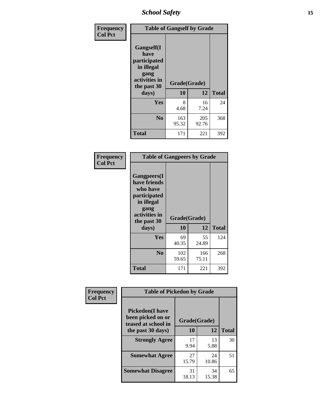*School Safety* **15**

| Frequency      | <b>Table of Gangself by Grade</b>                                                                 |                    |              |              |
|----------------|---------------------------------------------------------------------------------------------------|--------------------|--------------|--------------|
| <b>Col Pct</b> | Gangself(I<br>have<br>participated<br>in illegal<br>gang<br>activities in<br>the past 30<br>days) | Grade(Grade)<br>10 | 12           | <b>Total</b> |
|                | Yes                                                                                               | 8<br>4.68          | 16<br>7.24   | 24           |
|                | N <sub>0</sub>                                                                                    | 163<br>95.32       | 205<br>92.76 | 368          |
|                | <b>Total</b>                                                                                      | 171                | 221          | 392          |

| Frequency<br><b>Col Pct</b> | <b>Table of Gangpeers by Grade</b>                                                                                             |                    |              |              |
|-----------------------------|--------------------------------------------------------------------------------------------------------------------------------|--------------------|--------------|--------------|
|                             | <b>Gangpeers</b> (I<br>have friends<br>who have<br>participated<br>in illegal<br>gang<br>activities in<br>the past 30<br>days) | Grade(Grade)<br>10 | 12           | <b>Total</b> |
|                             | <b>Yes</b>                                                                                                                     | 69<br>40.35        | 55<br>24.89  | 124          |
|                             | N <sub>0</sub>                                                                                                                 | 102<br>59.65       | 166<br>75.11 | 268          |
|                             | <b>Total</b>                                                                                                                   | 171                | 221          | 392          |

| Frequency      |                                                                    | <b>Table of Pickedon by Grade</b> |             |              |  |  |  |  |  |  |  |
|----------------|--------------------------------------------------------------------|-----------------------------------|-------------|--------------|--|--|--|--|--|--|--|
| <b>Col Pct</b> | <b>Pickedon(I have</b><br>been picked on or<br>teased at school in | Grade(Grade)                      |             |              |  |  |  |  |  |  |  |
|                | the past 30 days)                                                  | 10                                | 12          | <b>Total</b> |  |  |  |  |  |  |  |
|                | <b>Strongly Agree</b>                                              | 17<br>9.94                        | 13<br>5.88  | 30           |  |  |  |  |  |  |  |
|                | <b>Somewhat Agree</b>                                              | 27<br>15.79                       | 24<br>10.86 | 51           |  |  |  |  |  |  |  |
|                | <b>Somewhat Disagree</b>                                           | 31<br>18.13                       | 34<br>15.38 | 65           |  |  |  |  |  |  |  |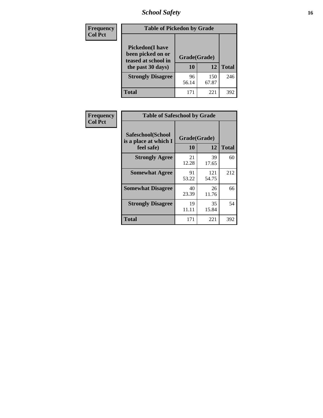# *School Safety* **16**

| <b>Frequency</b> | <b>Table of Pickedon by Grade</b>                                                        |                    |              |              |
|------------------|------------------------------------------------------------------------------------------|--------------------|--------------|--------------|
| <b>Col Pct</b>   | <b>Pickedon</b> (I have<br>been picked on or<br>teased at school in<br>the past 30 days) | Grade(Grade)<br>10 | 12           | <b>Total</b> |
|                  | <b>Strongly Disagree</b>                                                                 | 96<br>56.14        | 150<br>67.87 | 246          |
|                  | Total                                                                                    | 171                | 221          | 392          |

| Frequency      | <b>Table of Safeschool by Grade</b>                      |                    |              |     |
|----------------|----------------------------------------------------------|--------------------|--------------|-----|
| <b>Col Pct</b> | Safeschool(School<br>is a place at which I<br>feel safe) | Grade(Grade)<br>10 | <b>Total</b> |     |
|                | <b>Strongly Agree</b>                                    | 21<br>12.28        | 39<br>17.65  | 60  |
|                | <b>Somewhat Agree</b>                                    | 91<br>53.22        | 121<br>54.75 | 212 |
|                | <b>Somewhat Disagree</b>                                 | 40<br>23.39        | 26<br>11.76  | 66  |
|                | <b>Strongly Disagree</b>                                 | 19<br>11.11        | 35<br>15.84  | 54  |
|                | <b>Total</b>                                             | 171                | 221          | 392 |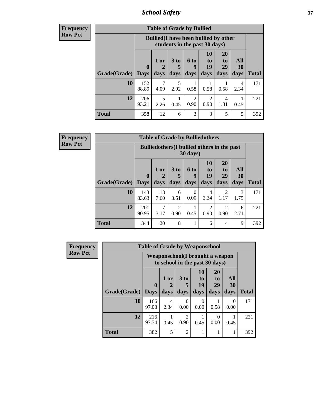*School Safety* **17**

| <b>Frequency</b> |
|------------------|
| Row Pct          |

| <b>Table of Grade by Bullied</b> |                                                                               |           |                      |           |                |                |           |              |  |  |  |
|----------------------------------|-------------------------------------------------------------------------------|-----------|----------------------|-----------|----------------|----------------|-----------|--------------|--|--|--|
|                                  | <b>Bullied</b> (I have been bullied by other<br>students in the past 30 days) |           |                      |           |                |                |           |              |  |  |  |
|                                  | $\mathbf 0$                                                                   | $1$ or    | 3 <sub>to</sub><br>5 | 6 to<br>q | 10<br>to<br>19 | 20<br>to<br>29 | All<br>30 |              |  |  |  |
| Grade(Grade)   Days              |                                                                               | days      | days                 | days      | days           | days           | days      | <b>Total</b> |  |  |  |
| 10                               | 152<br>88.89                                                                  | 4.09      | 5<br>2.92            | 0.58      | 0.58           | 0.58           | 4<br>2.34 | 171          |  |  |  |
| 12                               | 206<br>93.21                                                                  | 5<br>2.26 | 0.45                 | 2<br>0.90 | 2<br>0.90      | 4<br>1.81      | 0.45      | 221          |  |  |  |
| <b>Total</b>                     | 358                                                                           | 12        | 6                    | 3         | 3              | 5              | 5         | 392          |  |  |  |

| <b>Frequency</b> | <b>Table of Grade by Bulliedothers</b> |                                                                         |              |                         |                                 |                        |                               |                   |              |  |  |  |  |
|------------------|----------------------------------------|-------------------------------------------------------------------------|--------------|-------------------------|---------------------------------|------------------------|-------------------------------|-------------------|--------------|--|--|--|--|
| <b>Row Pct</b>   |                                        | <b>Bulliedothers</b> (I bullied others in the past<br>$30 \text{ days}$ |              |                         |                                 |                        |                               |                   |              |  |  |  |  |
|                  | Grade(Grade)                           | $\mathbf{0}$<br><b>Days</b>                                             | 1 or<br>days | 3 <sub>to</sub><br>days | <b>6 to</b><br><b>Q</b><br>days | 10<br>to<br>19<br>days | <b>20</b><br>to<br>29<br>days | All<br>30<br>days | <b>Total</b> |  |  |  |  |
|                  | 10                                     | 143<br>83.63                                                            | 13<br>7.60   | 6<br>3.51               | $\Omega$<br>0.00                | 4<br>2.34              | 2<br>1.17                     | 3<br>1.75         | 171          |  |  |  |  |
|                  | 12                                     | 201<br>90.95                                                            | 7<br>3.17    | $\mathfrak{D}$<br>0.90  | 0.45                            | ာ<br>0.90              | $\mathfrak{D}$<br>0.90        | 6<br>2.71         | 221          |  |  |  |  |
|                  | <b>Total</b>                           | 344                                                                     | 20           | 8                       |                                 | 6                      | 4                             | 9                 | 392          |  |  |  |  |

| <b>Frequency</b> |              | <b>Table of Grade by Weaponschool</b>                              |                        |                                     |                        |                                    |                   |              |  |  |  |  |
|------------------|--------------|--------------------------------------------------------------------|------------------------|-------------------------------------|------------------------|------------------------------------|-------------------|--------------|--|--|--|--|
| <b>Row Pct</b>   |              | Weaponschool (I brought a weapon<br>to school in the past 30 days) |                        |                                     |                        |                                    |                   |              |  |  |  |  |
|                  | Grade(Grade) | $\mathbf{0}$<br><b>Days</b>                                        | 1 or<br>days           | 3 to<br>days                        | 10<br>to<br>19<br>days | 20<br>t <sub>0</sub><br>29<br>days | All<br>30<br>days | <b>Total</b> |  |  |  |  |
|                  | 10           | 166<br>97.08                                                       | $\overline{4}$<br>2.34 | 0<br>0.00                           | 0<br>0.00              | 0.58                               | $\Omega$<br>0.00  | 171          |  |  |  |  |
|                  | 12           | 216<br>97.74                                                       | 0.45                   | $\mathcal{D}_{\mathcal{A}}$<br>0.90 | 0.45                   | 0<br>0.00                          | 0.45              | 221          |  |  |  |  |
|                  | <b>Total</b> | 382                                                                | 5                      | $\mathfrak{D}$                      |                        |                                    |                   | 392          |  |  |  |  |

ï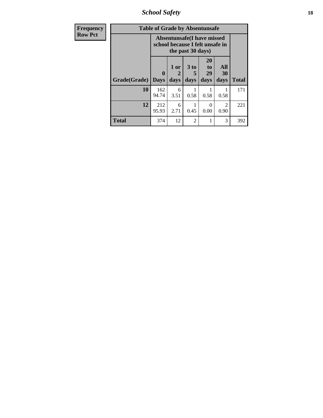*School Safety* **18**

| <b>Frequency</b> |              | <b>Table of Grade by Absentunsafe</b>                                |                   |                   |                        |                        |              |
|------------------|--------------|----------------------------------------------------------------------|-------------------|-------------------|------------------------|------------------------|--------------|
| <b>Row Pct</b>   |              | <b>Absentunsafe(I have missed</b><br>school because I felt unsafe in |                   |                   |                        |                        |              |
|                  | Grade(Grade) | 0<br><b>Days</b>                                                     | 1 or<br>2<br>days | 3 to<br>5<br>days | 20<br>to<br>29<br>days | All<br>30<br>days      | <b>Total</b> |
|                  | 10           | 162<br>94.74                                                         | 6<br>3.51         | 0.58              | 0.58                   | 0.58                   | 171          |
|                  | 12           | 212<br>95.93                                                         | 6<br>2.71         | 0.45              | ∩<br>0.00              | $\mathfrak{D}$<br>0.90 | 221          |
|                  | <b>Total</b> | 374                                                                  | 12                | $\mathfrak{D}$    | 1                      | 3                      | 392          |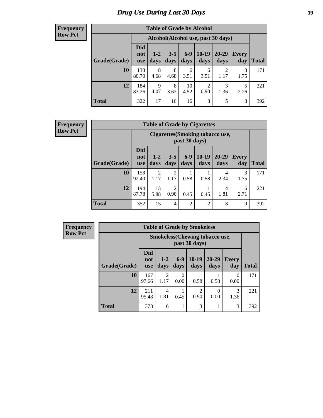# *Drug Use During Last 30 Days* **19**

#### **Frequency Row Pct**

| <b>Table of Grade by Alcohol</b> |                                 |                                    |                 |               |                        |                        |              |              |  |  |  |  |
|----------------------------------|---------------------------------|------------------------------------|-----------------|---------------|------------------------|------------------------|--------------|--------------|--|--|--|--|
|                                  |                                 | Alcohol(Alcohol use, past 30 days) |                 |               |                        |                        |              |              |  |  |  |  |
| Grade(Grade)                     | <b>Did</b><br>not<br><b>use</b> | $1-2$<br>days                      | $3 - 5$<br>days | $6-9$<br>days | $10-19$<br>days        | 20-29<br>days          | Every<br>day | <b>Total</b> |  |  |  |  |
| 10                               | 138<br>80.70                    | 8<br>4.68                          | 8<br>4.68       | 6<br>3.51     | 6<br>3.51              | $\overline{2}$<br>1.17 | 3<br>1.75    | 171          |  |  |  |  |
| 12                               | 184<br>83.26                    | 9<br>4.07                          | 8<br>3.62       | 10<br>4.52    | $\overline{2}$<br>0.90 | 3<br>1.36              | 5<br>2.26    | 221          |  |  |  |  |
| <b>Total</b>                     | 322                             | 17                                 | 16              | 16            | 8                      | 5                      | 8            | 392          |  |  |  |  |

#### **Frequency Row Pct**

| <b>Table of Grade by Cigarettes</b> |                          |                                                          |                        |                |                 |                   |                     |       |  |  |  |
|-------------------------------------|--------------------------|----------------------------------------------------------|------------------------|----------------|-----------------|-------------------|---------------------|-------|--|--|--|
|                                     |                          | <b>Cigarettes (Smoking tobacco use,</b><br>past 30 days) |                        |                |                 |                   |                     |       |  |  |  |
| Grade(Grade)                        | Did<br>not<br><b>use</b> | $1 - 2$<br>days                                          | $3 - 5$<br>days        | $6-9$<br>days  | $10-19$<br>days | $20 - 29$<br>days | <b>Every</b><br>day | Total |  |  |  |
| 10                                  | 158<br>92.40             | $\mathfrak{D}$<br>1.17                                   | $\overline{2}$<br>1.17 | 0.58           | 0.58            | 4<br>2.34         | 3<br>1.75           | 171   |  |  |  |
| 12                                  | 194<br>87.78             | 13<br>5.88                                               | 2<br>0.90              | 0.45           | 0.45            | 4<br>1.81         | 6<br>2.71           | 221   |  |  |  |
| <b>Total</b>                        | 352                      | 15                                                       | $\overline{4}$         | $\overline{2}$ | $\overline{2}$  | 8                 | 9                   | 392   |  |  |  |

| <b>Table of Grade by Smokeless</b> |                                 |                                                        |               |                        |                   |                     |              |  |  |  |
|------------------------------------|---------------------------------|--------------------------------------------------------|---------------|------------------------|-------------------|---------------------|--------------|--|--|--|
|                                    |                                 | <b>Smokeless</b> (Chewing tobaccouse,<br>past 30 days) |               |                        |                   |                     |              |  |  |  |
| Grade(Grade)                       | <b>Did</b><br>not<br><b>use</b> | $1 - 2$<br>days                                        | $6-9$<br>days | $10-19$<br>days        | $20 - 29$<br>days | <b>Every</b><br>day | <b>Total</b> |  |  |  |
| 10                                 | 167<br>97.66                    | $\mathfrak{D}$<br>1.17                                 | 0<br>0.00     | 0.58                   | 0.58              | 0<br>0.00           | 171          |  |  |  |
| 12                                 | 211<br>95.48                    | 4<br>1.81                                              | 0.45          | $\mathfrak{D}$<br>0.90 | 0.00              | 3<br>1.36           | 221          |  |  |  |
| <b>Total</b>                       | 378                             | 6                                                      |               | 3                      | 1                 | 3                   | 392          |  |  |  |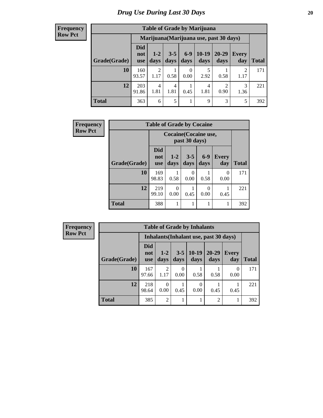| <b>Table of Grade by Marijuana</b> |                                 |                                         |                 |                 |                 |                        |              |       |  |  |  |  |
|------------------------------------|---------------------------------|-----------------------------------------|-----------------|-----------------|-----------------|------------------------|--------------|-------|--|--|--|--|
|                                    |                                 | Marijuana (Marijuana use, past 30 days) |                 |                 |                 |                        |              |       |  |  |  |  |
| Grade(Grade)                       | <b>Did</b><br>not<br><b>use</b> | $1 - 2$<br>days                         | $3 - 5$<br>days | $6 - 9$<br>days | $10-19$<br>days | 20-29<br>days          | Every<br>day | Total |  |  |  |  |
| 10                                 | 160<br>93.57                    | $\overline{2}$<br>1.17                  | 0.58            | 0<br>0.00       | 5<br>2.92       | 0.58                   | 2<br>1.17    | 171   |  |  |  |  |
| 12                                 | 203<br>91.86                    | 4<br>1.81                               | 4<br>1.81       | 0.45            | 4<br>1.81       | $\mathfrak{D}$<br>0.90 | 3<br>1.36    | 221   |  |  |  |  |
| <b>Total</b>                       | 363                             | 6                                       | 5               |                 | 9               | 3                      | 5            | 392   |  |  |  |  |

| <b>Frequency</b> | <b>Table of Grade by Cocaine</b> |                                 |                       |                  |               |              |              |
|------------------|----------------------------------|---------------------------------|-----------------------|------------------|---------------|--------------|--------------|
| <b>Row Pct</b>   |                                  |                                 | Cocaine (Cocaine use, | past 30 days)    |               |              |              |
|                  | Grade(Grade)                     | <b>Did</b><br>not<br><b>use</b> | $1-2$<br>days         | $3 - 5$<br>days  | $6-9$<br>days | Every<br>day | <b>Total</b> |
|                  | 10                               | 169<br>98.83                    | 0.58                  | $\Omega$<br>0.00 | 0.58          | 0<br>0.00    | 171          |
|                  | 12                               | 219<br>99.10                    | 0<br>0.00             | 0.45             | 0.00          | 0.45         | 221          |
|                  | <b>Total</b>                     | 388                             |                       | 1                |               |              | 392          |

| Frequency      |              | <b>Table of Grade by Inhalants</b>            |                  |                       |                 |                   |                     |              |  |  |  |
|----------------|--------------|-----------------------------------------------|------------------|-----------------------|-----------------|-------------------|---------------------|--------------|--|--|--|
| <b>Row Pct</b> |              | <b>Inhalants</b> (Inhalant use, past 30 days) |                  |                       |                 |                   |                     |              |  |  |  |
|                | Grade(Grade) | <b>Did</b><br>not<br><b>use</b>               | $1 - 2$<br>days  | $3 - 5$<br>days       | $10-19$<br>days | $20 - 29$<br>days | <b>Every</b><br>day | <b>Total</b> |  |  |  |
|                | 10           | 167<br>97.66                                  | 2<br>1.17        | $\mathcal{O}$<br>0.00 | 0.58            | 0.58              | $\Omega$<br>0.00    | 171          |  |  |  |
|                | 12           | 218<br>98.64                                  | $\Omega$<br>0.00 | 0.45                  | 0<br>0.00       | 0.45              | 0.45                | 221          |  |  |  |
|                | <b>Total</b> | 385                                           | $\mathfrak{D}$   |                       |                 | $\mathfrak{D}$    |                     | 392          |  |  |  |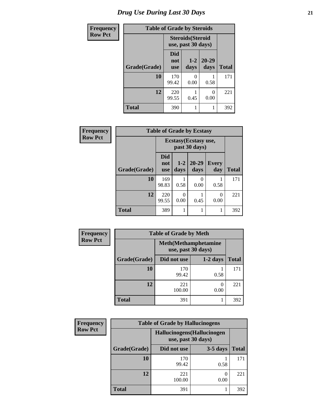| <b>Table of Grade by Steroids</b><br><b>Frequency</b> |              |                                                |                 |                   |              |
|-------------------------------------------------------|--------------|------------------------------------------------|-----------------|-------------------|--------------|
| <b>Row Pct</b>                                        |              | <b>Steroids</b> (Steroid<br>use, past 30 days) |                 |                   |              |
|                                                       | Grade(Grade) | Did<br>not<br><b>use</b>                       | $1 - 2$<br>days | $20 - 29$<br>days | <b>Total</b> |
|                                                       | 10           | 170<br>99.42                                   | ∩<br>0.00       | 0.58              | 171          |
|                                                       | 12           | 220<br>99.55                                   | 0.45            | 0.00              | 221          |
|                                                       | <b>Total</b> | 390                                            | 1               |                   | 392          |

| Frequency      | <b>Table of Grade by Ecstasy</b> |                                        |               |               |                     |              |  |
|----------------|----------------------------------|----------------------------------------|---------------|---------------|---------------------|--------------|--|
| <b>Row Pct</b> |                                  | Ecstasy (Ecstasy use,<br>past 30 days) |               |               |                     |              |  |
|                | Grade(Grade)                     | <b>Did</b><br>not<br>use               | $1-2$<br>days | 20-29<br>days | <b>Every</b><br>day | <b>Total</b> |  |
|                | 10                               | 169<br>98.83                           | 0.58          | 0<br>0.00     | 0.58                | 171          |  |
|                | 12                               | 220<br>99.55                           | 0<br>0.00     | 0.45          | 0<br>0.00           | 221          |  |
|                | <b>Total</b>                     | 389                                    |               |               |                     | 392          |  |

| <b>Frequency</b> |              | <b>Table of Grade by Meth</b>                      |            |              |
|------------------|--------------|----------------------------------------------------|------------|--------------|
| <b>Row Pct</b>   |              | <b>Meth</b> (Methamphetamine<br>use, past 30 days) |            |              |
|                  | Grade(Grade) | Did not use                                        | $1-2$ days | <b>Total</b> |
|                  | 10           | 170<br>99.42                                       | 0.58       | 171          |
|                  | 12           | 221<br>100.00                                      | 0<br>0.00  | 221          |
|                  | <b>Total</b> | 391                                                |            | 392          |

| <b>Frequency</b> | <b>Table of Grade by Hallucinogens</b> |                                                   |            |              |  |  |
|------------------|----------------------------------------|---------------------------------------------------|------------|--------------|--|--|
| <b>Row Pct</b>   |                                        | Hallucinogens (Hallucinogen<br>use, past 30 days) |            |              |  |  |
|                  | Grade(Grade)                           | Did not use                                       | $3-5$ days | <b>Total</b> |  |  |
|                  | 10                                     | 170<br>99.42                                      | 0.58       | 171          |  |  |
|                  | 12                                     | 221<br>100.00                                     | 0.00       | 221          |  |  |
|                  | <b>Total</b>                           | 391                                               |            | 392          |  |  |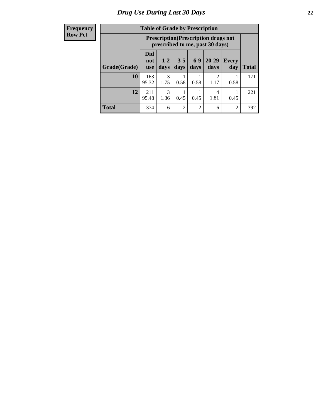| <b>Table of Grade by Prescription</b> |                          |                                                                                |                 |                 |                   |                     |              |  |
|---------------------------------------|--------------------------|--------------------------------------------------------------------------------|-----------------|-----------------|-------------------|---------------------|--------------|--|
|                                       |                          | <b>Prescription</b> (Prescription drugs not<br>prescribed to me, past 30 days) |                 |                 |                   |                     |              |  |
| Grade(Grade)                          | Did<br>not<br><b>use</b> | $1 - 2$<br>days                                                                | $3 - 5$<br>days | $6 - 9$<br>days | $20 - 29$<br>days | <b>Every</b><br>day | <b>Total</b> |  |
| 10                                    | 163<br>95.32             | 3<br>1.75                                                                      | 0.58            | 0.58            | 2<br>1.17         | 0.58                | 171          |  |
| 12                                    | 211<br>95.48             | 3<br>1.36                                                                      | 0.45            | 0.45            | 4<br>1.81         | 0.45                | 221          |  |
| <b>Total</b>                          | 374                      | 6                                                                              | $\overline{2}$  | $\mathfrak{D}$  | 6                 | 2                   | 392          |  |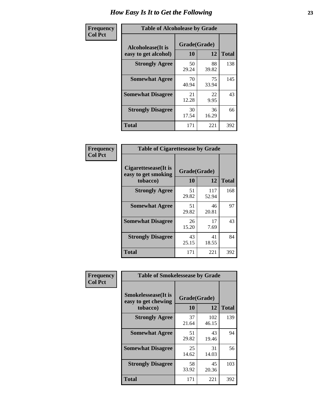| Frequency      | <b>Table of Alcoholease by Grade</b>              |                    |             |              |  |  |
|----------------|---------------------------------------------------|--------------------|-------------|--------------|--|--|
| <b>Col Pct</b> | <b>Alcoholease</b> (It is<br>easy to get alcohol) | Grade(Grade)<br>10 | 12          | <b>Total</b> |  |  |
|                | <b>Strongly Agree</b>                             | 50<br>29.24        | 88<br>39.82 | 138          |  |  |
|                | <b>Somewhat Agree</b>                             | 70<br>40.94        | 75<br>33.94 | 145          |  |  |
|                | <b>Somewhat Disagree</b>                          | 21<br>12.28        | 22<br>9.95  | 43           |  |  |
|                | <b>Strongly Disagree</b>                          | 30<br>17.54        | 36<br>16.29 | 66           |  |  |
|                | <b>Total</b>                                      | 171                | 221         | 392          |  |  |

| Frequency      | <b>Table of Cigarettesease by Grade</b>     |              |              |              |  |
|----------------|---------------------------------------------|--------------|--------------|--------------|--|
| <b>Col Pct</b> | Cigarettesease(It is<br>easy to get smoking | Grade(Grade) |              |              |  |
|                | tobacco)                                    | 10           | 12           | <b>Total</b> |  |
|                | <b>Strongly Agree</b>                       | 51<br>29.82  | 117<br>52.94 | 168          |  |
|                | <b>Somewhat Agree</b>                       | 51<br>29.82  | 46<br>20.81  | 97           |  |
|                | <b>Somewhat Disagree</b>                    | 26<br>15.20  | 17<br>7.69   | 43           |  |
|                | <b>Strongly Disagree</b>                    | 43<br>25.15  | 41<br>18.55  | 84           |  |
|                | <b>Total</b>                                | 171          | 221          | 392          |  |

| Frequency      | <b>Table of Smokelessease by Grade</b>                         |                           |              |              |  |
|----------------|----------------------------------------------------------------|---------------------------|--------------|--------------|--|
| <b>Col Pct</b> | <b>Smokelessease</b> (It is<br>easy to get chewing<br>tobacco) | Grade(Grade)<br><b>10</b> | 12           | <b>Total</b> |  |
|                | <b>Strongly Agree</b>                                          | 37<br>21.64               | 102<br>46.15 | 139          |  |
|                | <b>Somewhat Agree</b>                                          | 51<br>29.82               | 43<br>19.46  | 94           |  |
|                | <b>Somewhat Disagree</b>                                       | 25<br>14.62               | 31<br>14.03  | 56           |  |
|                | <b>Strongly Disagree</b>                                       | 58<br>33.92               | 45<br>20.36  | 103          |  |
|                | <b>Total</b>                                                   | 171                       | 221          | 392          |  |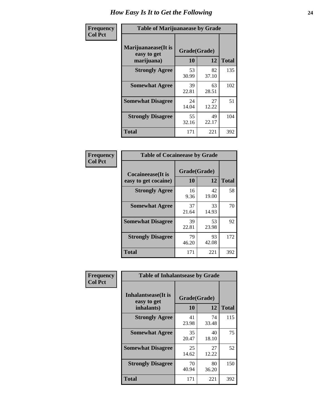| Frequency      | <b>Table of Marijuanaease by Grade</b>           |                    |             |              |  |
|----------------|--------------------------------------------------|--------------------|-------------|--------------|--|
| <b>Col Pct</b> | Marijuanaease(It is<br>easy to get<br>marijuana) | Grade(Grade)<br>10 | 12          | <b>Total</b> |  |
|                | <b>Strongly Agree</b>                            | 53<br>30.99        | 82<br>37.10 | 135          |  |
|                | <b>Somewhat Agree</b>                            | 39<br>22.81        | 63<br>28.51 | 102          |  |
|                | <b>Somewhat Disagree</b>                         | 24<br>14.04        | 27<br>12.22 | 51           |  |
|                | <b>Strongly Disagree</b>                         | 55<br>32.16        | 49<br>22.17 | 104          |  |
|                | <b>Total</b>                                     | 171                | 221         | 392          |  |

| <b>Table of Cocaineease by Grade</b>      |                    |              |     |  |  |  |
|-------------------------------------------|--------------------|--------------|-----|--|--|--|
| Cocaineease(It is<br>easy to get cocaine) | Grade(Grade)<br>10 | <b>Total</b> |     |  |  |  |
| <b>Strongly Agree</b>                     | 16<br>9.36         | 42<br>19.00  | 58  |  |  |  |
| <b>Somewhat Agree</b>                     | 37<br>21.64        | 33<br>14.93  | 70  |  |  |  |
| <b>Somewhat Disagree</b>                  | 39<br>22.81        | 53<br>23.98  | 92  |  |  |  |
| <b>Strongly Disagree</b>                  | 79<br>46.20        | 93<br>42.08  | 172 |  |  |  |
| <b>Total</b>                              | 171                | 221          | 392 |  |  |  |

| Frequency      | <b>Table of Inhalantsease by Grade</b>                   |                    |              |     |
|----------------|----------------------------------------------------------|--------------------|--------------|-----|
| <b>Col Pct</b> | <b>Inhalantsease</b> (It is<br>easy to get<br>inhalants) | Grade(Grade)<br>10 | <b>Total</b> |     |
|                | <b>Strongly Agree</b>                                    | 41<br>23.98        | 74<br>33.48  | 115 |
|                | <b>Somewhat Agree</b>                                    | 35<br>20.47        | 40<br>18.10  | 75  |
|                | <b>Somewhat Disagree</b>                                 | 25<br>14.62        | 27<br>12.22  | 52  |
|                | <b>Strongly Disagree</b>                                 | 70<br>40.94        | 80<br>36.20  | 150 |
|                | <b>Total</b>                                             | 171                | 221          | 392 |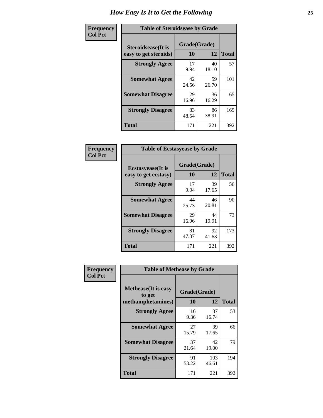| Frequency      | <b>Table of Steroidsease by Grade</b>               |                    |              |     |
|----------------|-----------------------------------------------------|--------------------|--------------|-----|
| <b>Col Pct</b> | <b>Steroidsease</b> (It is<br>easy to get steroids) | Grade(Grade)<br>10 | <b>Total</b> |     |
|                | <b>Strongly Agree</b>                               | 17<br>9.94         | 40<br>18.10  | 57  |
|                | <b>Somewhat Agree</b>                               | 42<br>24.56        | 59<br>26.70  | 101 |
|                | <b>Somewhat Disagree</b>                            | 29<br>16.96        | 36<br>16.29  | 65  |
|                | <b>Strongly Disagree</b>                            | 83<br>48.54        | 86<br>38.91  | 169 |
|                | <b>Total</b>                                        | 171                | 221          | 392 |

| Frequency      | <b>Table of Ecstasyease by Grade</b>              |                           |             |              |
|----------------|---------------------------------------------------|---------------------------|-------------|--------------|
| <b>Col Pct</b> | <b>Ecstasyease</b> (It is<br>easy to get ecstasy) | Grade(Grade)<br><b>10</b> | 12          | <b>Total</b> |
|                | <b>Strongly Agree</b>                             | 17<br>9.94                | 39<br>17.65 | 56           |
|                | <b>Somewhat Agree</b>                             | 44<br>25.73               | 46<br>20.81 | 90           |
|                | <b>Somewhat Disagree</b>                          | 29<br>16.96               | 44<br>19.91 | 73           |
|                | <b>Strongly Disagree</b>                          | 81<br>47.37               | 92<br>41.63 | 173          |
|                | <b>Total</b>                                      | 171                       | 221         | 392          |

| Frequency      | <b>Table of Methease by Grade</b>     |              |              |              |
|----------------|---------------------------------------|--------------|--------------|--------------|
| <b>Col Pct</b> | <b>Methease</b> (It is easy<br>to get | Grade(Grade) |              |              |
|                | methamphetamines)                     | <b>10</b>    | 12           | <b>Total</b> |
|                | <b>Strongly Agree</b>                 | 16<br>9.36   | 37<br>16.74  | 53           |
|                | <b>Somewhat Agree</b>                 | 27<br>15.79  | 39<br>17.65  | 66           |
|                | <b>Somewhat Disagree</b>              | 37<br>21.64  | 42<br>19.00  | 79           |
|                | <b>Strongly Disagree</b>              | 91<br>53.22  | 103<br>46.61 | 194          |
|                | Total                                 | 171          | 221          | 392          |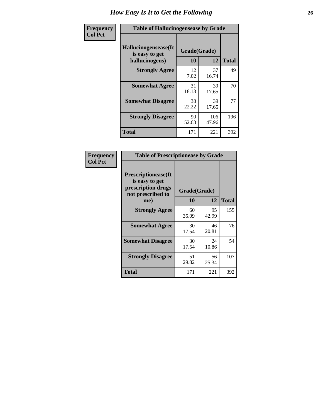| <b>Frequency</b> | <b>Table of Hallucinogensease by Grade</b>               |                    |              |              |
|------------------|----------------------------------------------------------|--------------------|--------------|--------------|
| <b>Col Pct</b>   | Hallucinogensease(It<br>is easy to get<br>hallucinogens) | Grade(Grade)<br>10 | 12           | <b>Total</b> |
|                  | <b>Strongly Agree</b>                                    | 12<br>7.02         | 37<br>16.74  | 49           |
|                  | <b>Somewhat Agree</b>                                    | 31<br>18.13        | 39<br>17.65  | 70           |
|                  | <b>Somewhat Disagree</b>                                 | 38<br>22.22        | 39<br>17.65  | 77           |
|                  | <b>Strongly Disagree</b>                                 | 90<br>52.63        | 106<br>47.96 | 196          |
|                  | <b>Total</b>                                             | 171                | 221          | 392          |

| Frequency<br>Col Pct |
|----------------------|
|                      |

| <b>Table of Prescriptionease by Grade</b>                                                |             |              |              |
|------------------------------------------------------------------------------------------|-------------|--------------|--------------|
| <b>Prescriptionease</b> (It<br>is easy to get<br>prescription drugs<br>not prescribed to |             | Grade(Grade) |              |
| me)                                                                                      | 10          | 12           | <b>Total</b> |
| <b>Strongly Agree</b>                                                                    | 60<br>35.09 | 95<br>42.99  | 155          |
| <b>Somewhat Agree</b>                                                                    | 30<br>17.54 | 46<br>20.81  | 76           |
| <b>Somewhat Disagree</b>                                                                 | 30<br>17.54 | 24<br>10.86  | 54           |
| <b>Strongly Disagree</b>                                                                 | 51<br>29.82 | 56<br>25.34  | 107          |
| Total                                                                                    | 171         | 221          | 392          |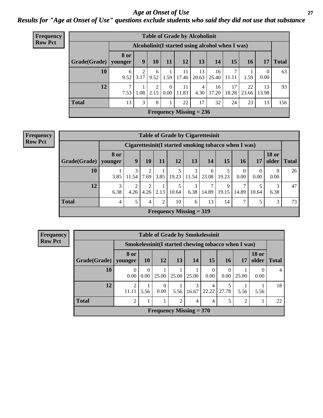### *Age at Onset of Use* **27** *Results for "Age at Onset of Use" questions exclude students who said they did not use that substance*

| Frequency      |                        |           |      |           |                  |             | <b>Table of Grade by Alcoholinit</b>             |             |             |             |                  |              |
|----------------|------------------------|-----------|------|-----------|------------------|-------------|--------------------------------------------------|-------------|-------------|-------------|------------------|--------------|
| <b>Row Pct</b> |                        |           |      |           |                  |             | Alcoholinit (I started using alcohol when I was) |             |             |             |                  |              |
|                | Grade(Grade)   younger | 8 or      | 9    | <b>10</b> | <b>11</b>        | 12          | 13                                               | 14          | 15          | 16          | 17               | <b>Total</b> |
|                | 10                     | 6<br>9.52 | 3.17 | 6<br>9.52 | 1.59             | 11<br>17.46 | 13<br>20.63                                      | 16<br>25.40 | ⇁<br>11.11  | 1.59        | $\Omega$<br>0.00 | 63           |
|                | 12                     | 7<br>7.53 | 1.08 | 2<br>2.15 | $\Omega$<br>0.00 | 11<br>11.83 | 4<br>4.30                                        | 16<br>17.20 | 17<br>18.28 | 22<br>23.66 | 13<br>13.98      | 93           |
|                | <b>Total</b>           | 13        | 3    | 8         |                  | 22          | 17                                               | 32          | 24          | 23          | 13               | 156          |
|                |                        |           |      |           |                  |             | Frequency Missing $= 236$                        |             |             |             |                  |              |

| <b>Frequency</b> | <b>Table of Grade by Cigarettesinit</b> |             |            |           |      |       |                                                      |            |            |                        |                  |                       |              |
|------------------|-----------------------------------------|-------------|------------|-----------|------|-------|------------------------------------------------------|------------|------------|------------------------|------------------|-----------------------|--------------|
| <b>Row Pct</b>   |                                         |             |            |           |      |       | Cigarettesinit(I started smoking tobacco when I was) |            |            |                        |                  |                       |              |
|                  | Grade(Grade)   younger                  | <b>8 or</b> | 9          | 10        | 11   | 12    | 13                                                   | 14         | 15         | 16                     | <b>17</b>        | <b>18 or</b><br>older | <b>Total</b> |
|                  | 10                                      | 3.85        | 3<br>11.54 | 7.69      | 3.85 | 19.23 | 11.54                                                | 6<br>23.08 | 19.23      | $\Omega$<br>0.00       | $\Omega$<br>0.00 | 0.00                  | 26           |
|                  | 12                                      | 3<br>6.38   | 2<br>4.26  | 2<br>4.26 | 2.13 | 10.64 | 3<br>6.38                                            | 14.89      | Q<br>19.15 | $\mathcal{I}$<br>14.89 | 10.64            | 3<br>6.38             | 47           |
|                  | <b>Total</b>                            | 4           | 5          | 4         | 2    | 10    | 6                                                    | 13         | 14         | 7                      |                  | 3                     | 73           |
|                  |                                         |             |            |           |      |       | <b>Frequency Missing = 319</b>                       |            |            |                        |                  |                       |              |

|                        | <b>Table of Grade by Smokelessinit</b> |                  |                                                      |                |                |                  |       |               |                       |              |  |  |
|------------------------|----------------------------------------|------------------|------------------------------------------------------|----------------|----------------|------------------|-------|---------------|-----------------------|--------------|--|--|
|                        |                                        |                  | Smokelessinit (I started chewing tobacco when I was) |                |                |                  |       |               |                       |              |  |  |
| Grade(Grade)   younger | 8 or                                   | <b>10</b>        | 12                                                   | 13             | 14             | 15               | 16    | 17            | <b>18 or</b><br>older | <b>Total</b> |  |  |
| <b>10</b>              | 0<br>0.00                              | $\Omega$<br>0.00 | 25.00                                                | 25.00          | 25.00          | $\Omega$<br>0.00 | 0.00  | 25.00         | 0.00                  |              |  |  |
| 12                     | $\overline{2}$<br>11.11                | 5.56             | $\theta$<br>0.00                                     | 5.56           | 3<br>16.67     | 4<br>22.22       | 27.78 | 5.56          | 5.56                  | 18           |  |  |
| <b>Total</b>           | $\overline{2}$                         |                  |                                                      | $\overline{2}$ | $\overline{4}$ | 4                |       | $\mathcal{D}$ |                       | 22           |  |  |
|                        |                                        |                  | Frequency Missing $= 370$                            |                |                |                  |       |               |                       |              |  |  |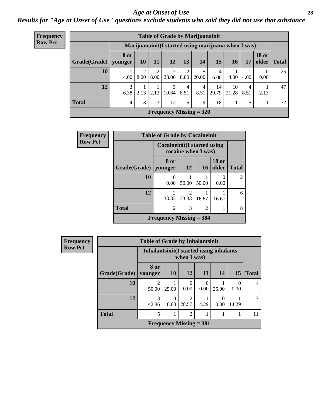#### *Age at Onset of Use* **28**

*Results for "Age at Onset of Use" questions exclude students who said they did not use that substance*

| Frequency      |                        |             |           |               |       |                        | <b>Table of Grade by Marijuanainit</b>               |             |             |           |                       |              |
|----------------|------------------------|-------------|-----------|---------------|-------|------------------------|------------------------------------------------------|-------------|-------------|-----------|-----------------------|--------------|
| <b>Row Pct</b> |                        |             |           |               |       |                        | Marijuanainit (I started using marijuana when I was) |             |             |           |                       |              |
|                | Grade(Grade)   younger | <b>8 or</b> | <b>10</b> | 11            | 12    | 13                     | 14                                                   | 15          | 16          | 17        | <b>18 or</b><br>older | <b>Total</b> |
|                | 10                     | 4.00        | 8.00      | 8.00          | 28.00 | 8.00                   | 20.00                                                | 4<br>16.00  | 4.00        | 4.00      | $\theta$<br>0.00      | 25           |
|                | 12                     | 3<br>6.38   |           | $2.13$   2.13 | 10.64 | $\overline{4}$<br>8.51 | 4<br>8.51                                            | 14<br>29.79 | 10<br>21.28 | 4<br>8.51 | 2.13                  | 47           |
|                | <b>Total</b>           | 4           | 3         | 3             | 12    | 6                      | 9                                                    | 18          | 11          | 5         |                       | 72           |
|                |                        |             |           |               |       |                        | <b>Frequency Missing = <math>320</math></b>          |             |             |           |                       |              |

| Frequency      | <b>Table of Grade by Cocaineinit</b> |                                     |                                      |                |                       |                |  |  |  |
|----------------|--------------------------------------|-------------------------------------|--------------------------------------|----------------|-----------------------|----------------|--|--|--|
| <b>Row Pct</b> |                                      | <b>Cocaineinit</b> (I started using | cocaine when I was)                  |                |                       |                |  |  |  |
|                | Grade(Grade)                         | 8 or<br>younger                     | <b>12</b>                            | 16             | <b>18 or</b><br>older | <b>Total</b>   |  |  |  |
|                | 10                                   | 0<br>0.00                           | 50.00                                | 50.00          | $\Omega$<br>0.00      | $\overline{2}$ |  |  |  |
|                | 12                                   | $\overline{c}$<br>33.33             | $\mathcal{D}_{\mathcal{L}}$<br>33.33 | 16.67          | 16.67                 | 6              |  |  |  |
|                | <b>Total</b>                         | $\overline{c}$                      | 3                                    | $\overline{2}$ |                       | 8              |  |  |  |
|                |                                      | Frequency Missing $=$ 384           |                                      |                |                       |                |  |  |  |

| <b>Frequency</b> |                                                         | <b>Table of Grade by Inhalantsinit</b> |                  |                           |           |       |                  |              |  |
|------------------|---------------------------------------------------------|----------------------------------------|------------------|---------------------------|-----------|-------|------------------|--------------|--|
| <b>Row Pct</b>   | Inhalantsinit (I started using inhalants<br>when I was) |                                        |                  |                           |           |       |                  |              |  |
|                  | Grade(Grade)                                            | 8 or<br>younger                        | 10               | <b>12</b>                 | 13        | 14    | <b>15</b>        | <b>Total</b> |  |
|                  | 10                                                      | 50.00                                  | 25.00            | 0<br>0.00                 | 0<br>0.00 | 25.00 | $\Omega$<br>0.00 | 4            |  |
|                  | 12                                                      | 3<br>42.86                             | $\theta$<br>0.00 | 2<br>28.57                | 14.29     | 0.00  | 14.29            | 7            |  |
|                  | <b>Total</b><br>5<br>$\overline{2}$<br>1                |                                        |                  |                           |           |       |                  |              |  |
|                  |                                                         |                                        |                  | Frequency Missing $= 381$ |           |       |                  |              |  |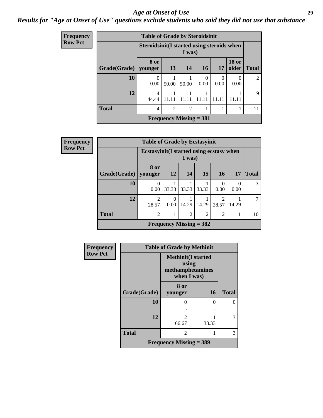#### *Age at Onset of Use* **29**

### *Results for "Age at Onset of Use" questions exclude students who said they did not use that substance*

| <b>Frequency</b> |                                                       | <b>Table of Grade by Steroidsinit</b> |       |                           |           |           |                       |                |  |  |  |
|------------------|-------------------------------------------------------|---------------------------------------|-------|---------------------------|-----------|-----------|-----------------------|----------------|--|--|--|
| <b>Row Pct</b>   | Steroidsinit (I started using steroids when<br>I was) |                                       |       |                           |           |           |                       |                |  |  |  |
|                  | Grade(Grade)                                          | 8 or<br>younger                       | 13    | 14                        | <b>16</b> | 17        | <b>18 or</b><br>older | <b>Total</b>   |  |  |  |
|                  | 10                                                    | $\Omega$<br>0.00                      | 50.00 | 50.00                     | 0<br>0.00 | 0<br>0.00 | $\left($<br>0.00      | $\mathfrak{D}$ |  |  |  |
|                  | 12                                                    | 4<br>44.44                            | 11.11 |                           |           | 11.11     | 11.11                 | 9              |  |  |  |
|                  | <b>Total</b>                                          | 4                                     | 2     | $\overline{2}$            |           |           |                       | 11             |  |  |  |
|                  |                                                       |                                       |       | Frequency Missing $= 381$ |           |           |                       |                |  |  |  |

| Frequency      |                        | <b>Table of Grade by Ecstasyinit</b>                                 |                                                     |                           |       |                  |                  |              |  |
|----------------|------------------------|----------------------------------------------------------------------|-----------------------------------------------------|---------------------------|-------|------------------|------------------|--------------|--|
| <b>Row Pct</b> |                        |                                                                      | Ecstasyinit (I started using ecstasy when<br>I was) |                           |       |                  |                  |              |  |
|                | Grade(Grade)   younger | 8 or                                                                 | <b>12</b>                                           | 14                        | 15    | <b>16</b>        | <b>17</b>        | <b>Total</b> |  |
|                | 10                     | 0<br>0.00                                                            | 33.33                                               | 33.33                     | 33.33 | $\Omega$<br>0.00 | $\Omega$<br>0.00 | 3            |  |
|                | 12                     | $\overline{2}$<br>28.57                                              | $\Omega$<br>0.00                                    | 14.29                     | 14.29 | 2<br>28.57       | 14.29            | 7            |  |
|                | <b>Total</b>           | $\overline{2}$<br>$\overline{2}$<br>$\overline{2}$<br>$\overline{2}$ |                                                     |                           |       |                  |                  |              |  |
|                |                        |                                                                      |                                                     | Frequency Missing $=$ 382 |       |                  |                  |              |  |

| <b>Frequency</b> |                                | <b>Table of Grade by Methinit</b>                                     |           |              |  |  |  |  |
|------------------|--------------------------------|-----------------------------------------------------------------------|-----------|--------------|--|--|--|--|
| <b>Row Pct</b>   |                                | <b>Methinit(I started</b><br>using<br>methamphetamines<br>when I was) |           |              |  |  |  |  |
|                  | Grade(Grade)                   | 8 or<br>younger                                                       | <b>16</b> | <b>Total</b> |  |  |  |  |
|                  | 10                             | 0                                                                     | $\theta$  |              |  |  |  |  |
|                  | 12                             | $\mathfrak{D}$<br>66.67                                               | 33.33     | 3            |  |  |  |  |
|                  | <b>Total</b>                   | $\overline{2}$                                                        |           | 3            |  |  |  |  |
|                  | <b>Frequency Missing = 389</b> |                                                                       |           |              |  |  |  |  |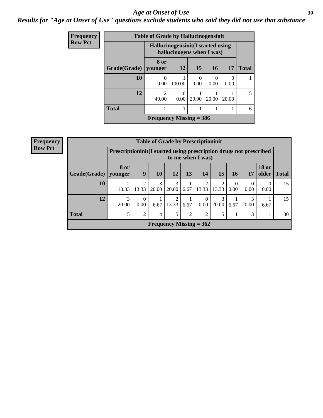#### Age at Onset of Use **30**

### *Results for "Age at Onset of Use" questions exclude students who said they did not use that substance*

| Frequency      |                                                                 | <b>Table of Grade by Hallucinogensinit</b> |           |                  |       |           |              |
|----------------|-----------------------------------------------------------------|--------------------------------------------|-----------|------------------|-------|-----------|--------------|
| <b>Row Pct</b> | Hallucinogensinit (I started using<br>hallucinogens when I was) |                                            |           |                  |       |           |              |
|                | Grade(Grade)                                                    | 8 or<br>vounger                            | <b>12</b> | 15               | 16    | <b>17</b> | <b>Total</b> |
|                | 10                                                              | $\theta$<br>0.00                           | 100.00    | $\Omega$<br>0.00 | 0.00  | 0.00      |              |
|                | 12                                                              | $\mathfrak{D}$<br>40.00                    | 0.00      | 20.00            | 20.00 | 20.00     | 5            |
|                | <b>Total</b>                                                    | $\overline{2}$                             | 1         |                  |       |           | 6            |
|                |                                                                 | Frequency Missing $=$ 386                  |           |                  |       |           |              |

| <b>Frequency</b> |
|------------------|
| <b>Row Pct</b>   |

| <b>Table of Grade by Prescriptioninit</b> |                           |                                                                                          |            |            |                |                         |            |                               |           |                       |              |
|-------------------------------------------|---------------------------|------------------------------------------------------------------------------------------|------------|------------|----------------|-------------------------|------------|-------------------------------|-----------|-----------------------|--------------|
|                                           |                           | Prescriptioninit (I started using prescription drugs not prescribed<br>to me when I was) |            |            |                |                         |            |                               |           |                       |              |
| Grade(Grade)   younger                    | 8 or                      | 9                                                                                        | 10         | 12         | 13             | 14                      | 15         | <b>16</b>                     | 17        | <b>18 or</b><br>older | <b>Total</b> |
| 10                                        | $\overline{c}$<br>13.33   | 13.33                                                                                    | 3<br>20.00 | 3<br>20.00 | 6.67           | $\overline{2}$<br>13.33 | 2<br>13.33 | $\Omega$<br>0.00 <sub>1</sub> | 0<br>0.00 | $\Omega$<br>0.00      | 15           |
| 12                                        | 3<br>20.00                | 0<br>0.00                                                                                | 6.67       | 2<br>13.33 | 6.67           | $\Omega$<br>0.00        | 3<br>20.00 | 6.67                          | 20.00     | 6.67                  | 15           |
| <b>Total</b>                              | 5                         | 2                                                                                        | 4          | 5          | $\overline{c}$ | $\overline{2}$          | 5          | 1                             | 3         |                       | 30           |
|                                           | Frequency Missing $= 362$ |                                                                                          |            |            |                |                         |            |                               |           |                       |              |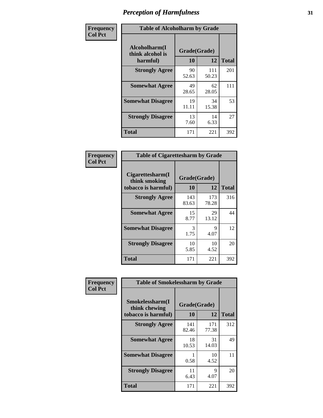| Frequency      | <b>Table of Alcoholharm by Grade</b>          |                    |              |              |  |  |
|----------------|-----------------------------------------------|--------------------|--------------|--------------|--|--|
| <b>Col Pct</b> | Alcoholharm(I<br>think alcohol is<br>harmful) | Grade(Grade)<br>10 | 12           | <b>Total</b> |  |  |
|                | <b>Strongly Agree</b>                         | 90<br>52.63        | 111<br>50.23 | 201          |  |  |
|                | <b>Somewhat Agree</b>                         | 49<br>28.65        | 62<br>28.05  | 111          |  |  |
|                | <b>Somewhat Disagree</b>                      | 19<br>11.11        | 34<br>15.38  | 53           |  |  |
|                | <b>Strongly Disagree</b>                      | 13<br>7.60         | 14<br>6.33   | 27           |  |  |
|                | <b>Total</b>                                  | 171                | 221          | 392          |  |  |

| <b>Table of Cigarettesharm by Grade</b>                  |                           |              |              |  |  |  |  |
|----------------------------------------------------------|---------------------------|--------------|--------------|--|--|--|--|
| Cigarettesharm(I<br>think smoking<br>tobacco is harmful) | Grade(Grade)<br><b>10</b> | 12           | <b>Total</b> |  |  |  |  |
| <b>Strongly Agree</b>                                    | 143<br>83.63              | 173<br>78.28 | 316          |  |  |  |  |
| <b>Somewhat Agree</b>                                    | 15<br>8.77                | 29<br>13.12  | 44           |  |  |  |  |
| <b>Somewhat Disagree</b>                                 | 3<br>1.75                 | 9<br>4.07    | 12           |  |  |  |  |
| <b>Strongly Disagree</b>                                 | 10<br>5.85                | 10<br>4.52   | 20           |  |  |  |  |
| <b>Total</b>                                             | 171                       | 221          | 392          |  |  |  |  |

| Frequency      |                                                         | <b>Table of Smokelessharm by Grade</b> |              |              |  |  |  |  |
|----------------|---------------------------------------------------------|----------------------------------------|--------------|--------------|--|--|--|--|
| <b>Col Pct</b> | Smokelessharm(I<br>think chewing<br>tobacco is harmful) | Grade(Grade)<br>10                     | 12           | <b>Total</b> |  |  |  |  |
|                | <b>Strongly Agree</b>                                   | 141<br>82.46                           | 171<br>77.38 | 312          |  |  |  |  |
|                | <b>Somewhat Agree</b>                                   | 18<br>10.53                            | 31<br>14.03  | 49           |  |  |  |  |
|                | <b>Somewhat Disagree</b>                                | 0.58                                   | 10<br>4.52   | 11           |  |  |  |  |
|                | <b>Strongly Disagree</b>                                | 11<br>6.43                             | 9<br>4.07    | 20           |  |  |  |  |
|                | <b>Total</b>                                            | 171                                    | 221          | 392          |  |  |  |  |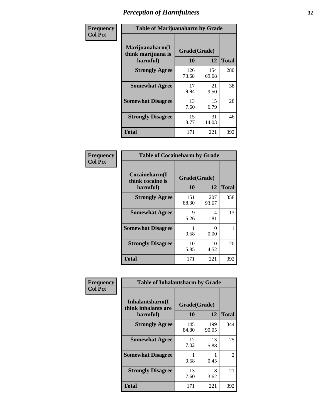| Frequency      | <b>Table of Marijuanaharm by Grade</b>            |                    |              |              |  |  |
|----------------|---------------------------------------------------|--------------------|--------------|--------------|--|--|
| <b>Col Pct</b> | Marijuanaharm(I<br>think marijuana is<br>harmful) | Grade(Grade)<br>10 | 12           | <b>Total</b> |  |  |
|                | <b>Strongly Agree</b>                             | 126<br>73.68       | 154<br>69.68 | 280          |  |  |
|                | <b>Somewhat Agree</b>                             | 17<br>9.94         | 21<br>9.50   | 38           |  |  |
|                | <b>Somewhat Disagree</b>                          | 13<br>7.60         | 15<br>6.79   | 28           |  |  |
|                | <b>Strongly Disagree</b>                          | 15<br>8.77         | 31<br>14.03  | 46           |  |  |
|                | <b>Total</b>                                      | 171                | 221          | 392          |  |  |

| <b>Table of Cocaineharm by Grade</b>          |                    |              |              |  |  |  |  |
|-----------------------------------------------|--------------------|--------------|--------------|--|--|--|--|
| Cocaineharm(I<br>think cocaine is<br>harmful) | Grade(Grade)<br>10 | 12           | <b>Total</b> |  |  |  |  |
| <b>Strongly Agree</b>                         | 151<br>88.30       | 207<br>93.67 | 358          |  |  |  |  |
| <b>Somewhat Agree</b>                         | 9<br>5.26          | 4<br>1.81    | 13           |  |  |  |  |
| <b>Somewhat Disagree</b>                      | 0.58               | 0<br>0.00    | 1            |  |  |  |  |
| <b>Strongly Disagree</b>                      | 10<br>5.85         | 10<br>4.52   | 20           |  |  |  |  |
| Total                                         | 171                | 221          | 392          |  |  |  |  |

| Frequency      | <b>Table of Inhalantsharm by Grade</b>             |                           |              |              |
|----------------|----------------------------------------------------|---------------------------|--------------|--------------|
| <b>Col Pct</b> | Inhalantsharm(I<br>think inhalants are<br>harmful) | Grade(Grade)<br><b>10</b> | 12           | <b>Total</b> |
|                | <b>Strongly Agree</b>                              | 145<br>84.80              | 199<br>90.05 | 344          |
|                | <b>Somewhat Agree</b>                              | 12<br>7.02                | 13<br>5.88   | 25           |
|                | <b>Somewhat Disagree</b>                           | 0.58                      | 0.45         | 2            |
|                | <b>Strongly Disagree</b>                           | 13<br>7.60                | 8<br>3.62    | 21           |
|                | Total                                              | 171                       | 221          | 392          |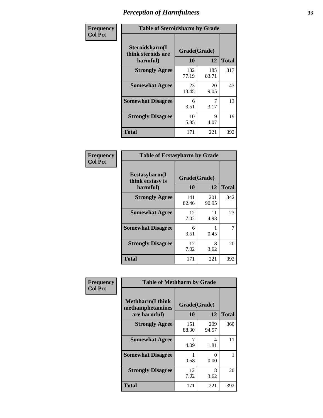| Frequency      | <b>Table of Steroidsharm by Grade</b>            |                    |              |              |
|----------------|--------------------------------------------------|--------------------|--------------|--------------|
| <b>Col Pct</b> | Steroidsharm(I<br>think steroids are<br>harmful) | Grade(Grade)<br>10 | 12           | <b>Total</b> |
|                | <b>Strongly Agree</b>                            | 132<br>77.19       | 185<br>83.71 | 317          |
|                | <b>Somewhat Agree</b>                            | 23<br>13.45        | 20<br>9.05   | 43           |
|                | <b>Somewhat Disagree</b>                         | 6<br>3.51          | 7<br>3.17    | 13           |
|                | <b>Strongly Disagree</b>                         | 10<br>5.85         | 9<br>4.07    | 19           |
|                | <b>Total</b>                                     | 171                | 221          | 392          |

| <b>Table of Ecstasyharm by Grade</b>                |                    |              |     |  |  |
|-----------------------------------------------------|--------------------|--------------|-----|--|--|
| $E$ cstasyharm $(I$<br>think ecstasy is<br>harmful) | Grade(Grade)<br>10 | <b>Total</b> |     |  |  |
| <b>Strongly Agree</b>                               | 141<br>82.46       | 201<br>90.95 | 342 |  |  |
| <b>Somewhat Agree</b>                               | 12<br>7.02         | 11<br>4.98   | 23  |  |  |
| <b>Somewhat Disagree</b>                            | 6<br>3.51          | 0.45         | 7   |  |  |
| <b>Strongly Disagree</b>                            | 12<br>7.02         | 8<br>3.62    | 20  |  |  |
| Total                                               | 171                | 221          | 392 |  |  |

| Frequency      | <b>Table of Methharm by Grade</b>                            |                           |              |              |
|----------------|--------------------------------------------------------------|---------------------------|--------------|--------------|
| <b>Col Pct</b> | <b>Methharm</b> (I think<br>methamphetamines<br>are harmful) | Grade(Grade)<br><b>10</b> | 12           | <b>Total</b> |
|                | <b>Strongly Agree</b>                                        | 151<br>88.30              | 209<br>94.57 | 360          |
|                | <b>Somewhat Agree</b>                                        | 4.09                      | 4<br>1.81    | 11           |
|                | <b>Somewhat Disagree</b>                                     | 0.58                      | 0<br>0.00    |              |
|                | <b>Strongly Disagree</b>                                     | 12<br>7.02                | 8<br>3.62    | 20           |
|                | <b>Total</b>                                                 | 171                       | 221          | 392          |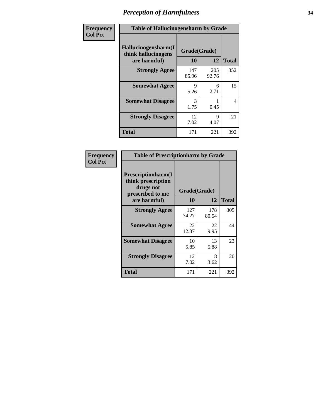| Frequency      | <b>Table of Hallucinogensharm by Grade</b>                 |                    |              |                |
|----------------|------------------------------------------------------------|--------------------|--------------|----------------|
| <b>Col Pct</b> | Hallucinogensharm(I<br>think hallucinogens<br>are harmful) | Grade(Grade)<br>10 | 12           | <b>Total</b>   |
|                | <b>Strongly Agree</b>                                      | 147<br>85.96       | 205<br>92.76 | 352            |
|                | <b>Somewhat Agree</b>                                      | 9<br>5.26          | 6<br>2.71    | 15             |
|                | <b>Somewhat Disagree</b>                                   | 3<br>1.75          | 0.45         | $\overline{4}$ |
|                | <b>Strongly Disagree</b>                                   | 12<br>7.02         | 9<br>4.07    | 21             |
|                | <b>Total</b>                                               | 171                | 221          | 392            |

| <b>Table of Prescriptionharm by Grade</b>                                         |              |              |              |  |  |
|-----------------------------------------------------------------------------------|--------------|--------------|--------------|--|--|
| <b>Prescriptionharm</b> (I<br>think prescription<br>drugs not<br>prescribed to me | Grade(Grade) |              |              |  |  |
| are harmful)                                                                      | 10           | 12           | <b>Total</b> |  |  |
| <b>Strongly Agree</b>                                                             | 127<br>74.27 | 178<br>80.54 | 305          |  |  |
| <b>Somewhat Agree</b>                                                             | 22<br>12.87  | 22<br>9.95   | 44           |  |  |
| <b>Somewhat Disagree</b>                                                          | 10<br>5.85   | 13<br>5.88   | 23           |  |  |
| <b>Strongly Disagree</b>                                                          | 12<br>7.02   | 8<br>3.62    | 20           |  |  |
| Total                                                                             | 171          | 221          | 392          |  |  |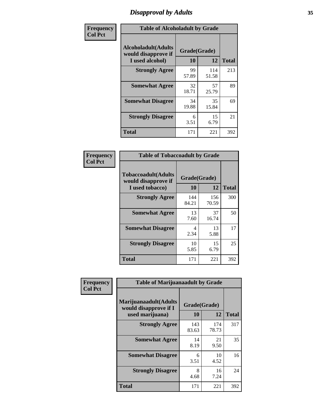# *Disapproval by Adults* **35**

| Frequency      | <b>Table of Alcoholadult by Grade</b>                                 |                    |              |              |
|----------------|-----------------------------------------------------------------------|--------------------|--------------|--------------|
| <b>Col Pct</b> | <b>Alcoholadult</b> (Adults<br>would disapprove if<br>I used alcohol) | Grade(Grade)<br>10 | 12           | <b>Total</b> |
|                | <b>Strongly Agree</b>                                                 | 99<br>57.89        | 114<br>51.58 | 213          |
|                | <b>Somewhat Agree</b>                                                 | 32<br>18.71        | 57<br>25.79  | 89           |
|                | <b>Somewhat Disagree</b>                                              | 34<br>19.88        | 35<br>15.84  | 69           |
|                | <b>Strongly Disagree</b>                                              | 6<br>3.51          | 15<br>6.79   | 21           |
|                | <b>Total</b>                                                          | 171                | 221          | 392          |

| <b>Table of Tobaccoadult by Grade</b>                                 |              |                    |              |  |  |
|-----------------------------------------------------------------------|--------------|--------------------|--------------|--|--|
| <b>Tobaccoadult</b> (Adults<br>would disapprove if<br>I used tobacco) | 10           | Grade(Grade)<br>12 | <b>Total</b> |  |  |
| <b>Strongly Agree</b>                                                 | 144<br>84.21 | 156<br>70.59       | 300          |  |  |
| <b>Somewhat Agree</b>                                                 | 13<br>7.60   | 37<br>16.74        | 50           |  |  |
| <b>Somewhat Disagree</b>                                              | 4<br>2.34    | 13<br>5.88         | 17           |  |  |
| <b>Strongly Disagree</b>                                              | 10<br>5.85   | 15<br>6.79         | 25           |  |  |
| Total                                                                 | 171          | 221                | 392          |  |  |

| Frequency      | <b>Table of Marijuanaadult by Grade</b>                           |                    |              |              |
|----------------|-------------------------------------------------------------------|--------------------|--------------|--------------|
| <b>Col Pct</b> | Marijuanaadult(Adults<br>would disapprove if I<br>used marijuana) | Grade(Grade)<br>10 | 12           | <b>Total</b> |
|                | <b>Strongly Agree</b>                                             | 143<br>83.63       | 174<br>78.73 | 317          |
|                | <b>Somewhat Agree</b>                                             | 14<br>8.19         | 21<br>9.50   | 35           |
|                | <b>Somewhat Disagree</b>                                          | 6<br>3.51          | 10<br>4.52   | 16           |
|                | <b>Strongly Disagree</b>                                          | 8<br>4.68          | 16<br>7.24   | 24           |
|                | <b>Total</b>                                                      | 171                | 221          | 392          |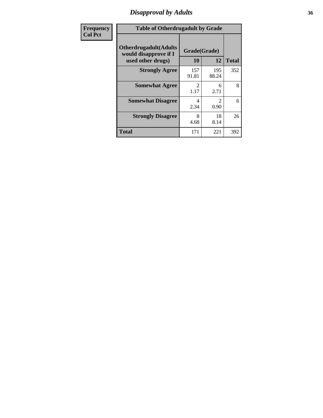# *Disapproval by Adults* **36**

| <b>Frequency</b> | <b>Table of Otherdrugadult by Grade</b>                |                                     |                               |              |
|------------------|--------------------------------------------------------|-------------------------------------|-------------------------------|--------------|
| <b>Col Pct</b>   | <b>Otherdrugadult</b> (Adults<br>would disapprove if I | Grade(Grade)                        |                               |              |
|                  | used other drugs)                                      | 10                                  | 12                            | <b>Total</b> |
|                  | <b>Strongly Agree</b>                                  | 157<br>91.81                        | 195<br>88.24                  | 352          |
|                  | <b>Somewhat Agree</b>                                  | $\mathcal{D}_{\mathcal{L}}$<br>1.17 | 6<br>2.71                     | 8            |
|                  | <b>Somewhat Disagree</b>                               | 4<br>2.34                           | $\mathcal{D}_{\cdot}$<br>0.90 | 6            |
|                  | <b>Strongly Disagree</b>                               | 8<br>4.68                           | 18<br>8.14                    | 26           |
|                  | <b>Total</b>                                           | 171                                 | 221                           | 392          |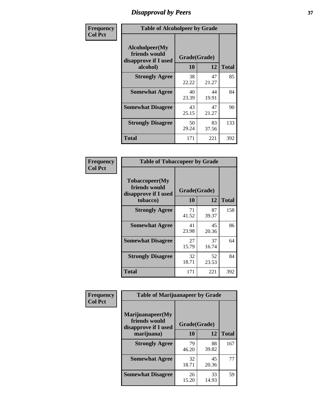# *Disapproval by Peers* **37**

| Frequency      | <b>Table of Alcoholpeer by Grade</b>                    |              |             |              |  |
|----------------|---------------------------------------------------------|--------------|-------------|--------------|--|
| <b>Col Pct</b> | Alcoholpeer(My<br>friends would<br>disapprove if I used | Grade(Grade) |             |              |  |
|                | alcohol)                                                | 10           | 12          | <b>Total</b> |  |
|                | <b>Strongly Agree</b>                                   | 38<br>22.22  | 47<br>21.27 | 85           |  |
|                | <b>Somewhat Agree</b>                                   | 40<br>23.39  | 44<br>19.91 | 84           |  |
|                | <b>Somewhat Disagree</b>                                | 43<br>25.15  | 47<br>21.27 | 90           |  |
|                | <b>Strongly Disagree</b>                                | 50<br>29.24  | 83<br>37.56 | 133          |  |
|                | Total                                                   | 171          | 221         | 392          |  |

| Frequency      | <b>Table of Tobaccopeer by Grade</b>                                |                    |             |              |  |
|----------------|---------------------------------------------------------------------|--------------------|-------------|--------------|--|
| <b>Col Pct</b> | Tobaccopeer(My<br>friends would<br>disapprove if I used<br>tobacco) | Grade(Grade)<br>10 | 12          | <b>Total</b> |  |
|                | <b>Strongly Agree</b>                                               | 71<br>41.52        | 87<br>39.37 | 158          |  |
|                | <b>Somewhat Agree</b>                                               | 41<br>23.98        | 45<br>20.36 | 86           |  |
|                | <b>Somewhat Disagree</b>                                            | 27<br>15.79        | 37<br>16.74 | 64           |  |
|                | <b>Strongly Disagree</b>                                            | 32<br>18.71        | 52<br>23.53 | 84           |  |
|                | Total                                                               | 171                | 221         | 392          |  |

| Frequency      | <b>Table of Marijuanapeer by Grade</b>                    |              |             |              |
|----------------|-----------------------------------------------------------|--------------|-------------|--------------|
| <b>Col Pct</b> | Marijuanapeer(My<br>friends would<br>disapprove if I used | Grade(Grade) |             |              |
|                | marijuana)                                                | <b>10</b>    | 12          | <b>Total</b> |
|                | <b>Strongly Agree</b>                                     | 79<br>46.20  | 88<br>39.82 | 167          |
|                | <b>Somewhat Agree</b>                                     | 32<br>18.71  | 45<br>20.36 | 77           |
|                | <b>Somewhat Disagree</b>                                  | 26<br>15.20  | 33<br>14.93 | 59           |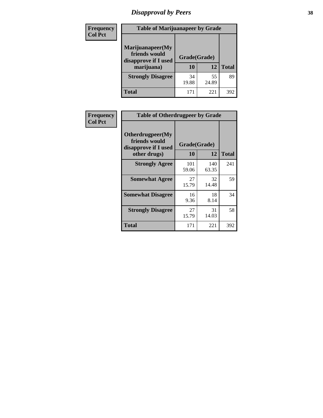# *Disapproval by Peers* **38**

| Frequency<br><b>Col Pct</b> | <b>Table of Marijuanapeer by Grade</b>                                  |                    |             |              |
|-----------------------------|-------------------------------------------------------------------------|--------------------|-------------|--------------|
|                             | Marijuanapeer(My<br>friends would<br>disapprove if I used<br>marijuana) | Grade(Grade)<br>10 | 12          | <b>Total</b> |
|                             | <b>Strongly Disagree</b>                                                | 34<br>19.88        | 55<br>24.89 | 89           |
|                             | Total                                                                   | 171                | 221         | 392          |

| Frequency      | <b>Table of Otherdrugpeer by Grade</b>                                    |                    |              |              |
|----------------|---------------------------------------------------------------------------|--------------------|--------------|--------------|
| <b>Col Pct</b> | Otherdrugpeer(My<br>friends would<br>disapprove if I used<br>other drugs) | Grade(Grade)<br>10 | 12           | <b>Total</b> |
|                | <b>Strongly Agree</b>                                                     | 101<br>59.06       | 140<br>63.35 | 241          |
|                | <b>Somewhat Agree</b>                                                     | 27<br>15.79        | 32<br>14.48  | 59           |
|                | <b>Somewhat Disagree</b>                                                  | 16<br>9.36         | 18<br>8.14   | 34           |
|                | <b>Strongly Disagree</b>                                                  | 27<br>15.79        | 31<br>14.03  | 58           |
|                | <b>Total</b>                                                              | 171                | 221          | 392          |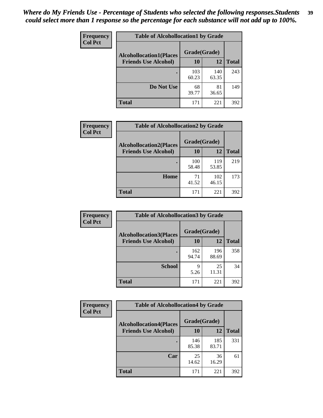| Frequency      | <b>Table of Alcohollocation1 by Grade</b> |              |              |              |
|----------------|-------------------------------------------|--------------|--------------|--------------|
| <b>Col Pct</b> | <b>Alcohollocation1(Places</b>            | Grade(Grade) |              |              |
|                | <b>Friends Use Alcohol)</b>               | 10           | 12           | <b>Total</b> |
|                |                                           | 103<br>60.23 | 140<br>63.35 | 243          |
|                | Do Not Use                                | 68<br>39.77  | 81<br>36.65  | 149          |
|                | <b>Total</b>                              | 171          | 221          | 392          |

| Frequency      | <b>Table of Alcohollocation2 by Grade</b>                     |                    |              |              |
|----------------|---------------------------------------------------------------|--------------------|--------------|--------------|
| <b>Col Pct</b> | <b>Alcohollocation2(Places</b><br><b>Friends Use Alcohol)</b> | Grade(Grade)<br>10 | 12           | <b>Total</b> |
|                |                                                               | 100<br>58.48       | 119<br>53.85 | 219          |
|                | Home                                                          | 71<br>41.52        | 102<br>46.15 | 173          |
|                | Total                                                         | 171                | 221          | 392          |

| Frequency<br><b>Col Pct</b> | <b>Table of Alcohollocation 3 by Grade</b>                    |                    |              |              |  |
|-----------------------------|---------------------------------------------------------------|--------------------|--------------|--------------|--|
|                             | <b>Alcohollocation3(Places</b><br><b>Friends Use Alcohol)</b> | Grade(Grade)<br>10 | 12           | <b>Total</b> |  |
|                             |                                                               | 162<br>94.74       | 196<br>88.69 | 358          |  |
|                             | <b>School</b>                                                 | 9<br>5.26          | 25<br>11.31  | 34           |  |
|                             | <b>Total</b>                                                  | 171                | 221          | 392          |  |

| <b>Frequency</b> | <b>Table of Alcohollocation4 by Grade</b> |              |              |              |  |
|------------------|-------------------------------------------|--------------|--------------|--------------|--|
| <b>Col Pct</b>   | <b>Alcohollocation4(Places</b>            | Grade(Grade) |              |              |  |
|                  | <b>Friends Use Alcohol)</b>               | 10           | 12           | <b>Total</b> |  |
|                  |                                           | 146<br>85.38 | 185<br>83.71 | 331          |  |
|                  | Car                                       | 25<br>14.62  | 36<br>16.29  | 61           |  |
|                  | <b>Total</b>                              | 171          | 221          | 392          |  |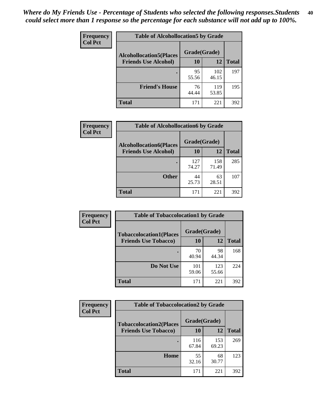| Frequency<br><b>Col Pct</b> | <b>Table of Alcohollocation5 by Grade</b> |              |              |              |  |
|-----------------------------|-------------------------------------------|--------------|--------------|--------------|--|
|                             | <b>Alcohollocation5(Places</b>            | Grade(Grade) |              |              |  |
|                             | <b>Friends Use Alcohol)</b>               | 10           | 12           | <b>Total</b> |  |
|                             |                                           | 95<br>55.56  | 102<br>46.15 | 197          |  |
|                             | <b>Friend's House</b>                     | 76<br>44.44  | 119<br>53.85 | 195          |  |
|                             | Total                                     | 171          | 221          | 392          |  |

| <b>Frequency</b> | <b>Table of Alcohollocation6 by Grade</b> |              |              |              |
|------------------|-------------------------------------------|--------------|--------------|--------------|
| <b>Col Pct</b>   | <b>Alcohollocation6(Places</b>            | Grade(Grade) |              |              |
|                  | <b>Friends Use Alcohol)</b>               | 10           | 12           | <b>Total</b> |
|                  |                                           | 127<br>74.27 | 158<br>71.49 | 285          |
|                  | <b>Other</b>                              | 44<br>25.73  | 63<br>28.51  | 107          |
|                  | <b>Total</b>                              | 171          | 221          | 392          |

| <b>Frequency</b> | <b>Table of Tobaccolocation1 by Grade</b> |              |              |              |
|------------------|-------------------------------------------|--------------|--------------|--------------|
| <b>Col Pct</b>   | <b>Tobaccolocation1(Places</b>            | Grade(Grade) |              |              |
|                  | <b>Friends Use Tobacco)</b>               | 10           | 12           | <b>Total</b> |
|                  |                                           | 70<br>40.94  | 98<br>44.34  | 168          |
|                  | Do Not Use                                | 101<br>59.06 | 123<br>55.66 | 224          |
|                  | <b>Total</b>                              | 171          | 221          | 392          |

| <b>Frequency</b> | <b>Table of Tobaccolocation2 by Grade</b> |              |              |              |  |
|------------------|-------------------------------------------|--------------|--------------|--------------|--|
| <b>Col Pct</b>   | <b>Tobaccolocation2(Places</b>            | Grade(Grade) |              |              |  |
|                  | <b>Friends Use Tobacco)</b>               | 10           | 12           | <b>Total</b> |  |
|                  |                                           | 116<br>67.84 | 153<br>69.23 | 269          |  |
|                  | Home                                      | 55<br>32.16  | 68<br>30.77  | 123          |  |
|                  | <b>Total</b>                              | 171          | 221          | 392          |  |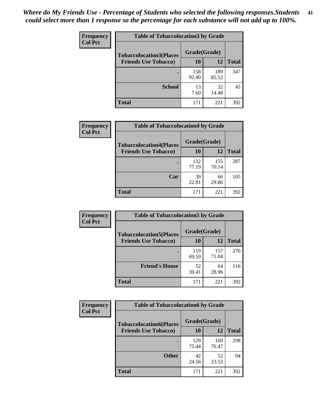| Frequency      | <b>Table of Tobaccolocation 3 by Grade</b> |              |              |              |
|----------------|--------------------------------------------|--------------|--------------|--------------|
| <b>Col Pct</b> | <b>Tobaccolocation3(Places</b>             | Grade(Grade) |              |              |
|                | <b>Friends Use Tobacco)</b>                | 10           | 12           | <b>Total</b> |
|                |                                            | 158<br>92.40 | 189<br>85.52 | 347          |
|                | <b>School</b>                              | 13<br>7.60   | 32<br>14.48  | 45           |
|                | <b>Total</b>                               | 171          | 221          | 392          |

| Frequency      | <b>Table of Tobaccolocation4 by Grade</b> |              |              |              |
|----------------|-------------------------------------------|--------------|--------------|--------------|
| <b>Col Pct</b> | <b>Tobaccolocation4(Places</b>            | Grade(Grade) |              |              |
|                | <b>Friends Use Tobacco)</b>               | 10           | 12           | <b>Total</b> |
|                |                                           | 132<br>77.19 | 155<br>70.14 | 287          |
|                | Car                                       | 39<br>22.81  | 66<br>29.86  | 105          |
|                | <b>Total</b>                              | 171          | 221          | 392          |

| Frequency<br><b>Col Pct</b> | <b>Table of Tobaccolocation5 by Grade</b> |              |              |              |
|-----------------------------|-------------------------------------------|--------------|--------------|--------------|
|                             | <b>Tobaccolocation5(Places</b>            | Grade(Grade) |              |              |
|                             | <b>Friends Use Tobacco)</b>               | 10           | <b>12</b>    | <b>Total</b> |
|                             |                                           | 119<br>69.59 | 157<br>71.04 | 276          |
|                             | <b>Friend's House</b>                     | 52<br>30.41  | 64<br>28.96  | 116          |
|                             | <b>Total</b>                              | 171          | 221          | 392          |

| <b>Frequency</b> | <b>Table of Tobaccolocation6 by Grade</b> |              |              |              |  |
|------------------|-------------------------------------------|--------------|--------------|--------------|--|
| <b>Col Pct</b>   | <b>Tobaccolocation6(Places</b>            | Grade(Grade) |              |              |  |
|                  | <b>Friends Use Tobacco)</b>               | 10           | 12           | <b>Total</b> |  |
|                  |                                           | 129<br>75.44 | 169<br>76.47 | 298          |  |
|                  | <b>Other</b>                              | 42<br>24.56  | 52<br>23.53  | 94           |  |
|                  | <b>Total</b>                              | 171          | 221          | 392          |  |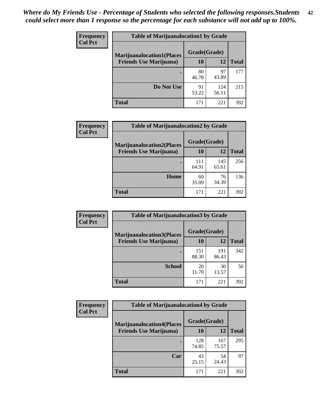| <b>Frequency</b> | <b>Table of Marijuanalocation1 by Grade</b> |              |              |              |
|------------------|---------------------------------------------|--------------|--------------|--------------|
| <b>Col Pct</b>   | <b>Marijuanalocation1(Places</b>            | Grade(Grade) |              |              |
|                  | <b>Friends Use Marijuana</b> )              | 10           | 12           | <b>Total</b> |
|                  |                                             | 80<br>46.78  | 97<br>43.89  | 177          |
|                  | Do Not Use                                  | 91<br>53.22  | 124<br>56.11 | 215          |
|                  | <b>Total</b>                                | 171          | 221          | 392          |

| <b>Frequency</b> | <b>Table of Marijuanalocation2 by Grade</b>                        |                           |              |              |
|------------------|--------------------------------------------------------------------|---------------------------|--------------|--------------|
| <b>Col Pct</b>   | <b>Marijuanalocation2(Places</b><br><b>Friends Use Marijuana</b> ) | Grade(Grade)<br><b>10</b> | 12           | <b>Total</b> |
|                  |                                                                    | 111<br>64.91              | 145<br>65.61 | 256          |
|                  | Home                                                               | 60<br>35.09               | 76<br>34.39  | 136          |
|                  | <b>Total</b>                                                       | 171                       | 221          | 392          |

| Frequency<br><b>Col Pct</b> | <b>Table of Marijuanalocation3 by Grade</b> |              |              |              |
|-----------------------------|---------------------------------------------|--------------|--------------|--------------|
|                             | <b>Marijuanalocation3(Places</b>            | Grade(Grade) |              |              |
|                             | <b>Friends Use Marijuana</b> )              | 10           | 12           | <b>Total</b> |
|                             |                                             | 151<br>88.30 | 191<br>86.43 | 342          |
|                             | <b>School</b>                               | 20<br>11.70  | 30<br>13.57  | 50           |
|                             | <b>Total</b>                                | 171          | 221          | 392          |

| <b>Frequency</b> | <b>Table of Marijuanalocation4 by Grade</b> |              |              |              |
|------------------|---------------------------------------------|--------------|--------------|--------------|
| <b>Col Pct</b>   | <b>Marijuanalocation4(Places</b>            | Grade(Grade) |              |              |
|                  | <b>Friends Use Marijuana</b> )              | <b>10</b>    | 12           | <b>Total</b> |
|                  |                                             | 128<br>74.85 | 167<br>75.57 | 295          |
|                  | Car                                         | 43<br>25.15  | 54<br>24.43  | 97           |
|                  | <b>Total</b>                                | 171          | 221          | 392          |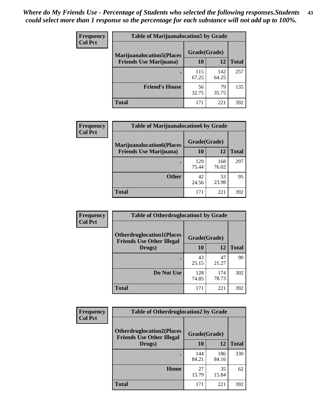| <b>Frequency</b> | <b>Table of Marijuanalocation5 by Grade</b> |              |              |              |
|------------------|---------------------------------------------|--------------|--------------|--------------|
| <b>Col Pct</b>   | <b>Marijuanalocation5</b> (Places           | Grade(Grade) |              |              |
|                  | <b>Friends Use Marijuana</b> )              | 10           | 12           | <b>Total</b> |
|                  |                                             | 115<br>67.25 | 142<br>64.25 | 257          |
|                  | <b>Friend's House</b>                       | 56<br>32.75  | 79<br>35.75  | 135          |
|                  | <b>Total</b>                                | 171          | 221          | 392          |

| <b>Frequency</b> | <b>Table of Marijuanalocation6 by Grade</b>                        |                    |              |              |
|------------------|--------------------------------------------------------------------|--------------------|--------------|--------------|
| <b>Col Pct</b>   | <b>Marijuanalocation6(Places</b><br><b>Friends Use Marijuana</b> ) | Grade(Grade)<br>10 | 12           | <b>Total</b> |
|                  |                                                                    | 129<br>75.44       | 168<br>76.02 | 297          |
|                  | <b>Other</b>                                                       | 42<br>24.56        | 53<br>23.98  | 95           |
|                  | <b>Total</b>                                                       | 171                | 221          | 392          |

| <b>Frequency</b> | <b>Table of Otherdruglocation1 by Grade</b>                          |              |              |              |
|------------------|----------------------------------------------------------------------|--------------|--------------|--------------|
| <b>Col Pct</b>   | <b>Otherdruglocation1(Places</b><br><b>Friends Use Other Illegal</b> | Grade(Grade) |              |              |
|                  | Drugs)                                                               | 10           | 12           | <b>Total</b> |
|                  |                                                                      | 43<br>25.15  | 47<br>21.27  | 90           |
|                  | Do Not Use                                                           | 128<br>74.85 | 174<br>78.73 | 302          |
|                  | <b>Total</b>                                                         | 171          | 221          | 392          |

| Frequency      | <b>Table of Otherdruglocation2 by Grade</b>                          |              |              |              |
|----------------|----------------------------------------------------------------------|--------------|--------------|--------------|
| <b>Col Pct</b> | <b>Otherdruglocation2(Places</b><br><b>Friends Use Other Illegal</b> | Grade(Grade) |              |              |
|                | Drugs)                                                               | 10           | 12           | <b>Total</b> |
|                |                                                                      | 144<br>84.21 | 186<br>84.16 | 330          |
|                | Home                                                                 | 27<br>15.79  | 35<br>15.84  | 62           |
|                | <b>Total</b>                                                         | 171          | 221          | 392          |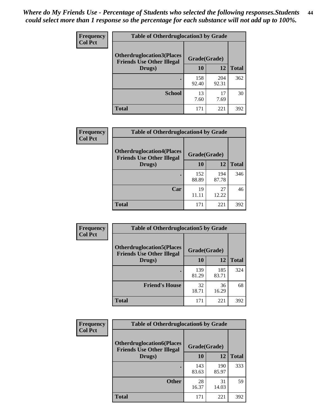| <b>Frequency</b> | <b>Table of Otherdruglocation3 by Grade</b>                          |              |              |              |
|------------------|----------------------------------------------------------------------|--------------|--------------|--------------|
| <b>Col Pct</b>   | <b>Otherdruglocation3(Places</b><br><b>Friends Use Other Illegal</b> | Grade(Grade) |              |              |
|                  | Drugs)                                                               | 10           | 12           | <b>Total</b> |
|                  |                                                                      | 158<br>92.40 | 204<br>92.31 | 362          |
|                  | <b>School</b>                                                        | 13<br>7.60   | 17<br>7.69   | 30           |
|                  | <b>Total</b>                                                         | 171          | 221          | 392          |

| <b>Frequency</b> | <b>Table of Otherdruglocation4 by Grade</b>                          |              |              |              |
|------------------|----------------------------------------------------------------------|--------------|--------------|--------------|
| <b>Col Pct</b>   | <b>Otherdruglocation4(Places</b><br><b>Friends Use Other Illegal</b> | Grade(Grade) |              |              |
|                  | Drugs)                                                               | 10           | 12           | <b>Total</b> |
|                  |                                                                      | 152<br>88.89 | 194<br>87.78 | 346          |
|                  | Car                                                                  | 19<br>11.11  | 27<br>12.22  | 46           |
|                  | <b>Total</b>                                                         | 171          | 221          | 392          |

| Frequency      | <b>Table of Otherdruglocation5 by Grade</b>                          |              |              |              |
|----------------|----------------------------------------------------------------------|--------------|--------------|--------------|
| <b>Col Pct</b> | <b>Otherdruglocation5(Places</b><br><b>Friends Use Other Illegal</b> | Grade(Grade) |              |              |
|                | Drugs)                                                               | 10           | 12           | <b>Total</b> |
|                |                                                                      | 139<br>81.29 | 185<br>83.71 | 324          |
|                | <b>Friend's House</b>                                                | 32<br>18.71  | 36<br>16.29  | 68           |
|                | <b>Total</b>                                                         | 171          | 221          | 392          |

| <b>Frequency</b> | <b>Table of Otherdruglocation6 by Grade</b>                          |              |              |              |
|------------------|----------------------------------------------------------------------|--------------|--------------|--------------|
| <b>Col Pct</b>   | <b>Otherdruglocation6(Places</b><br><b>Friends Use Other Illegal</b> | Grade(Grade) |              |              |
|                  | Drugs)                                                               | <b>10</b>    | 12           | <b>Total</b> |
|                  |                                                                      | 143<br>83.63 | 190<br>85.97 | 333          |
|                  | <b>Other</b>                                                         | 28<br>16.37  | 31<br>14.03  | 59           |
|                  | <b>Total</b>                                                         | 171          | 221          | 392          |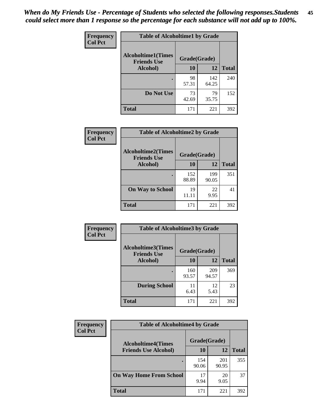| Frequency      | <b>Table of Alcoholtime1 by Grade</b>           |              |              |              |
|----------------|-------------------------------------------------|--------------|--------------|--------------|
| <b>Col Pct</b> | <b>Alcoholtime1(Times</b><br><b>Friends Use</b> | Grade(Grade) |              |              |
|                | Alcohol)                                        | 10           | 12           | <b>Total</b> |
|                |                                                 | 98<br>57.31  | 142<br>64.25 | 240          |
|                | Do Not Use                                      | 73<br>42.69  | 79<br>35.75  | 152          |
|                | <b>Total</b>                                    | 171          | 221          | 392          |

| Frequency      | <b>Table of Alcoholtime2 by Grade</b>           |              |              |              |
|----------------|-------------------------------------------------|--------------|--------------|--------------|
| <b>Col Pct</b> | <b>Alcoholtime2(Times</b><br><b>Friends Use</b> | Grade(Grade) |              |              |
|                | Alcohol)                                        | 10           | 12           | <b>Total</b> |
|                |                                                 | 152<br>88.89 | 199<br>90.05 | 351          |
|                | <b>On Way to School</b>                         | 19<br>11.11  | 22<br>9.95   | 41           |
|                | <b>Total</b>                                    | 171          | 221          | 392          |

| Frequency      | <b>Table of Alcoholtime3 by Grade</b>           |              |              |              |
|----------------|-------------------------------------------------|--------------|--------------|--------------|
| <b>Col Pct</b> | <b>Alcoholtime3(Times</b><br><b>Friends Use</b> | Grade(Grade) |              |              |
|                | Alcohol)                                        | 10           | 12           | <b>Total</b> |
|                |                                                 | 160<br>93.57 | 209<br>94.57 | 369          |
|                | <b>During School</b>                            | 11<br>6.43   | 12<br>5.43   | 23           |
|                | <b>Total</b>                                    | 171          | 221          | 392          |

| Frequency<br><b>Col Pct</b> | <b>Table of Alcoholtime4 by Grade</b> |              |              |              |
|-----------------------------|---------------------------------------|--------------|--------------|--------------|
|                             | <b>Alcoholtime4(Times</b>             | Grade(Grade) |              |              |
|                             | <b>Friends Use Alcohol)</b>           | 10           | 12           | <b>Total</b> |
|                             |                                       | 154<br>90.06 | 201<br>90.95 | 355          |
|                             | <b>On Way Home From School</b>        | 17<br>9.94   | 20<br>9.05   | 37           |
|                             | <b>Total</b>                          | 171          | 221          | 392          |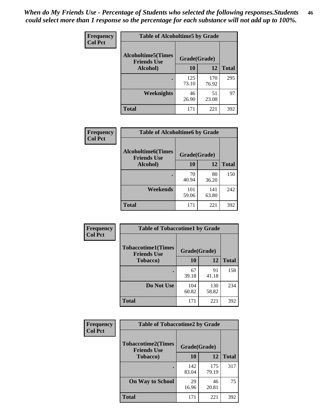*When do My Friends Use - Percentage of Students who selected the following responses.Students could select more than 1 response so the percentage for each substance will not add up to 100%.* **46**

| Frequency      | <b>Table of Alcoholtime5 by Grade</b>           |              |              |              |
|----------------|-------------------------------------------------|--------------|--------------|--------------|
| <b>Col Pct</b> | <b>Alcoholtime5(Times</b><br><b>Friends Use</b> | Grade(Grade) |              |              |
|                | Alcohol)                                        | 10           | 12           | <b>Total</b> |
|                |                                                 | 125<br>73.10 | 170<br>76.92 | 295          |
|                | Weeknights                                      | 46<br>26.90  | 51<br>23.08  | 97           |
|                | <b>Total</b>                                    | 171          | 221          | 392          |

| Frequency      | <b>Table of Alcoholtime6 by Grade</b>           |              |              |              |
|----------------|-------------------------------------------------|--------------|--------------|--------------|
| <b>Col Pct</b> | <b>Alcoholtime6(Times</b><br><b>Friends Use</b> | Grade(Grade) |              |              |
|                | Alcohol)                                        | 10           | 12           | <b>Total</b> |
|                |                                                 | 70<br>40.94  | 80<br>36.20  | 150          |
|                | Weekends                                        | 101<br>59.06 | 141<br>63.80 | 242          |
|                | <b>Total</b>                                    | 171          | 221          | 392          |

| Frequency      | <b>Table of Tobaccotime1 by Grade</b>           |              |              |              |
|----------------|-------------------------------------------------|--------------|--------------|--------------|
| <b>Col Pct</b> | <b>Tobaccotime1(Times</b><br><b>Friends Use</b> | Grade(Grade) |              |              |
|                | <b>Tobacco</b> )                                | 10           | 12           | <b>Total</b> |
|                | ٠                                               | 67<br>39.18  | 91<br>41.18  | 158          |
|                | Do Not Use                                      | 104<br>60.82 | 130<br>58.82 | 234          |
|                | <b>Total</b>                                    | 171          | 221          | 392          |

| <b>Frequency</b> |                                                 | <b>Table of Tobaccotime2 by Grade</b> |              |              |  |
|------------------|-------------------------------------------------|---------------------------------------|--------------|--------------|--|
| <b>Col Pct</b>   | <b>Tobaccotime2(Times</b><br><b>Friends Use</b> | Grade(Grade)                          |              |              |  |
|                  | <b>Tobacco</b> )                                | 10                                    | 12           | <b>Total</b> |  |
|                  |                                                 | 142<br>83.04                          | 175<br>79.19 | 317          |  |
|                  | <b>On Way to School</b>                         | 29<br>16.96                           | 46<br>20.81  | 75           |  |
|                  | <b>Total</b>                                    | 171                                   | 221          | 392          |  |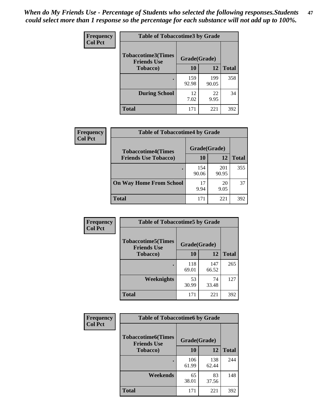*When do My Friends Use - Percentage of Students who selected the following responses.Students could select more than 1 response so the percentage for each substance will not add up to 100%.* **47**

| <b>Frequency</b> | <b>Table of Tobaccotime3 by Grade</b>           |              |              |              |  |
|------------------|-------------------------------------------------|--------------|--------------|--------------|--|
| <b>Col Pct</b>   | <b>Tobaccotime3(Times</b><br><b>Friends Use</b> | Grade(Grade) |              |              |  |
|                  | <b>Tobacco</b> )                                | 10           | 12           | <b>Total</b> |  |
|                  |                                                 | 159<br>92.98 | 199<br>90.05 | 358          |  |
|                  | <b>During School</b>                            | 12<br>7.02   | 22<br>9.95   | 34           |  |
|                  | <b>Total</b>                                    | 171          | 221          | 392          |  |

| <b>Frequency</b> | <b>Table of Tobaccotime4 by Grade</b> |              |              |              |
|------------------|---------------------------------------|--------------|--------------|--------------|
| <b>Col Pct</b>   | <b>Tobaccotime4(Times</b>             | Grade(Grade) |              |              |
|                  | <b>Friends Use Tobacco)</b>           | 10           | 12           | <b>Total</b> |
|                  |                                       | 154<br>90.06 | 201<br>90.95 | 355          |
|                  | <b>On Way Home From School</b>        | 17<br>9.94   | 20<br>9.05   | 37           |
|                  | <b>Total</b>                          | 171          | 221          | 392          |

| <b>Frequency</b> | <b>Table of Tobaccotime5 by Grade</b>           |              |              |              |
|------------------|-------------------------------------------------|--------------|--------------|--------------|
| <b>Col Pct</b>   | <b>Tobaccotime5(Times</b><br><b>Friends Use</b> | Grade(Grade) |              |              |
|                  | <b>Tobacco</b> )                                | 10           | 12           | <b>Total</b> |
|                  |                                                 | 118<br>69.01 | 147<br>66.52 | 265          |
|                  | Weeknights                                      | 53<br>30.99  | 74<br>33.48  | 127          |
|                  | <b>Total</b>                                    | 171          | 221          | 392          |

| Frequency<br><b>Col Pct</b> | <b>Table of Tobaccotime6 by Grade</b>           |              |              |              |
|-----------------------------|-------------------------------------------------|--------------|--------------|--------------|
|                             | <b>Tobaccotime6(Times</b><br><b>Friends Use</b> | Grade(Grade) |              |              |
|                             | <b>Tobacco</b> )                                | 10           | 12           | <b>Total</b> |
|                             |                                                 | 106<br>61.99 | 138<br>62.44 | 244          |
|                             | Weekends                                        | 65<br>38.01  | 83<br>37.56  | 148          |
|                             | <b>Total</b>                                    | 171          | 221          | 392          |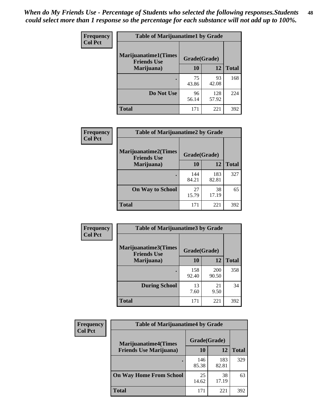| Frequency      | <b>Table of Marijuanatime1 by Grade</b>           |              |              |              |
|----------------|---------------------------------------------------|--------------|--------------|--------------|
| <b>Col Pct</b> | <b>Marijuanatime1(Times</b><br><b>Friends Use</b> | Grade(Grade) |              |              |
|                | Marijuana)                                        | 10           | 12           | <b>Total</b> |
|                |                                                   | 75<br>43.86  | 93<br>42.08  | 168          |
|                | Do Not Use                                        | 96<br>56.14  | 128<br>57.92 | 224          |
|                | <b>Total</b>                                      | 171          | 221          | 392          |

| Frequency      | <b>Table of Marijuanatime2 by Grade</b>           |              |              |              |
|----------------|---------------------------------------------------|--------------|--------------|--------------|
| <b>Col Pct</b> | <b>Marijuanatime2(Times</b><br><b>Friends Use</b> | Grade(Grade) |              |              |
|                | Marijuana)                                        | 10           | 12           | <b>Total</b> |
|                |                                                   | 144<br>84.21 | 183<br>82.81 | 327          |
|                | <b>On Way to School</b>                           | 27<br>15.79  | 38<br>17.19  | 65           |
|                | <b>Total</b>                                      | 171          | 221          | 392          |

| Frequency      | <b>Table of Marijuanatime3 by Grade</b>    |              |              |              |
|----------------|--------------------------------------------|--------------|--------------|--------------|
| <b>Col Pct</b> | Marijuanatime3(Times<br><b>Friends Use</b> | Grade(Grade) |              |              |
|                | Marijuana)                                 | 10           | 12           | <b>Total</b> |
|                |                                            | 158<br>92.40 | 200<br>90.50 | 358          |
|                | <b>During School</b>                       | 13<br>7.60   | 21<br>9.50   | 34           |
|                | <b>Total</b>                               | 171          | 221          | 392          |

| <b>Frequency</b> | <b>Table of Marijuanatime4 by Grade</b> |              |              |              |
|------------------|-----------------------------------------|--------------|--------------|--------------|
| <b>Col Pct</b>   | <b>Marijuanatime4(Times</b>             | Grade(Grade) |              |              |
|                  | <b>Friends Use Marijuana</b> )          | 10           | 12           | <b>Total</b> |
|                  |                                         | 146<br>85.38 | 183<br>82.81 | 329          |
|                  | <b>On Way Home From School</b>          | 25<br>14.62  | 38<br>17.19  | 63           |
|                  | <b>Total</b>                            | 171          | 221          | 392          |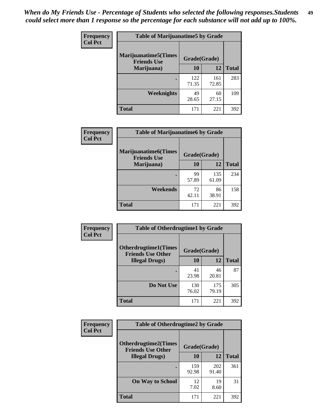| Frequency      | <b>Table of Marijuanatime5 by Grade</b>            |              |              |              |
|----------------|----------------------------------------------------|--------------|--------------|--------------|
| <b>Col Pct</b> | <b>Marijuanatime5</b> (Times<br><b>Friends Use</b> | Grade(Grade) |              |              |
|                | Marijuana)                                         | 10           | 12           | <b>Total</b> |
|                |                                                    | 122<br>71.35 | 161<br>72.85 | 283          |
|                | Weeknights                                         | 49<br>28.65  | 60<br>27.15  | 109          |
|                | <b>Total</b>                                       | 171          | 221          | 392          |

| Frequency      | <b>Table of Marijuanatime6 by Grade</b>           |              |              |              |
|----------------|---------------------------------------------------|--------------|--------------|--------------|
| <b>Col Pct</b> | <b>Marijuanatime6(Times</b><br><b>Friends Use</b> | Grade(Grade) |              |              |
|                | Marijuana)                                        | 10           | 12           | <b>Total</b> |
|                |                                                   | 99<br>57.89  | 135<br>61.09 | 234          |
|                | Weekends                                          | 72<br>42.11  | 86<br>38.91  | 158          |
|                | <b>Total</b>                                      | 171          | 221          | 392          |

| Frequency      | <b>Table of Otherdrugtime1 by Grade</b>                 |              |              |              |
|----------------|---------------------------------------------------------|--------------|--------------|--------------|
| <b>Col Pct</b> | <b>Otherdrugtime1(Times</b><br><b>Friends Use Other</b> | Grade(Grade) |              |              |
|                | <b>Illegal Drugs</b> )                                  | 10           | 12           | <b>Total</b> |
|                |                                                         | 41<br>23.98  | 46<br>20.81  | 87           |
|                | Do Not Use                                              | 130<br>76.02 | 175<br>79.19 | 305          |
|                | Total                                                   | 171          | 221          | 392          |

| Frequency      | <b>Table of Otherdrugtime2 by Grade</b>                                 |              |              |              |  |  |
|----------------|-------------------------------------------------------------------------|--------------|--------------|--------------|--|--|
| <b>Col Pct</b> | <b>Otherdrugtime2(Times</b><br>Grade(Grade)<br><b>Friends Use Other</b> |              |              |              |  |  |
|                | <b>Illegal Drugs</b> )                                                  |              | 12           | <b>Total</b> |  |  |
|                |                                                                         | 159<br>92.98 | 202<br>91.40 | 361          |  |  |
|                | <b>On Way to School</b>                                                 | 12<br>7.02   | 19<br>8.60   | 31           |  |  |
|                | <b>Total</b>                                                            | 171          | 221          | 392          |  |  |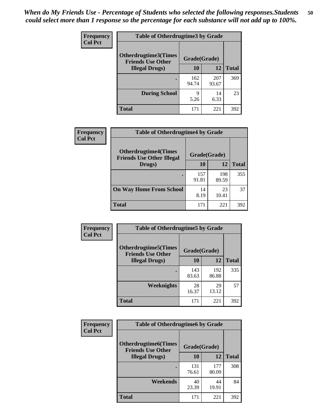| <b>Frequency</b>       | <b>Table of Otherdrugtime3 by Grade</b>          |              |              |              |  |  |
|------------------------|--------------------------------------------------|--------------|--------------|--------------|--|--|
| <b>Col Pct</b>         | Otherdrugtime3(Times<br><b>Friends Use Other</b> | Grade(Grade) |              |              |  |  |
| <b>Illegal Drugs</b> ) |                                                  | 10           | 12           | <b>Total</b> |  |  |
|                        |                                                  | 162<br>94.74 | 207<br>93.67 | 369          |  |  |
|                        | <b>During School</b>                             | 9<br>5.26    | 14<br>6.33   | 23           |  |  |
|                        | Total                                            | 171          | 221          | 392          |  |  |

| Frequency      | <b>Table of Otherdrugtime4 by Grade</b>                         |              |              |              |  |  |  |
|----------------|-----------------------------------------------------------------|--------------|--------------|--------------|--|--|--|
| <b>Col Pct</b> | <b>Otherdrugtime4(Times</b><br><b>Friends Use Other Illegal</b> | Grade(Grade) |              |              |  |  |  |
|                | Drugs)                                                          | 10           | 12           | <b>Total</b> |  |  |  |
|                |                                                                 | 157<br>91.81 | 198<br>89.59 | 355          |  |  |  |
|                | <b>On Way Home From School</b>                                  | 14<br>8.19   | 23<br>10.41  | 37           |  |  |  |
|                | <b>Total</b>                                                    | 171          | 221          | 392          |  |  |  |

| <b>Frequency</b> | <b>Table of Otherdrugtime5 by Grade</b>                  |              |              |              |  |  |
|------------------|----------------------------------------------------------|--------------|--------------|--------------|--|--|
| <b>Col Pct</b>   | <b>Otherdrugtime5</b> (Times<br><b>Friends Use Other</b> | Grade(Grade) |              |              |  |  |
|                  | <b>Illegal Drugs</b> )                                   | 10           | 12           | <b>Total</b> |  |  |
|                  |                                                          | 143<br>83.63 | 192<br>86.88 | 335          |  |  |
|                  | <b>Weeknights</b>                                        | 28<br>16.37  | 29<br>13.12  | 57           |  |  |
|                  | Total                                                    | 171          | 221          | 392          |  |  |

| Frequency<br><b>Col Pct</b> | <b>Table of Otherdrugtime6 by Grade</b>                 |              |              |              |  |  |
|-----------------------------|---------------------------------------------------------|--------------|--------------|--------------|--|--|
|                             | <b>Otherdrugtime6(Times</b><br><b>Friends Use Other</b> | Grade(Grade) |              |              |  |  |
|                             | <b>Illegal Drugs</b> )                                  | 10           | 12           | <b>Total</b> |  |  |
|                             |                                                         | 131<br>76.61 | 177<br>80.09 | 308          |  |  |
|                             | Weekends                                                | 40<br>23.39  | 44<br>19.91  | 84           |  |  |
|                             | <b>Total</b>                                            | 171          | 221          | 392          |  |  |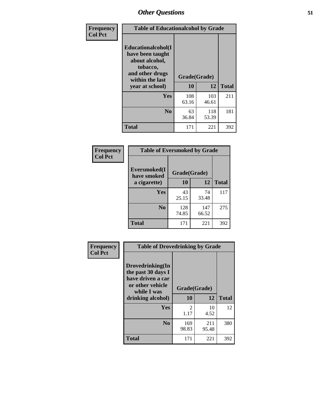| Frequency      | <b>Table of Educationalcohol by Grade</b>                                                                  |              |              |              |  |  |
|----------------|------------------------------------------------------------------------------------------------------------|--------------|--------------|--------------|--|--|
| <b>Col Pct</b> | Educationalcohol(I<br>have been taught<br>about alcohol,<br>tobacco,<br>and other drugs<br>within the last | Grade(Grade) |              |              |  |  |
|                | year at school)                                                                                            | 10           | 12           | <b>Total</b> |  |  |
|                | Yes                                                                                                        | 108<br>63.16 | 103<br>46.61 | 211          |  |  |
|                | N <sub>0</sub>                                                                                             | 63<br>36.84  | 118<br>53.39 | 181          |  |  |
|                | <b>Total</b>                                                                                               | 171          | 221          | 392          |  |  |

| Frequency      | <b>Table of Eversmoked by Grade</b> |              |              |              |  |  |
|----------------|-------------------------------------|--------------|--------------|--------------|--|--|
| <b>Col Pct</b> | Eversmoked(I<br>have smoked         | Grade(Grade) |              |              |  |  |
|                | a cigarette)                        | 10           | 12           | <b>Total</b> |  |  |
|                | <b>Yes</b>                          | 43<br>25.15  | 74<br>33.48  | 117          |  |  |
|                | N <sub>0</sub>                      | 128<br>74.85 | 147<br>66.52 | 275          |  |  |
|                | <b>Total</b>                        | 171          | 221          | 392          |  |  |

| Frequency      | <b>Table of Drovedrinking by Grade</b>                                                                              |                    |              |              |  |  |  |
|----------------|---------------------------------------------------------------------------------------------------------------------|--------------------|--------------|--------------|--|--|--|
| <b>Col Pct</b> | Drovedrinking(In<br>the past 30 days I<br>have driven a car<br>or other vehicle<br>while I was<br>drinking alcohol) | Grade(Grade)<br>10 | 12           | <b>Total</b> |  |  |  |
|                | <b>Yes</b>                                                                                                          | 2<br>1.17          | 10<br>4.52   | 12           |  |  |  |
|                | N <sub>0</sub>                                                                                                      | 169<br>98.83       | 211<br>95.48 | 380          |  |  |  |
|                | <b>Total</b>                                                                                                        | 171                | 221          | 392          |  |  |  |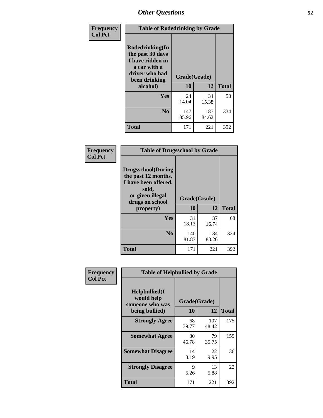| Frequency<br><b>Col Pct</b> | <b>Table of Rodedrinking by Grade</b>                                                                      |              |              |              |  |  |
|-----------------------------|------------------------------------------------------------------------------------------------------------|--------------|--------------|--------------|--|--|
|                             | Rodedrinking(In<br>the past 30 days<br>I have ridden in<br>a car with a<br>driver who had<br>been drinking | Grade(Grade) |              |              |  |  |
|                             | alcohol)                                                                                                   | 10           | 12           | <b>Total</b> |  |  |
|                             | <b>Yes</b>                                                                                                 | 24<br>14.04  | 34<br>15.38  | 58           |  |  |
|                             | N <sub>0</sub>                                                                                             | 147<br>85.96 | 187<br>84.62 | 334          |  |  |
|                             | <b>Total</b>                                                                                               | 171          | 221          | 392          |  |  |

#### **Frequency Col Pct**

| <b>Table of Drugsschool by Grade</b>                                                                                      |              |              |              |  |  |  |  |
|---------------------------------------------------------------------------------------------------------------------------|--------------|--------------|--------------|--|--|--|--|
| <b>Drugsschool</b> (During<br>the past 12 months,<br>I have been offered,<br>sold,<br>or given illegal<br>drugs on school | Grade(Grade) |              |              |  |  |  |  |
| property)                                                                                                                 | 10           | 12           | <b>Total</b> |  |  |  |  |
| Yes                                                                                                                       | 31<br>18.13  | 37<br>16.74  | 68           |  |  |  |  |
| N <sub>0</sub>                                                                                                            | 140<br>81.87 | 184<br>83.26 | 324          |  |  |  |  |
| <b>Total</b>                                                                                                              | 171          | 221          | 392          |  |  |  |  |

| Frequency      | <b>Table of Helpbullied by Grade</b>                                   |                                 |              |              |  |  |  |
|----------------|------------------------------------------------------------------------|---------------------------------|--------------|--------------|--|--|--|
| <b>Col Pct</b> | $Helpb$ ullied $(I$<br>would help<br>someone who was<br>being bullied) | Grade(Grade)<br><b>10</b><br>12 |              | <b>Total</b> |  |  |  |
|                |                                                                        |                                 |              |              |  |  |  |
|                | <b>Strongly Agree</b>                                                  | 68<br>39.77                     | 107<br>48.42 | 175          |  |  |  |
|                | <b>Somewhat Agree</b>                                                  | 80<br>46.78                     | 79<br>35.75  | 159          |  |  |  |
|                | <b>Somewhat Disagree</b>                                               | 14<br>8.19                      | 22<br>9.95   | 36           |  |  |  |
|                | <b>Strongly Disagree</b>                                               | 9<br>5.26                       | 13<br>5.88   | 22           |  |  |  |
|                | <b>Total</b>                                                           | 171                             | 221          | 392          |  |  |  |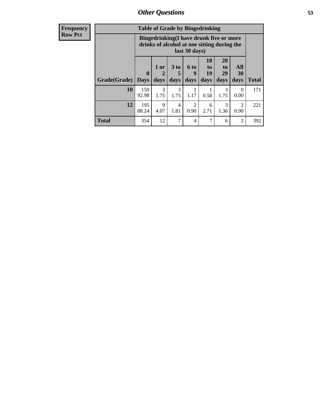| <b>Frequency</b><br><b>Row Pct</b> | <b>Table of Grade by Bingedrinking</b><br><b>Bingedrinking(I have drunk five or more</b><br>drinks of alcohol at one sitting during the<br>last 30 days) |              |                    |                         |                        |                                  |                               |                   |              |
|------------------------------------|----------------------------------------------------------------------------------------------------------------------------------------------------------|--------------|--------------------|-------------------------|------------------------|----------------------------------|-------------------------------|-------------------|--------------|
|                                    | Grade(Grade)   Days                                                                                                                                      | $\mathbf{0}$ | $1$ or $ $<br>days | 3 <sub>to</sub><br>days | $6$ to<br>9<br>days    | 10<br>$\mathbf{t}$<br>19<br>days | <b>20</b><br>to<br>29<br>days | All<br>30<br>days | <b>Total</b> |
|                                    | 10                                                                                                                                                       | 159<br>92.98 | 3<br>1.75          | 3<br>1.75               | $\mathfrak{D}$<br>1.17 | 0.58                             | 3<br>1.75                     | $\Omega$<br>0.00  | 171          |
|                                    | 12                                                                                                                                                       | 195<br>88.24 | 9<br>4.07          | $\overline{4}$<br>1.81  | 2<br>0.90              | 6<br>2.71                        | 3<br>1.36                     | 2<br>0.90         | 221          |
|                                    | <b>Total</b>                                                                                                                                             | 354          | 12                 | 7                       | 4                      | 7                                | 6                             | $\mathfrak{D}$    | 392          |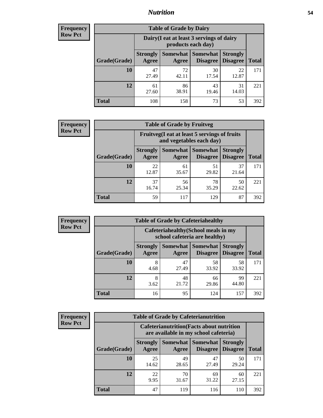### *Nutrition* **54**

| <b>Frequency</b> |
|------------------|
| <b>Row Pct</b>   |

| <b>Table of Grade by Dairy</b> |                          |                                                                 |                             |                                    |              |  |  |
|--------------------------------|--------------------------|-----------------------------------------------------------------|-----------------------------|------------------------------------|--------------|--|--|
|                                |                          | Dairy (I eat at least 3 servings of dairy<br>products each day) |                             |                                    |              |  |  |
| Grade(Grade)                   | <b>Strongly</b><br>Agree | <b>Somewhat</b><br>Agree                                        | <b>Somewhat</b><br>Disagree | <b>Strongly</b><br><b>Disagree</b> | <b>Total</b> |  |  |
| 10                             | 47<br>27.49              | 72<br>42.11                                                     | 30<br>17.54                 | 22<br>12.87                        | 171          |  |  |
| 12                             | 61<br>27.60              | 86<br>38.91                                                     | 43<br>19.46                 | 31<br>14.03                        | 221          |  |  |
| <b>Total</b>                   | 108                      | 158                                                             | 73                          | 53                                 | 392          |  |  |

| <b>Frequency</b> |  |
|------------------|--|
| <b>Row Pct</b>   |  |

| <b>Table of Grade by Fruitveg</b>                                                                                        |             |             |             |             |              |  |
|--------------------------------------------------------------------------------------------------------------------------|-------------|-------------|-------------|-------------|--------------|--|
| Fruitveg(I eat at least 5 servings of fruits<br>and vegetables each day)                                                 |             |             |             |             |              |  |
| Somewhat Somewhat<br><b>Strongly</b><br><b>Strongly</b><br><b>Disagree</b><br>Grade(Grade)<br>Agree<br>Disagree<br>Agree |             |             |             |             | <b>Total</b> |  |
| 10                                                                                                                       | 22<br>12.87 | 61<br>35.67 | 51<br>29.82 | 37<br>21.64 | 171          |  |
| 12                                                                                                                       | 37<br>16.74 | 56<br>25.34 | 78<br>35.29 | 50<br>22.62 | 221          |  |
| <b>Total</b>                                                                                                             | 59          | 117         | 129         | 87          | 392          |  |

| Frequency      | <b>Table of Grade by Cafeteriahealthy</b> |                          |             |                                                                       |                                    |              |  |
|----------------|-------------------------------------------|--------------------------|-------------|-----------------------------------------------------------------------|------------------------------------|--------------|--|
| <b>Row Pct</b> |                                           |                          |             | Cafeteriahealthy (School meals in my<br>school cafeteria are healthy) |                                    |              |  |
|                | Grade(Grade)                              | <b>Strongly</b><br>Agree | Agree       | Somewhat   Somewhat  <br>Disagree                                     | <b>Strongly</b><br><b>Disagree</b> | <b>Total</b> |  |
|                | 10                                        | 8<br>4.68                | 47<br>27.49 | 58<br>33.92                                                           | 58<br>33.92                        | 171          |  |
|                | 12                                        | 8<br>3.62                | 48<br>21.72 | 66<br>29.86                                                           | 99<br>44.80                        | 221          |  |
|                | <b>Total</b>                              | 16                       | 95          | 124                                                                   | 157                                | 392          |  |

| <b>Frequency</b> |
|------------------|
| <b>Row Pct</b>   |

| <b>Table of Grade by Cafeterianutrition</b>                                               |                          |                          |                             |                                    |              |  |  |
|-------------------------------------------------------------------------------------------|--------------------------|--------------------------|-----------------------------|------------------------------------|--------------|--|--|
| <b>Cafeterianutrition</b> (Facts about nutrition<br>are available in my school cafeteria) |                          |                          |                             |                                    |              |  |  |
| Grade(Grade)                                                                              | <b>Strongly</b><br>Agree | <b>Somewhat</b><br>Agree | <b>Somewhat</b><br>Disagree | <b>Strongly</b><br><b>Disagree</b> | <b>Total</b> |  |  |
| 10                                                                                        | 25<br>14.62              | 49<br>28.65              | 47<br>27.49                 | 50<br>29.24                        | 171          |  |  |
| 12                                                                                        | 22<br>9.95               | 70<br>31.67              | 69<br>31.22                 | 60<br>27.15                        | 221          |  |  |
| <b>Total</b>                                                                              | 47                       | 119                      | 116                         | 110                                | 392          |  |  |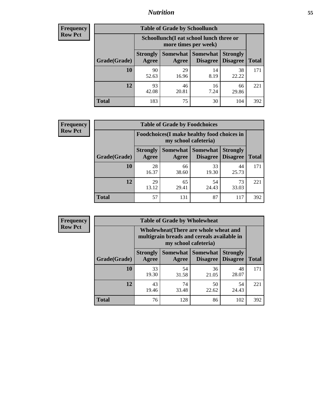### *Nutrition* **55**

| Frequency |
|-----------|
| Row Pct   |

| <b>Table of Grade by Schoollunch</b> |                          |                                                                 |                             |                                    |              |  |  |
|--------------------------------------|--------------------------|-----------------------------------------------------------------|-----------------------------|------------------------------------|--------------|--|--|
|                                      |                          | Schoollunch(I eat school lunch three or<br>more times per week) |                             |                                    |              |  |  |
| Grade(Grade)                         | <b>Strongly</b><br>Agree | Somewhat  <br>Agree                                             | <b>Somewhat</b><br>Disagree | <b>Strongly</b><br><b>Disagree</b> | <b>Total</b> |  |  |
| 10                                   | 90<br>52.63              | 29<br>16.96                                                     | 14<br>8.19                  | 38<br>22.22                        | 171          |  |  |
| 12                                   | 93<br>42.08              | 46<br>20.81                                                     | 16<br>7.24                  | 66<br>29.86                        | 221          |  |  |
| <b>Total</b>                         | 183                      | 75                                                              | 30                          | 104                                | 392          |  |  |

| <b>Frequency</b> |  |
|------------------|--|
| <b>Row Pct</b>   |  |

| <b>Table of Grade by Foodchoices</b>                                |                          |             |                                      |                                    |              |
|---------------------------------------------------------------------|--------------------------|-------------|--------------------------------------|------------------------------------|--------------|
| Foodchoices (I make healthy food choices in<br>my school cafeteria) |                          |             |                                      |                                    |              |
| Grade(Grade)                                                        | <b>Strongly</b><br>Agree | Agree       | Somewhat Somewhat<br><b>Disagree</b> | <b>Strongly</b><br><b>Disagree</b> | <b>Total</b> |
| 10                                                                  | 28<br>16.37              | 66<br>38.60 | 33<br>19.30                          | 44<br>25.73                        | 171          |
| 12                                                                  | 29<br>13.12              | 65<br>29.41 | 54<br>24.43                          | 73<br>33.03                        | 221          |
| <b>Total</b>                                                        | 57                       | 131         | 87                                   | 117                                | 392          |

| Frequency      | <b>Table of Grade by Wholewheat</b>                                                                                |                          |             |                                          |                                    |              |  |  |
|----------------|--------------------------------------------------------------------------------------------------------------------|--------------------------|-------------|------------------------------------------|------------------------------------|--------------|--|--|
| <b>Row Pct</b> | <b>Wholewheat</b> (There are whole wheat and<br>multigrain breads and cereals available in<br>my school cafeteria) |                          |             |                                          |                                    |              |  |  |
|                | Grade(Grade)                                                                                                       | <b>Strongly</b><br>Agree | Agree       | Somewhat   Somewhat  <br><b>Disagree</b> | <b>Strongly</b><br><b>Disagree</b> | <b>Total</b> |  |  |
|                | 10                                                                                                                 | 33<br>19.30              | 54<br>31.58 | 36<br>21.05                              | 48<br>28.07                        | 171          |  |  |
|                | 12                                                                                                                 | 43<br>19.46              | 74<br>33.48 | 50<br>22.62                              | 54<br>24.43                        | 221          |  |  |
|                | <b>Total</b>                                                                                                       | 76                       | 128         | 86                                       | 102                                | 392          |  |  |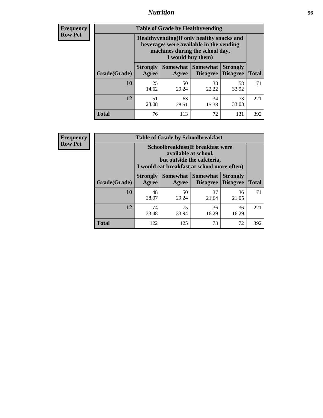### *Nutrition* **56**

**Frequency Row Pct**

| <b>Table of Grade by Healthyvending</b> |                                                                                                                                               |                          |                                    |                                    |              |  |
|-----------------------------------------|-----------------------------------------------------------------------------------------------------------------------------------------------|--------------------------|------------------------------------|------------------------------------|--------------|--|
|                                         | Healthyvending (If only healthy snacks and<br>beverages were available in the vending<br>machines during the school day,<br>I would buy them) |                          |                                    |                                    |              |  |
| Grade(Grade)                            | <b>Strongly</b><br>Agree                                                                                                                      | <b>Somewhat</b><br>Agree | <b>Somewhat</b><br><b>Disagree</b> | <b>Strongly</b><br><b>Disagree</b> | <b>Total</b> |  |
| 10                                      | 25<br>14.62                                                                                                                                   | 50<br>29.24              | 38<br>22.22                        | 58<br>33.92                        | 171          |  |
| 12                                      | 51<br>23.08                                                                                                                                   | 63<br>28.51              | 34<br>15.38                        | 73<br>33.03                        | 221          |  |
| <b>Total</b>                            | 76                                                                                                                                            | 113                      | 72                                 | 131                                | 392          |  |

**Frequency Row Pct**

| <b>Table of Grade by Schoolbreakfast</b> |                                                                                                                                         |             |                   |                                        |              |  |
|------------------------------------------|-----------------------------------------------------------------------------------------------------------------------------------------|-------------|-------------------|----------------------------------------|--------------|--|
|                                          | Schoolbreakfast (If breakfast were<br>available at school,<br>but outside the cafeteria,<br>I would eat breakfast at school more often) |             |                   |                                        |              |  |
| Grade(Grade)                             | <b>Strongly</b><br>Agree                                                                                                                | Agree       | Somewhat Somewhat | <b>Strongly</b><br>Disagree   Disagree | <b>Total</b> |  |
| 10                                       | 48<br>28.07                                                                                                                             | 50<br>29.24 | 37<br>21.64       | 36<br>21.05                            | 171          |  |
| 12                                       | 74<br>33.48                                                                                                                             | 75<br>33.94 | 36<br>16.29       | 36<br>16.29                            | 221          |  |
| <b>Total</b>                             | 122                                                                                                                                     | 125         | 73                | 72                                     | 392          |  |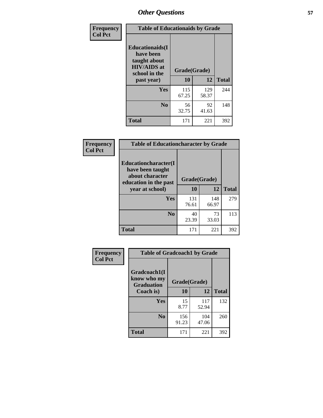| Frequency<br><b>Col Pct</b> | <b>Table of Educationaids by Grade</b>                                                      |                    |             |              |
|-----------------------------|---------------------------------------------------------------------------------------------|--------------------|-------------|--------------|
|                             | <b>Educationaids</b> (I<br>have been<br>taught about<br><b>HIV/AIDS</b> at<br>school in the | Grade(Grade)<br>10 | 12          | <b>Total</b> |
|                             | past year)                                                                                  |                    |             |              |
|                             | Yes                                                                                         | 115                | 129         | 244          |
|                             |                                                                                             | 67.25              | 58.37       |              |
|                             | N <sub>0</sub>                                                                              | 56<br>32.75        | 92<br>41.63 | 148          |
|                             | <b>Total</b>                                                                                | 171                | 221         | 392          |

| Frequency<br><b>Col Pct</b> | <b>Table of Educationcharacter by Grade</b>                                                  |              |              |              |
|-----------------------------|----------------------------------------------------------------------------------------------|--------------|--------------|--------------|
|                             | <b>Educationcharacter(I)</b><br>have been taught<br>about character<br>education in the past | Grade(Grade) |              |              |
|                             | year at school)                                                                              | 10           | 12           | <b>Total</b> |
|                             | Yes                                                                                          | 131<br>76.61 | 148<br>66.97 | 279          |
|                             | N <sub>0</sub>                                                                               | 40<br>23.39  | 73<br>33.03  | 113          |
|                             | <b>Total</b>                                                                                 | 171          | 221          | 392          |

| Frequency      | <b>Table of Gradcoach1 by Grade</b>              |              |              |              |
|----------------|--------------------------------------------------|--------------|--------------|--------------|
| <b>Col Pct</b> | Gradcoach1(I<br>know who my<br><b>Graduation</b> | Grade(Grade) |              |              |
|                | Coach is)                                        | 10           | 12           | <b>Total</b> |
|                | <b>Yes</b>                                       | 15<br>8.77   | 117<br>52.94 | 132          |
|                | N <sub>0</sub>                                   | 156<br>91.23 | 104<br>47.06 | 260          |
|                | <b>Total</b>                                     | 171          | 221          | 392          |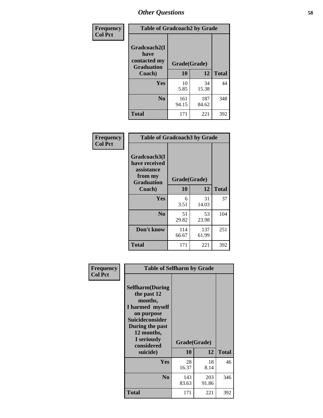| Frequency      | <b>Table of Gradcoach2 by Grade</b> |              |              |              |
|----------------|-------------------------------------|--------------|--------------|--------------|
| <b>Col Pct</b> |                                     |              |              |              |
|                | Gradcoach2(I<br>have                |              |              |              |
|                | contacted my<br><b>Graduation</b>   | Grade(Grade) |              |              |
|                | Coach)                              | 10           | 12           | <b>Total</b> |
|                | <b>Yes</b>                          | 10<br>5.85   | 34<br>15.38  | 44           |
|                | N <sub>0</sub>                      | 161<br>94.15 | 187<br>84.62 | 348          |
|                | <b>Total</b>                        | 171          | 221          | 392          |

| <b>Frequency</b><br><b>Col Pct</b> | <b>Table of Gradcoach3 by Grade</b>                                         |              |              |              |
|------------------------------------|-----------------------------------------------------------------------------|--------------|--------------|--------------|
|                                    | Gradcoach3(I<br>have received<br>assistance<br>from my<br><b>Graduation</b> | Grade(Grade) |              |              |
|                                    | Coach)                                                                      | 10           | 12           | <b>Total</b> |
|                                    | Yes                                                                         | 6<br>3.51    | 31<br>14.03  | 37           |
|                                    | N <sub>0</sub>                                                              | 51<br>29.82  | 53<br>23.98  | 104          |
|                                    | Don't know                                                                  | 114<br>66.67 | 137<br>61.99 | 251          |
|                                    | <b>Total</b>                                                                | 171          | 221          | 392          |

| Frequency      | <b>Table of Selfharm by Grade</b>                                                                                                                                          |              |              |              |
|----------------|----------------------------------------------------------------------------------------------------------------------------------------------------------------------------|--------------|--------------|--------------|
| <b>Col Pct</b> | <b>Selfharm</b> (During<br>the past 12<br>months,<br>I harmed myself<br>on purpose<br><b>Suicideconsider</b><br>During the past<br>12 months,<br>I seriously<br>considered | Grade(Grade) |              |              |
|                | suicide)                                                                                                                                                                   | 10           | 12           | <b>Total</b> |
|                | Yes                                                                                                                                                                        | 28<br>16.37  | 18<br>8.14   | 46           |
|                | N <sub>0</sub>                                                                                                                                                             | 143<br>83.63 | 203<br>91.86 | 346          |
|                | Total                                                                                                                                                                      | 171          | 221          | 392          |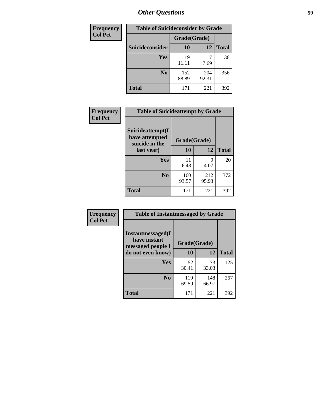| <b>Frequency</b> | <b>Table of Suicideconsider by Grade</b> |              |              |              |
|------------------|------------------------------------------|--------------|--------------|--------------|
| <b>Col Pct</b>   |                                          | Grade(Grade) |              |              |
|                  | Suicideconsider                          | <b>10</b>    | 12           | <b>Total</b> |
|                  | Yes                                      | 19<br>11.11  | 17<br>7.69   | 36           |
|                  | N <sub>0</sub>                           | 152<br>88.89 | 204<br>92.31 | 356          |
|                  | <b>Total</b>                             | 171          | 221          | 392          |

| Frequency      | <b>Table of Suicideattempt by Grade</b>              |              |              |              |
|----------------|------------------------------------------------------|--------------|--------------|--------------|
| <b>Col Pct</b> | Suicideattempt(I<br>have attempted<br>suicide in the | Grade(Grade) |              |              |
|                | last year)                                           | 10           | 12           | <b>Total</b> |
|                | Yes                                                  | 11<br>6.43   | q<br>4.07    | 20           |
|                | N <sub>0</sub>                                       | 160<br>93.57 | 212<br>95.93 | 372          |
|                | <b>Total</b>                                         | 171          | 221          | 392          |

| Frequency      | <b>Table of Instantmessaged by Grade</b>               |              |              |              |
|----------------|--------------------------------------------------------|--------------|--------------|--------------|
| <b>Col Pct</b> | Instantmessaged(I<br>have instant<br>messaged people I | Grade(Grade) |              |              |
|                | do not even know)                                      | 10           | 12           | <b>Total</b> |
|                | Yes                                                    | 52<br>30.41  | 73<br>33.03  | 125          |
|                | N <sub>0</sub>                                         | 119<br>69.59 | 148<br>66.97 | 267          |
|                | <b>Total</b>                                           | 171          | 221          | 392          |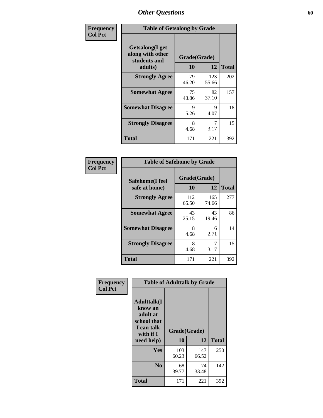| Frequency      | <b>Table of Getsalong by Grade</b>                          |              |              |              |
|----------------|-------------------------------------------------------------|--------------|--------------|--------------|
| <b>Col Pct</b> | <b>Getsalong</b> (I get<br>along with other<br>students and | Grade(Grade) |              |              |
|                | adults)                                                     | 10           | 12           | <b>Total</b> |
|                | <b>Strongly Agree</b>                                       | 79<br>46.20  | 123<br>55.66 | 202          |
|                | <b>Somewhat Agree</b>                                       | 75<br>43.86  | 82<br>37.10  | 157          |
|                | <b>Somewhat Disagree</b>                                    | 9<br>5.26    | 9<br>4.07    | 18           |
|                | <b>Strongly Disagree</b>                                    | 8<br>4.68    | 7<br>3.17    | 15           |
|                | <b>Total</b>                                                | 171          | 221          | 392          |

| Frequency      |                                  | <b>Table of Safehome by Grade</b> |              |              |  |  |  |  |
|----------------|----------------------------------|-----------------------------------|--------------|--------------|--|--|--|--|
| <b>Col Pct</b> | Safehome(I feel<br>safe at home) | Grade(Grade)<br>10                | 12           | <b>Total</b> |  |  |  |  |
|                | <b>Strongly Agree</b>            | 112<br>65.50                      | 165<br>74.66 | 277          |  |  |  |  |
|                | <b>Somewhat Agree</b>            | 43<br>25.15                       | 43<br>19.46  | 86           |  |  |  |  |
|                | <b>Somewhat Disagree</b>         | 8<br>4.68                         | 6<br>2.71    | 14           |  |  |  |  |
|                | <b>Strongly Disagree</b>         | 8<br>4.68                         | 3.17         | 15           |  |  |  |  |
|                | <b>Total</b>                     | 171                               | 221          | 392          |  |  |  |  |

| Frequency      |                                                                                      | <b>Table of Adulttalk by Grade</b> |              |              |
|----------------|--------------------------------------------------------------------------------------|------------------------------------|--------------|--------------|
| <b>Col Pct</b> | <b>Adulttalk</b> (I<br>know an<br>adult at<br>school that<br>I can talk<br>with if I | Grade(Grade)<br>10                 | 12           | <b>Total</b> |
|                | need help)                                                                           |                                    |              |              |
|                | Yes                                                                                  | 103<br>60.23                       | 147<br>66.52 | 250          |
|                | N <sub>0</sub>                                                                       | 68<br>39.77                        | 74<br>33.48  | 142          |
|                | <b>Total</b>                                                                         | 171                                | 221          | 392          |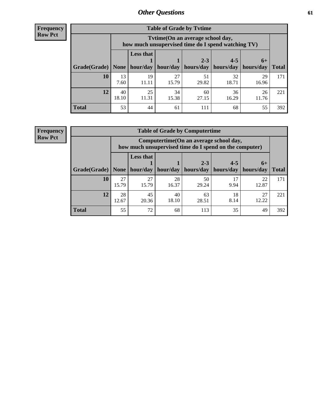**Frequency Row Pct**

| <b>Table of Grade by Tvtime</b> |             |                                                                                         |             |             |             |             |              |  |  |  |
|---------------------------------|-------------|-----------------------------------------------------------------------------------------|-------------|-------------|-------------|-------------|--------------|--|--|--|
|                                 |             | Tytime (On an average school day,<br>how much unsupervised time do I spend watching TV) |             |             |             |             |              |  |  |  |
|                                 |             | <b>Less that</b><br>$2 - 3$<br>$4 - 5$<br>$6+$                                          |             |             |             |             |              |  |  |  |
| Grade(Grade)   None             |             | hour/day                                                                                | hour/day    | hours/day   | hours/day   | hours/day   | <b>Total</b> |  |  |  |
| 10                              | 13<br>7.60  | 19<br>11.11                                                                             | 27<br>15.79 | 51<br>29.82 | 32<br>18.71 | 29<br>16.96 | 171          |  |  |  |
| 12                              | 40<br>18.10 | 25<br>11.31                                                                             | 34<br>15.38 | 60<br>27.15 | 36<br>16.29 | 26<br>11.76 | 221          |  |  |  |
| <b>Total</b>                    | 53          | 44                                                                                      | 61          | 111         | 68          | 55          | 392          |  |  |  |

**Frequency Row Pct**

| <b>Table of Grade by Computertime</b> |             |                                                                                                  |             |                      |                      |                   |              |  |  |
|---------------------------------------|-------------|--------------------------------------------------------------------------------------------------|-------------|----------------------|----------------------|-------------------|--------------|--|--|
|                                       |             | Computertime(On an average school day,<br>how much unsupervised time do I spend on the computer) |             |                      |                      |                   |              |  |  |
| Grade(Grade)                          | None        | <b>Less that</b><br>hour/day                                                                     | hour/day    | $2 - 3$<br>hours/day | $4 - 5$<br>hours/day | $6+$<br>hours/day | <b>Total</b> |  |  |
| 10                                    | 27<br>15.79 | 27<br>15.79                                                                                      | 28<br>16.37 | 50<br>29.24          | 17<br>9.94           | 22<br>12.87       | 171          |  |  |
| 12                                    | 28<br>12.67 | 45<br>40<br>63<br>18<br>27<br>18.10<br>8.14<br>20.36<br>12.22<br>28.51                           |             |                      |                      |                   |              |  |  |
| <b>Total</b>                          | 55          | 72                                                                                               | 68          | 113                  | 35                   | 49                | 392          |  |  |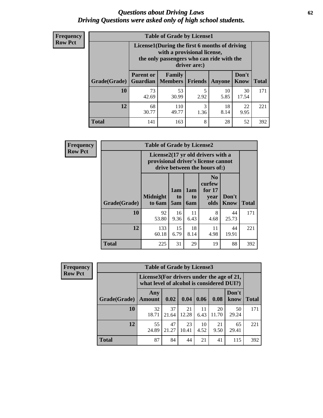#### *Questions about Driving Laws* **62** *Driving Questions were asked only of high school students.*

| <b>Frequency</b> |
|------------------|
| <b>Row Pct</b>   |

| <b>Table of Grade by License1</b> |                                                                      |                                                                                                                                           |                |            |               |              |  |  |  |
|-----------------------------------|----------------------------------------------------------------------|-------------------------------------------------------------------------------------------------------------------------------------------|----------------|------------|---------------|--------------|--|--|--|
|                                   |                                                                      | License1(During the first 6 months of driving<br>with a provisional license,<br>the only passengers who can ride with the<br>driver are:) |                |            |               |              |  |  |  |
| Grade(Grade)                      | <b>Parent or</b><br><b>Guardian</b>                                  | Family<br><b>Members</b>                                                                                                                  | <b>Friends</b> | Anyone     | Don't<br>Know | <b>Total</b> |  |  |  |
| 10                                | 73<br>42.69                                                          | 53<br>30.99                                                                                                                               | 5<br>2.92      | 10<br>5.85 | 30<br>17.54   | 171          |  |  |  |
| 12                                | 3<br>22<br>68<br>110<br>18<br>49.77<br>8.14<br>30.77<br>9.95<br>1.36 |                                                                                                                                           |                |            |               |              |  |  |  |
| <b>Total</b>                      | 141                                                                  | 163                                                                                                                                       | 8              | 28         | 52            | 392          |  |  |  |

| <b>Frequency</b> | <b>Table of Grade by License2</b>                                                                        |                           |                              |                  |                                                      |                      |              |  |
|------------------|----------------------------------------------------------------------------------------------------------|---------------------------|------------------------------|------------------|------------------------------------------------------|----------------------|--------------|--|
| <b>Row Pct</b>   | License2(17 yr old drivers with a<br>provisional driver's license cannot<br>drive between the hours of:) |                           |                              |                  |                                                      |                      |              |  |
|                  | Grade(Grade)                                                                                             | <b>Midnight</b><br>to 6am | 1am<br>t <sub>0</sub><br>5am | 1am<br>to<br>6am | N <sub>0</sub><br>curfew<br>for $17$<br>vear<br>olds | Don't<br><b>Know</b> | <b>Total</b> |  |
|                  | 10                                                                                                       | 92<br>53.80               | 16<br>9.36                   | 11<br>6.43       | 8<br>4.68                                            | 44<br>25.73          | 171          |  |
|                  | 12                                                                                                       | 133<br>60.18              | 15<br>6.79                   | 18<br>8.14       | 11<br>4.98                                           | 44<br>19.91          | 221          |  |
|                  | <b>Total</b>                                                                                             | 225                       | 31                           | 29               | 19                                                   | 88                   | 392          |  |

| Frequency      |              | <b>Table of Grade by License3</b>                                                      |             |             |            |             |               |              |
|----------------|--------------|----------------------------------------------------------------------------------------|-------------|-------------|------------|-------------|---------------|--------------|
| <b>Row Pct</b> |              | License3(For drivers under the age of 21,<br>what level of alcohol is considered DUI?) |             |             |            |             |               |              |
|                | Grade(Grade) | Any<br><b>Amount</b>                                                                   | 0.02        | 0.04        | 0.06       | 0.08        | Don't<br>know | <b>Total</b> |
|                | 10           | 32<br>18.71                                                                            | 37<br>21.64 | 21<br>12.28 | 11<br>6.43 | 20<br>11.70 | 50<br>29.24   | 171          |
|                | 12           | 55<br>24.89                                                                            | 47<br>21.27 | 23<br>10.41 | 10<br>4.52 | 21<br>9.50  | 65<br>29.41   | 221          |
|                | <b>Total</b> | 87                                                                                     | 84          | 44          | 21         | 41          | 115           | 392          |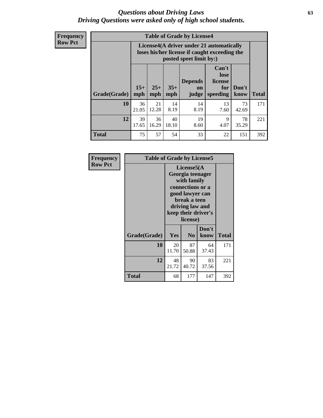#### *Questions about Driving Laws* **63** *Driving Questions were asked only of high school students.*

**Frequency Row Pct**

| <b>Table of Grade by License4</b> |             |                                                                                                                                                                                                                                                                                |             |            |            |             |     |  |
|-----------------------------------|-------------|--------------------------------------------------------------------------------------------------------------------------------------------------------------------------------------------------------------------------------------------------------------------------------|-------------|------------|------------|-------------|-----|--|
|                                   |             | License4(A driver under 21 automatically<br>loses his/her license if caught exceeding the<br>posted speet limit by:)<br>Can't<br>lose<br><b>Depends</b><br>license<br>$15+$<br>$25+$<br>$35+$<br>Don't<br>for<br>on<br>speeding<br><b>Total</b><br>mph<br>know<br>mph<br>judge |             |            |            |             |     |  |
| Grade(Grade)                      | mph         |                                                                                                                                                                                                                                                                                |             |            |            |             |     |  |
| 10                                | 36<br>21.05 | 21<br>12.28                                                                                                                                                                                                                                                                    | 14<br>8.19  | 14<br>8.19 | 13<br>7.60 | 73<br>42.69 | 171 |  |
| 12                                | 39<br>17.65 | 36<br>16.29                                                                                                                                                                                                                                                                    | 40<br>18.10 | 19<br>8.60 | 9<br>4.07  | 78<br>35.29 | 221 |  |
| <b>Total</b>                      | 75          | 57                                                                                                                                                                                                                                                                             | 54          | 33         | 22         | 151         | 392 |  |

| Frequency      | <b>Table of Grade by License5</b> |                                                                                                                                                             |                |               |       |  |
|----------------|-----------------------------------|-------------------------------------------------------------------------------------------------------------------------------------------------------------|----------------|---------------|-------|--|
| <b>Row Pct</b> |                                   | License5(A)<br>Georgia teenager<br>with family<br>connections or a<br>good lawyer can<br>break a teen<br>driving law and<br>keep their driver's<br>license) |                |               |       |  |
|                | Grade(Grade)                      | Yes                                                                                                                                                         | N <sub>0</sub> | Don't<br>know | Total |  |
|                | 10                                | 20<br>11.70                                                                                                                                                 | 87<br>50.88    | 64<br>37.43   | 171   |  |
|                | 12                                | 48<br>21.72                                                                                                                                                 | 90<br>40.72    | 83<br>37.56   | 221   |  |
|                | <b>Total</b>                      | 68                                                                                                                                                          | 177            | 147           | 392   |  |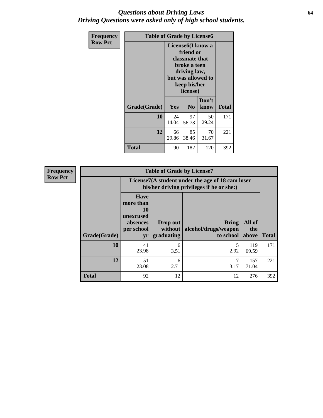#### *Questions about Driving Laws* **64** *Driving Questions were asked only of high school students.*

| <b>Frequency</b> | <b>Table of Grade by License6</b> |             |                                                                                                                           |                    |              |  |  |
|------------------|-----------------------------------|-------------|---------------------------------------------------------------------------------------------------------------------------|--------------------|--------------|--|--|
| <b>Row Pct</b>   |                                   |             | License <sub>6</sub> (I know a<br>friend or<br>classmate that<br>broke a teen<br>driving law,<br>keep his/her<br>license) | but was allowed to |              |  |  |
|                  | Grade(Grade)                      | Yes         | N <sub>0</sub>                                                                                                            | Don't<br>know      | <b>Total</b> |  |  |
|                  | 10                                | 24<br>14.04 | 97<br>56.73                                                                                                               | 50<br>29.24        | 171          |  |  |
|                  | 12                                | 66<br>29.86 | 85<br>38.46                                                                                                               | 70<br>31.67        | 221          |  |  |
|                  | <b>Total</b>                      | 90          | 182                                                                                                                       | 120                | 392          |  |  |

| <b>Frequency</b> |              |                                                                             | <b>Table of Grade by License7</b>                                                             |                                                   |                        |              |  |  |  |
|------------------|--------------|-----------------------------------------------------------------------------|-----------------------------------------------------------------------------------------------|---------------------------------------------------|------------------------|--------------|--|--|--|
| <b>Row Pct</b>   |              |                                                                             | License7(A student under the age of 18 cam loser<br>his/her driving privileges if he or she:) |                                                   |                        |              |  |  |  |
|                  | Grade(Grade) | <b>Have</b><br>more than<br>10<br>unexcused<br>absences<br>per school<br>yr | Drop out<br>without  <br>graduating                                                           | <b>Bring</b><br>alcohol/drugs/weapon<br>to school | All of<br>the<br>above | <b>Total</b> |  |  |  |
|                  | 10           | 41<br>23.98                                                                 | 6<br>3.51                                                                                     | 2.92                                              | 119<br>69.59           | 171          |  |  |  |
|                  | 12           | 51<br>23.08                                                                 | 6<br>2.71                                                                                     | 3.17                                              | 157<br>71.04           | 221          |  |  |  |
|                  | <b>Total</b> | 92                                                                          | 12                                                                                            | 12                                                | 276                    | 392          |  |  |  |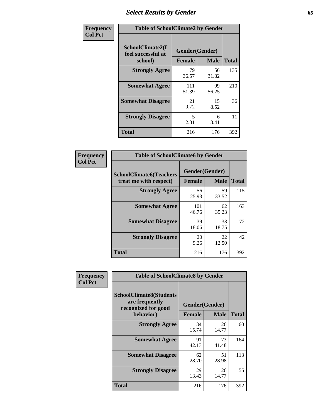# *Select Results by Gender* **65**

| Frequency      | <b>Table of SchoolClimate2 by Gender</b>          |                                 |             |              |  |
|----------------|---------------------------------------------------|---------------------------------|-------------|--------------|--|
| <b>Col Pct</b> | SchoolClimate2(I<br>feel successful at<br>school) | Gender(Gender)<br><b>Female</b> | <b>Male</b> | <b>Total</b> |  |
|                | <b>Strongly Agree</b>                             | 79<br>36.57                     | 56<br>31.82 | 135          |  |
|                | <b>Somewhat Agree</b>                             | 111<br>51.39                    | 99<br>56.25 | 210          |  |
|                | <b>Somewhat Disagree</b>                          | 21<br>9.72                      | 15<br>8.52  | 36           |  |
|                | <b>Strongly Disagree</b>                          | 5<br>2.31                       | 6<br>3.41   | 11           |  |
|                | <b>Total</b>                                      | 216                             | 176         | 392          |  |

| Frequency      | <b>Table of SchoolClimate6 by Gender</b>                 |                          |             |              |  |
|----------------|----------------------------------------------------------|--------------------------|-------------|--------------|--|
| <b>Col Pct</b> | <b>SchoolClimate6(Teachers</b><br>treat me with respect) | Gender(Gender)<br>Female | <b>Male</b> | <b>Total</b> |  |
|                | <b>Strongly Agree</b>                                    | 56<br>25.93              | 59<br>33.52 | 115          |  |
|                | <b>Somewhat Agree</b>                                    | 101<br>46.76             | 62<br>35.23 | 163          |  |
|                | <b>Somewhat Disagree</b>                                 | 39<br>18.06              | 33<br>18.75 | 72           |  |
|                | <b>Strongly Disagree</b>                                 | 20<br>9.26               | 22<br>12.50 | 42           |  |
|                | Total                                                    | 216                      | 176         | 392          |  |

| Frequency      | <b>Table of SchoolClimate8 by Gender</b>                                             |                                 |             |              |  |
|----------------|--------------------------------------------------------------------------------------|---------------------------------|-------------|--------------|--|
| <b>Col Pct</b> | <b>SchoolClimate8(Students</b><br>are frequently<br>recognized for good<br>behavior) | Gender(Gender)<br><b>Female</b> | <b>Male</b> | <b>Total</b> |  |
|                | <b>Strongly Agree</b>                                                                | 34<br>15.74                     | 26<br>14.77 | 60           |  |
|                | <b>Somewhat Agree</b>                                                                | 91<br>42.13                     | 73<br>41.48 | 164          |  |
|                | <b>Somewhat Disagree</b>                                                             | 62<br>28.70                     | 51<br>28.98 | 113          |  |
|                | <b>Strongly Disagree</b>                                                             | 29<br>13.43                     | 26<br>14.77 | 55           |  |
|                | Total                                                                                | 216                             | 176         | 392          |  |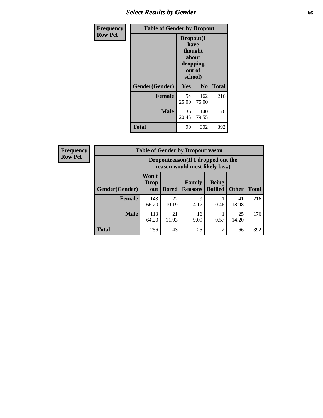# *Select Results by Gender* **66**

| Frequency      | <b>Table of Gender by Dropout</b> |                                                                        |                |              |
|----------------|-----------------------------------|------------------------------------------------------------------------|----------------|--------------|
| <b>Row Pct</b> |                                   | Dropout(I<br>have<br>thought<br>about<br>dropping<br>out of<br>school) |                |              |
|                | Gender(Gender)                    | Yes                                                                    | N <sub>0</sub> | <b>Total</b> |
|                | <b>Female</b>                     | 54<br>25.00                                                            | 162<br>75.00   | 216          |
|                | <b>Male</b>                       | 36<br>20.45                                                            | 140<br>79.55   | 176          |
|                | <b>Total</b>                      | 90                                                                     | 302            | 392          |

| <b>Frequency</b> | <b>Table of Gender by Dropoutreason</b> |                      |              |                                                                    |                                |              |              |
|------------------|-----------------------------------------|----------------------|--------------|--------------------------------------------------------------------|--------------------------------|--------------|--------------|
| <b>Row Pct</b>   |                                         |                      |              | Dropoutreason(If I dropped out the<br>reason would most likely be) |                                |              |              |
|                  | <b>Gender</b> (Gender)                  | Won't<br>Drop<br>out | <b>Bored</b> | <b>Family</b><br><b>Reasons</b>                                    | <b>Being</b><br><b>Bullied</b> | <b>Other</b> | <b>Total</b> |
|                  | Female                                  | 143<br>66.20         | 22<br>10.19  | 9<br>4.17                                                          | 0.46                           | 41<br>18.98  | 216          |
|                  | <b>Male</b>                             | 113<br>64.20         | 21<br>11.93  | 16<br>9.09                                                         | 0.57                           | 25<br>14.20  | 176          |
|                  | <b>Total</b>                            | 256                  | 43           | 25                                                                 | $\overline{2}$                 | 66           | 392          |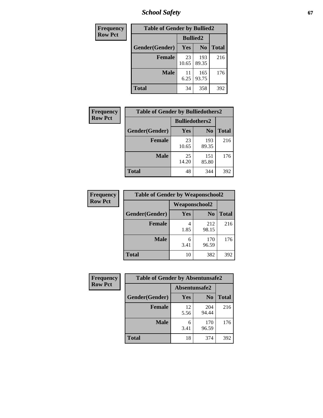*School Safety* **67**

| Frequency      | <b>Table of Gender by Bullied2</b> |                 |                |              |
|----------------|------------------------------------|-----------------|----------------|--------------|
| <b>Row Pct</b> |                                    | <b>Bullied2</b> |                |              |
|                | Gender(Gender)                     | Yes             | N <sub>0</sub> | <b>Total</b> |
|                | <b>Female</b>                      | 23<br>10.65     | 193<br>89.35   | 216          |
|                | <b>Male</b>                        | 11<br>6.25      | 165<br>93.75   | 176          |
|                | <b>Total</b>                       | 34              | 358            | 392          |

| <b>Frequency</b> | <b>Table of Gender by Bulliedothers2</b> |                       |                |              |
|------------------|------------------------------------------|-----------------------|----------------|--------------|
| <b>Row Pct</b>   |                                          | <b>Bulliedothers2</b> |                |              |
|                  | Gender(Gender)                           | Yes                   | N <sub>0</sub> | <b>Total</b> |
|                  | <b>Female</b>                            | 23<br>10.65           | 193<br>89.35   | 216          |
|                  | <b>Male</b>                              | 25<br>14.20           | 151<br>85.80   | 176          |
|                  | <b>Total</b>                             | 48                    | 344            | 392          |

| Frequency      | <b>Table of Gender by Weaponschool2</b> |               |                |              |
|----------------|-----------------------------------------|---------------|----------------|--------------|
| <b>Row Pct</b> |                                         | Weaponschool2 |                |              |
|                | Gender(Gender)                          | Yes           | N <sub>0</sub> | <b>Total</b> |
|                | <b>Female</b>                           | 1.85          | 212<br>98.15   | 216          |
|                | <b>Male</b>                             | 6<br>3.41     | 170<br>96.59   | 176          |
|                | <b>Total</b>                            | 10            | 382            | 392          |

| Frequency      | <b>Table of Gender by Absentunsafe2</b> |               |                |              |
|----------------|-----------------------------------------|---------------|----------------|--------------|
| <b>Row Pct</b> |                                         | Absentunsafe2 |                |              |
|                | Gender(Gender)                          | Yes           | N <sub>0</sub> | <b>Total</b> |
|                | <b>Female</b>                           | 12<br>5.56    | 204<br>94.44   | 216          |
|                | <b>Male</b>                             | 6<br>3.41     | 170<br>96.59   | 176          |
|                | <b>Total</b>                            | 18            | 374            | 392          |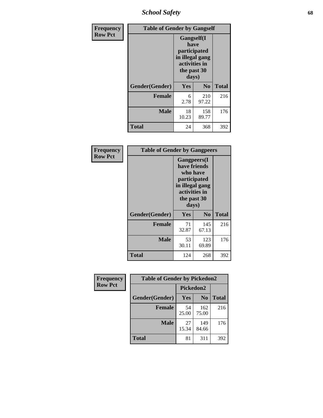*School Safety* **68**

| Frequency      | <b>Table of Gender by Gangself</b> |                                                                                                |                |              |
|----------------|------------------------------------|------------------------------------------------------------------------------------------------|----------------|--------------|
| <b>Row Pct</b> |                                    | Gangself(I<br>have<br>participated<br>in illegal gang<br>activities in<br>the past 30<br>days) |                |              |
|                | Gender(Gender)                     | Yes                                                                                            | N <sub>0</sub> | <b>Total</b> |
|                | <b>Female</b>                      | 6<br>2.78                                                                                      | 210<br>97.22   | 216          |
|                | <b>Male</b>                        | 18<br>10.23                                                                                    | 158<br>89.77   | 176          |
|                | <b>Total</b>                       | 24                                                                                             | 368            | 392          |

| Frequency      | <b>Table of Gender by Gangpeers</b> |                                                                                                                             |                |              |
|----------------|-------------------------------------|-----------------------------------------------------------------------------------------------------------------------------|----------------|--------------|
| <b>Row Pct</b> |                                     | <b>Gangpeers</b> (I<br>have friends<br>who have<br>participated<br>in illegal gang<br>activities in<br>the past 30<br>days) |                |              |
|                | Gender(Gender)                      | <b>Yes</b>                                                                                                                  | N <sub>0</sub> | <b>Total</b> |
|                | <b>Female</b>                       | 71<br>32.87                                                                                                                 | 145<br>67.13   | 216          |
|                | <b>Male</b>                         | 53<br>30.11                                                                                                                 | 123<br>69.89   | 176          |
|                | Total                               | 124                                                                                                                         | 268            | 392          |

| Frequency      | <b>Table of Gender by Pickedon2</b> |             |                |              |
|----------------|-------------------------------------|-------------|----------------|--------------|
| <b>Row Pct</b> |                                     | Pickedon2   |                |              |
|                | Gender(Gender)                      | <b>Yes</b>  | N <sub>0</sub> | <b>Total</b> |
|                | <b>Female</b>                       | 54<br>25.00 | 162<br>75.00   | 216          |
|                | <b>Male</b>                         | 27<br>15.34 | 149<br>84.66   | 176          |
|                | <b>Total</b>                        | 81          | 311            | 392          |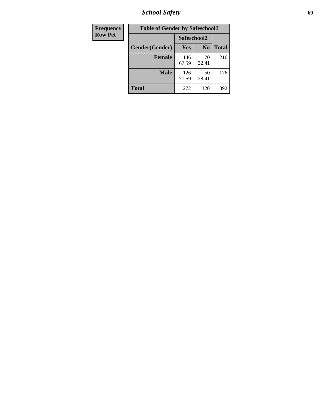*School Safety* **69**

| Frequency      | <b>Table of Gender by Safeschool2</b> |              |                |              |  |
|----------------|---------------------------------------|--------------|----------------|--------------|--|
| <b>Row Pct</b> |                                       | Safeschool2  |                |              |  |
|                | Gender(Gender)                        | <b>Yes</b>   | N <sub>0</sub> | <b>Total</b> |  |
|                | <b>Female</b>                         | 146<br>67.59 | 70<br>32.41    | 216          |  |
|                | <b>Male</b>                           | 126<br>71.59 | 50<br>28.41    | 176          |  |
|                | <b>Total</b>                          | 272          | 120            | 392          |  |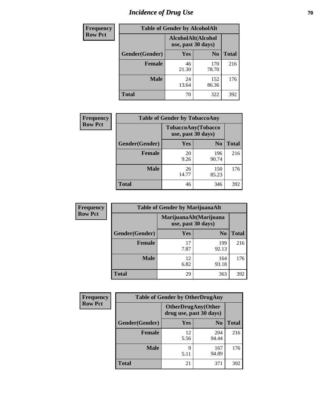# *Incidence of Drug Use* **70**

| <b>Frequency</b> | <b>Table of Gender by AlcoholAlt</b> |                                          |                |              |
|------------------|--------------------------------------|------------------------------------------|----------------|--------------|
| <b>Row Pct</b>   |                                      | AlcoholAlt(Alcohol<br>use, past 30 days) |                |              |
|                  | Gender(Gender)                       | Yes                                      | N <sub>0</sub> | <b>Total</b> |
|                  | <b>Female</b>                        | 46<br>21.30                              | 170<br>78.70   | 216          |
|                  | <b>Male</b>                          | 24<br>13.64                              | 152<br>86.36   | 176          |
|                  | <b>Total</b>                         | 70                                       | 322            | 392          |

| <b>Frequency</b> | <b>Table of Gender by TobaccoAny</b> |             |                                          |              |  |
|------------------|--------------------------------------|-------------|------------------------------------------|--------------|--|
| <b>Row Pct</b>   |                                      |             | TobaccoAny(Tobacco<br>use, past 30 days) |              |  |
|                  | Gender(Gender)                       | <b>Yes</b>  | N <sub>0</sub>                           | <b>Total</b> |  |
|                  | Female                               | 20<br>9.26  | 196<br>90.74                             | 216          |  |
|                  | <b>Male</b>                          | 26<br>14.77 | 150<br>85.23                             | 176          |  |
|                  | <b>Total</b>                         | 46          | 346                                      | 392          |  |

| <b>Frequency</b> | <b>Table of Gender by MarijuanaAlt</b> |            |                                              |       |
|------------------|----------------------------------------|------------|----------------------------------------------|-------|
| <b>Row Pct</b>   |                                        |            | MarijuanaAlt(Marijuana<br>use, past 30 days) |       |
|                  | Gender(Gender)                         | <b>Yes</b> | N <sub>0</sub>                               | Total |
|                  | <b>Female</b>                          | 17<br>7.87 | 199<br>92.13                                 | 216   |
|                  | <b>Male</b>                            | 12<br>6.82 | 164<br>93.18                                 | 176   |
|                  | <b>Total</b>                           | 29         | 363                                          | 392   |

| <b>Frequency</b> | <b>Table of Gender by OtherDrugAny</b> |                                                      |                |              |
|------------------|----------------------------------------|------------------------------------------------------|----------------|--------------|
| <b>Row Pct</b>   |                                        | <b>OtherDrugAny(Other</b><br>drug use, past 30 days) |                |              |
|                  | Gender(Gender)                         | <b>Yes</b>                                           | N <sub>0</sub> | <b>Total</b> |
|                  | <b>Female</b>                          | 12<br>5.56                                           | 204<br>94.44   | 216          |
|                  | <b>Male</b>                            | q<br>5.11                                            | 167<br>94.89   | 176          |
|                  | <b>Total</b>                           | 21                                                   | 371            | 392          |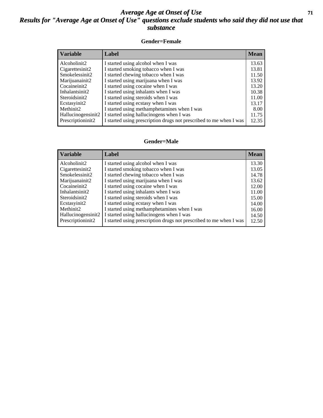#### *Average Age at Onset of Use* **71** *Results for "Average Age at Onset of Use" questions exclude students who said they did not use that substance*

#### **Gender=Female**

| Variable           | <b>Label</b>                                                       | <b>Mean</b> |
|--------------------|--------------------------------------------------------------------|-------------|
| Alcoholinit2       | I started using alcohol when I was                                 | 13.63       |
| Cigarettesinit2    | I started smoking tobacco when I was                               | 13.81       |
| Smokelessinit2     | I started chewing tobacco when I was                               | 11.50       |
| Marijuanainit2     | I started using marijuana when I was                               | 13.92       |
| Cocaineinit2       | I started using cocaine when I was                                 | 13.20       |
| Inhalantsinit2     | I started using inhalants when I was                               | 10.38       |
| Steroidsinit2      | I started using steroids when I was                                | 11.00       |
| Ecstasyinit2       | I started using ecstasy when I was                                 | 13.17       |
| Methinit2          | I started using methamphetamines when I was                        | 8.00        |
| Hallucinogensinit2 | I started using hallucinogens when I was                           | 11.75       |
| Prescription in t2 | I started using prescription drugs not prescribed to me when I was | 12.35       |

#### **Gender=Male**

| <b>Variable</b>    | Label                                                              | <b>Mean</b> |
|--------------------|--------------------------------------------------------------------|-------------|
| Alcoholinit2       | I started using alcohol when I was                                 | 13.30       |
| Cigarettesinit2    | I started smoking tobacco when I was                               | 13.05       |
| Smokelessinit2     | I started chewing tobacco when I was                               | 14.78       |
| Marijuanainit2     | I started using marijuana when I was                               | 13.62       |
| Cocaineinit2       | I started using cocaine when I was                                 | 12.00       |
| Inhalantsinit2     | I started using inhalants when I was                               | 11.00       |
| Steroidsinit2      | I started using steroids when I was                                | 15.00       |
| Ecstasyinit2       | I started using ecstasy when I was                                 | 14.00       |
| Methinit2          | I started using methamphetamines when I was                        | 16.00       |
| Hallucinogensinit2 | I started using hallucinogens when I was                           | 14.50       |
| Prescriptioninit2  | I started using prescription drugs not prescribed to me when I was | 12.50       |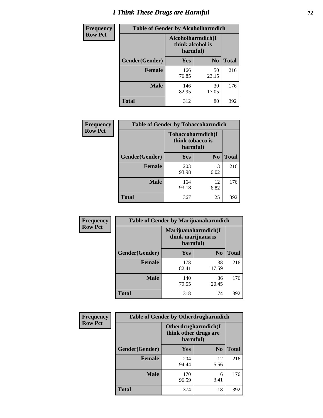# *I Think These Drugs are Harmful* **72**

| <b>Frequency</b> | <b>Table of Gender by Alcoholharmdich</b> |                              |                   |              |  |
|------------------|-------------------------------------------|------------------------------|-------------------|--------------|--|
| <b>Row Pct</b>   |                                           | think alcohol is<br>harmful) | Alcoholharmdich(I |              |  |
|                  | Gender(Gender)                            | Yes                          | N <sub>0</sub>    | <b>Total</b> |  |
|                  | <b>Female</b>                             | 166<br>76.85                 | 50<br>23.15       | 216          |  |
|                  | <b>Male</b>                               | 146<br>82.95                 | 30<br>17.05       | 176          |  |
|                  | <b>Total</b>                              | 312                          | 80                | 392          |  |

| Frequency      | <b>Table of Gender by Tobaccoharmdich</b> |                              |                   |              |
|----------------|-------------------------------------------|------------------------------|-------------------|--------------|
| <b>Row Pct</b> |                                           | think tobacco is<br>harmful) | Tobaccoharmdich(I |              |
|                | Gender(Gender)                            | Yes                          | N <sub>0</sub>    | <b>Total</b> |
|                | <b>Female</b>                             | 203<br>93.98                 | 13<br>6.02        | 216          |
|                | <b>Male</b>                               | 164<br>93.18                 | 12<br>6.82        | 176          |
|                | <b>Total</b>                              | 367                          | 25                | 392          |

| Frequency      | <b>Table of Gender by Marijuanaharmdich</b> |                                                       |                |              |  |
|----------------|---------------------------------------------|-------------------------------------------------------|----------------|--------------|--|
| <b>Row Pct</b> |                                             | Marijuanaharmdich(I<br>think marijuana is<br>harmful) |                |              |  |
|                | Gender(Gender)                              | <b>Yes</b>                                            | N <sub>0</sub> | <b>Total</b> |  |
|                | <b>Female</b>                               | 178<br>82.41                                          | 38<br>17.59    | 216          |  |
|                | <b>Male</b>                                 | 140<br>79.55                                          | 36<br>20.45    | 176          |  |
|                | <b>Total</b>                                | 318                                                   | 74             | 392          |  |

| Frequency      | <b>Table of Gender by Otherdrugharmdich</b> |                                                          |                |              |  |
|----------------|---------------------------------------------|----------------------------------------------------------|----------------|--------------|--|
| <b>Row Pct</b> |                                             | Otherdrugharmdich(I<br>think other drugs are<br>harmful) |                |              |  |
|                | Gender(Gender)                              | <b>Yes</b>                                               | N <sub>0</sub> | <b>Total</b> |  |
|                | <b>Female</b>                               | 204<br>94.44                                             | 12<br>5.56     | 216          |  |
|                | <b>Male</b>                                 | 170<br>96.59                                             | 6<br>3.41      | 176          |  |
|                | <b>Total</b>                                | 374                                                      | 18             | 392          |  |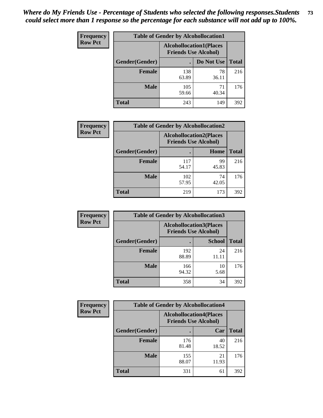| <b>Frequency</b> | <b>Table of Gender by Alcohollocation1</b> |                                                               |             |              |  |
|------------------|--------------------------------------------|---------------------------------------------------------------|-------------|--------------|--|
| <b>Row Pct</b>   |                                            | <b>Alcohollocation1(Places</b><br><b>Friends Use Alcohol)</b> |             |              |  |
|                  | Gender(Gender)                             |                                                               | Do Not Use  | <b>Total</b> |  |
|                  | <b>Female</b>                              | 138<br>63.89                                                  | 78<br>36.11 | 216          |  |
|                  | <b>Male</b>                                | 105<br>59.66                                                  | 71<br>40.34 | 176          |  |
|                  | <b>Total</b>                               | 243                                                           | 149         | 392          |  |

| <b>Frequency</b> | <b>Table of Gender by Alcohollocation2</b> |                                                               |             |              |
|------------------|--------------------------------------------|---------------------------------------------------------------|-------------|--------------|
| <b>Row Pct</b>   |                                            | <b>Alcohollocation2(Places</b><br><b>Friends Use Alcohol)</b> |             |              |
|                  | Gender(Gender)                             |                                                               | Home        | <b>Total</b> |
|                  | <b>Female</b>                              | 117<br>54.17                                                  | 99<br>45.83 | 216          |
|                  | <b>Male</b>                                | 102<br>57.95                                                  | 74<br>42.05 | 176          |
|                  | <b>Total</b>                               | 219                                                           | 173         | 392          |

| Frequency      | <b>Table of Gender by Alcohollocation3</b> |                                                               |               |              |
|----------------|--------------------------------------------|---------------------------------------------------------------|---------------|--------------|
| <b>Row Pct</b> |                                            | <b>Alcohollocation3(Places</b><br><b>Friends Use Alcohol)</b> |               |              |
|                | Gender(Gender)                             |                                                               | <b>School</b> | <b>Total</b> |
|                | <b>Female</b>                              | 192<br>88.89                                                  | 24<br>11.11   | 216          |
|                | <b>Male</b>                                | 166<br>94.32                                                  | 10<br>5.68    | 176          |
|                | <b>Total</b>                               | 358                                                           | 34            | 392          |

| <b>Frequency</b> | <b>Table of Gender by Alcohollocation4</b> |                                                               |             |              |
|------------------|--------------------------------------------|---------------------------------------------------------------|-------------|--------------|
| <b>Row Pct</b>   |                                            | <b>Alcohollocation4(Places</b><br><b>Friends Use Alcohol)</b> |             |              |
|                  | Gender(Gender)                             |                                                               | Car         | <b>Total</b> |
|                  | <b>Female</b>                              | 176<br>81.48                                                  | 40<br>18.52 | 216          |
|                  | <b>Male</b>                                | 155<br>88.07                                                  | 21<br>11.93 | 176          |
|                  | <b>Total</b>                               | 331                                                           | 61          | 392          |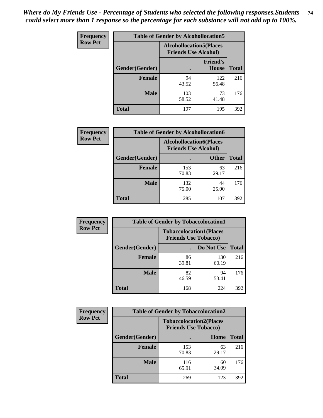| <b>Frequency</b> | <b>Table of Gender by Alcohollocation5</b> |                                                                |                                 |              |
|------------------|--------------------------------------------|----------------------------------------------------------------|---------------------------------|--------------|
| <b>Row Pct</b>   |                                            | <b>Alcohollocation5</b> (Places<br><b>Friends Use Alcohol)</b> |                                 |              |
|                  | Gender(Gender)                             |                                                                | <b>Friend's</b><br><b>House</b> | <b>Total</b> |
|                  | <b>Female</b>                              | 94<br>43.52                                                    | 122<br>56.48                    | 216          |
|                  | <b>Male</b>                                | 103<br>58.52                                                   | 73<br>41.48                     | 176          |
|                  | <b>Total</b>                               | 197                                                            | 195                             | 392          |

| Frequency      |                        | <b>Table of Gender by Alcohollocation6</b>                    |              |              |
|----------------|------------------------|---------------------------------------------------------------|--------------|--------------|
| <b>Row Pct</b> |                        | <b>Alcohollocation6(Places</b><br><b>Friends Use Alcohol)</b> |              |              |
|                | <b>Gender</b> (Gender) |                                                               | <b>Other</b> | <b>Total</b> |
|                | <b>Female</b>          | 153<br>70.83                                                  | 63<br>29.17  | 216          |
|                | <b>Male</b>            | 132<br>75.00                                                  | 44<br>25.00  | 176          |
|                | <b>Total</b>           | 285                                                           | 107          | 392          |

| Frequency      | <b>Table of Gender by Tobaccolocation1</b> |                                                               |              |              |  |
|----------------|--------------------------------------------|---------------------------------------------------------------|--------------|--------------|--|
| <b>Row Pct</b> |                                            | <b>Tobaccolocation1(Places</b><br><b>Friends Use Tobacco)</b> |              |              |  |
|                | <b>Gender</b> (Gender)                     |                                                               | Do Not Use   | <b>Total</b> |  |
|                | <b>Female</b>                              | 86<br>39.81                                                   | 130<br>60.19 | 216          |  |
|                | <b>Male</b>                                | 82<br>46.59                                                   | 94<br>53.41  | 176          |  |
|                | <b>Total</b>                               | 168                                                           | 224          | 392          |  |

| <b>Frequency</b> | <b>Table of Gender by Tobaccolocation2</b> |                             |                                |              |
|------------------|--------------------------------------------|-----------------------------|--------------------------------|--------------|
| <b>Row Pct</b>   |                                            | <b>Friends Use Tobacco)</b> | <b>Tobaccolocation2(Places</b> |              |
|                  | Gender(Gender)                             |                             | Home                           | <b>Total</b> |
|                  | Female                                     | 153<br>70.83                | 63<br>29.17                    | 216          |
|                  | <b>Male</b>                                | 116<br>65.91                | 60<br>34.09                    | 176          |
|                  | <b>Total</b>                               | 269                         | 123                            | 392          |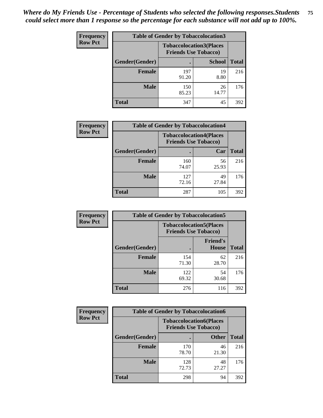| <b>Frequency</b> | <b>Table of Gender by Tobaccolocation3</b> |                                                               |               |              |  |
|------------------|--------------------------------------------|---------------------------------------------------------------|---------------|--------------|--|
| <b>Row Pct</b>   |                                            | <b>Tobaccolocation3(Places</b><br><b>Friends Use Tobacco)</b> |               |              |  |
|                  | Gender(Gender)                             |                                                               | <b>School</b> | <b>Total</b> |  |
|                  | <b>Female</b>                              | 197<br>91.20                                                  | 19<br>8.80    | 216          |  |
|                  | <b>Male</b>                                | 150<br>85.23                                                  | 26<br>14.77   | 176          |  |
|                  | <b>Total</b>                               | 347                                                           | 45            | 392          |  |

| <b>Frequency</b> | <b>Table of Gender by Tobaccolocation4</b> |                             |                                |              |
|------------------|--------------------------------------------|-----------------------------|--------------------------------|--------------|
| <b>Row Pct</b>   |                                            | <b>Friends Use Tobacco)</b> | <b>Tobaccolocation4(Places</b> |              |
|                  | Gender(Gender)                             |                             | Car                            | <b>Total</b> |
|                  | <b>Female</b>                              | 160<br>74.07                | 56<br>25.93                    | 216          |
|                  | <b>Male</b>                                | 127<br>72.16                | 49<br>27.84                    | 176          |
|                  | <b>Total</b>                               | 287                         | 105                            | 392          |

| <b>Frequency</b> | <b>Table of Gender by Tobaccolocation5</b> |                                                               |                                 |              |
|------------------|--------------------------------------------|---------------------------------------------------------------|---------------------------------|--------------|
| <b>Row Pct</b>   |                                            | <b>Tobaccolocation5(Places</b><br><b>Friends Use Tobacco)</b> |                                 |              |
|                  | Gender(Gender)                             |                                                               | <b>Friend's</b><br><b>House</b> | <b>Total</b> |
|                  | <b>Female</b>                              | 154<br>71.30                                                  | 62<br>28.70                     | 216          |
|                  | <b>Male</b>                                | 122<br>69.32                                                  | 54<br>30.68                     | 176          |
|                  | <b>Total</b>                               | 276                                                           | 116                             | 392          |

| <b>Frequency</b> | <b>Table of Gender by Tobaccolocation6</b> |                                                               |              |              |
|------------------|--------------------------------------------|---------------------------------------------------------------|--------------|--------------|
| <b>Row Pct</b>   |                                            | <b>Tobaccolocation6(Places</b><br><b>Friends Use Tobacco)</b> |              |              |
|                  | <b>Gender</b> (Gender)                     |                                                               | <b>Other</b> | <b>Total</b> |
|                  | <b>Female</b>                              | 170<br>78.70                                                  | 46<br>21.30  | 216          |
|                  | <b>Male</b>                                | 128<br>72.73                                                  | 48<br>27.27  | 176          |
|                  | <b>Total</b>                               | 298                                                           | 94           | 392          |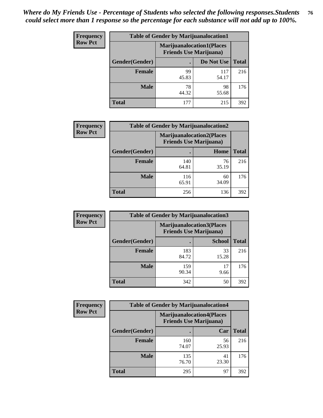| <b>Frequency</b> | <b>Table of Gender by Marijuanalocation1</b> |                                                                    |              |              |
|------------------|----------------------------------------------|--------------------------------------------------------------------|--------------|--------------|
| <b>Row Pct</b>   |                                              | <b>Marijuanalocation1(Places</b><br><b>Friends Use Marijuana</b> ) |              |              |
|                  | Gender(Gender)                               |                                                                    | Do Not Use   | <b>Total</b> |
|                  | <b>Female</b>                                | 99<br>45.83                                                        | 117<br>54.17 | 216          |
|                  | <b>Male</b>                                  | 78<br>44.32                                                        | 98<br>55.68  | 176          |
|                  | <b>Total</b>                                 | 177                                                                | 215          | 392          |

| <b>Frequency</b> | <b>Table of Gender by Marijuanalocation2</b> |                                                                    |             |              |  |
|------------------|----------------------------------------------|--------------------------------------------------------------------|-------------|--------------|--|
| <b>Row Pct</b>   |                                              | <b>Marijuanalocation2(Places</b><br><b>Friends Use Marijuana</b> ) |             |              |  |
|                  | Gender(Gender)                               |                                                                    | Home        | <b>Total</b> |  |
|                  | <b>Female</b>                                | 140<br>64.81                                                       | 76<br>35.19 | 216          |  |
|                  | <b>Male</b>                                  | 116<br>65.91                                                       | 60<br>34.09 | 176          |  |
|                  | <b>Total</b>                                 | 256                                                                | 136         | 392          |  |

| Frequency      | <b>Table of Gender by Marijuanalocation3</b> |                                                                     |               |              |
|----------------|----------------------------------------------|---------------------------------------------------------------------|---------------|--------------|
| <b>Row Pct</b> |                                              | <b>Marijuanalocation3(Places)</b><br><b>Friends Use Marijuana</b> ) |               |              |
|                | Gender(Gender)                               |                                                                     | <b>School</b> | <b>Total</b> |
|                | Female                                       | 183<br>84.72                                                        | 33<br>15.28   | 216          |
|                | <b>Male</b>                                  | 159<br>90.34                                                        | 17<br>9.66    | 176          |
|                | <b>Total</b>                                 | 342                                                                 | 50            | 392          |

| <b>Frequency</b> | <b>Table of Gender by Marijuanalocation4</b> |                                                                    |             |              |  |
|------------------|----------------------------------------------|--------------------------------------------------------------------|-------------|--------------|--|
| <b>Row Pct</b>   |                                              | <b>Marijuanalocation4(Places</b><br><b>Friends Use Marijuana</b> ) |             |              |  |
|                  | Gender(Gender)                               |                                                                    | Car         | <b>Total</b> |  |
|                  | Female                                       | 160<br>74.07                                                       | 56<br>25.93 | 216          |  |
|                  | <b>Male</b>                                  | 135<br>76.70                                                       | 41<br>23.30 | 176          |  |
|                  | <b>Total</b>                                 | 295                                                                | 97          | 392          |  |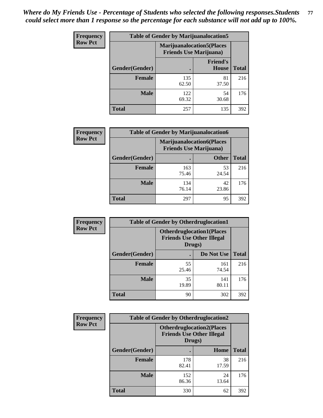| Frequency      | <b>Table of Gender by Marijuanalocation5</b> |                                                                    |                                 |              |
|----------------|----------------------------------------------|--------------------------------------------------------------------|---------------------------------|--------------|
| <b>Row Pct</b> |                                              | <b>Marijuanalocation5(Places</b><br><b>Friends Use Marijuana</b> ) |                                 |              |
|                | Gender(Gender)                               |                                                                    | <b>Friend's</b><br><b>House</b> | <b>Total</b> |
|                | Female                                       | 135<br>62.50                                                       | 81<br>37.50                     | 216          |
|                | <b>Male</b>                                  | 122<br>69.32                                                       | 54<br>30.68                     | 176          |
|                | <b>Total</b>                                 | 257                                                                | 135                             | 392          |

| <b>Frequency</b> | <b>Table of Gender by Marijuanalocation6</b> |                                |                                  |              |
|------------------|----------------------------------------------|--------------------------------|----------------------------------|--------------|
| <b>Row Pct</b>   |                                              | <b>Friends Use Marijuana</b> ) | <b>Marijuanalocation6(Places</b> |              |
|                  | <b>Gender</b> (Gender)                       |                                | <b>Other</b>                     | <b>Total</b> |
|                  | <b>Female</b>                                | 163<br>75.46                   | 53<br>24.54                      | 216          |
|                  | <b>Male</b>                                  | 134<br>76.14                   | 42<br>23.86                      | 176          |
|                  | <b>Total</b>                                 | 297                            | 95                               | 392          |

| <b>Frequency</b> | <b>Table of Gender by Otherdruglocation1</b> |                                                                                |              |              |
|------------------|----------------------------------------------|--------------------------------------------------------------------------------|--------------|--------------|
| <b>Row Pct</b>   |                                              | <b>Otherdruglocation1(Places</b><br><b>Friends Use Other Illegal</b><br>Drugs) |              |              |
|                  | Gender(Gender)                               |                                                                                | Do Not Use   | <b>Total</b> |
|                  | Female                                       | 55<br>25.46                                                                    | 161<br>74.54 | 216          |
|                  | <b>Male</b>                                  | 35<br>19.89                                                                    | 141<br>80.11 | 176          |
|                  | <b>Total</b>                                 | 90                                                                             | 302          | 392          |

| <b>Frequency</b> | <b>Table of Gender by Otherdruglocation2</b> |                                            |                                  |              |
|------------------|----------------------------------------------|--------------------------------------------|----------------------------------|--------------|
| <b>Row Pct</b>   |                                              | <b>Friends Use Other Illegal</b><br>Drugs) | <b>Otherdruglocation2(Places</b> |              |
|                  | Gender(Gender)                               |                                            | Home                             | <b>Total</b> |
|                  | Female                                       | 178<br>82.41                               | 38<br>17.59                      | 216          |
|                  | <b>Male</b>                                  | 152<br>86.36                               | 24<br>13.64                      | 176          |
|                  | <b>Total</b>                                 | 330                                        | 62                               | 392          |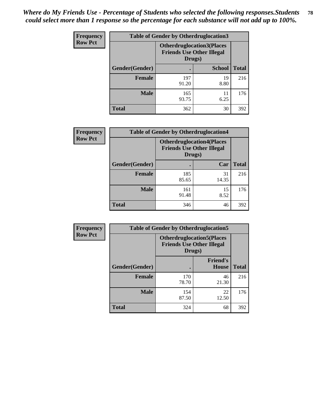| <b>Frequency</b> | <b>Table of Gender by Otherdruglocation3</b> |                                            |                                  |              |
|------------------|----------------------------------------------|--------------------------------------------|----------------------------------|--------------|
| <b>Row Pct</b>   |                                              | <b>Friends Use Other Illegal</b><br>Drugs) | <b>Otherdruglocation3(Places</b> |              |
|                  | Gender(Gender)                               |                                            | <b>School</b>                    | <b>Total</b> |
|                  | Female                                       | 197<br>91.20                               | 19<br>8.80                       | 216          |
|                  | <b>Male</b>                                  | 165<br>93.75                               | 11<br>6.25                       | 176          |
|                  | <b>Total</b>                                 | 362                                        | 30                               | 392          |

| <b>Frequency</b> | <b>Table of Gender by Otherdruglocation4</b> |                                                                                |             |              |
|------------------|----------------------------------------------|--------------------------------------------------------------------------------|-------------|--------------|
| <b>Row Pct</b>   |                                              | <b>Otherdruglocation4(Places</b><br><b>Friends Use Other Illegal</b><br>Drugs) |             |              |
|                  | Gender(Gender)                               |                                                                                | Car         | <b>Total</b> |
|                  | Female                                       | 185<br>85.65                                                                   | 31<br>14.35 | 216          |
|                  | <b>Male</b>                                  | 161<br>91.48                                                                   | 15<br>8.52  | 176          |
|                  | <b>Total</b>                                 | 346                                                                            | 46          | 392          |

| <b>Frequency</b> | <b>Table of Gender by Otherdruglocation5</b> |                                                                                |                                 |              |
|------------------|----------------------------------------------|--------------------------------------------------------------------------------|---------------------------------|--------------|
| <b>Row Pct</b>   |                                              | <b>Otherdruglocation5(Places</b><br><b>Friends Use Other Illegal</b><br>Drugs) |                                 |              |
|                  | Gender(Gender)                               |                                                                                | <b>Friend's</b><br><b>House</b> | <b>Total</b> |
|                  | <b>Female</b>                                | 170<br>78.70                                                                   | 46<br>21.30                     | 216          |
|                  | <b>Male</b>                                  | 154<br>87.50                                                                   | 22<br>12.50                     | 176          |
|                  | <b>Total</b>                                 | 324                                                                            | 68                              | 392          |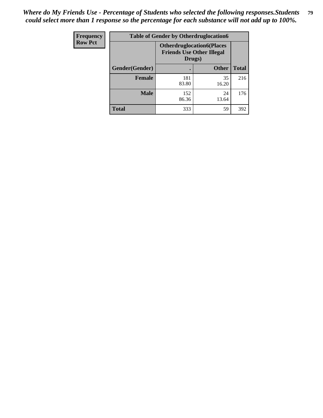| <b>Frequency</b> | <b>Table of Gender by Otherdruglocation6</b> |                                                                                |              |              |
|------------------|----------------------------------------------|--------------------------------------------------------------------------------|--------------|--------------|
| <b>Row Pct</b>   |                                              | <b>Otherdruglocation6(Places</b><br><b>Friends Use Other Illegal</b><br>Drugs) |              |              |
|                  | Gender(Gender)                               |                                                                                | <b>Other</b> | <b>Total</b> |
|                  | Female                                       | 181<br>83.80                                                                   | 35<br>16.20  | 216          |
|                  | <b>Male</b>                                  | 152<br>86.36                                                                   | 24<br>13.64  | 176          |
|                  | <b>Total</b>                                 | 333                                                                            | 59           | 392          |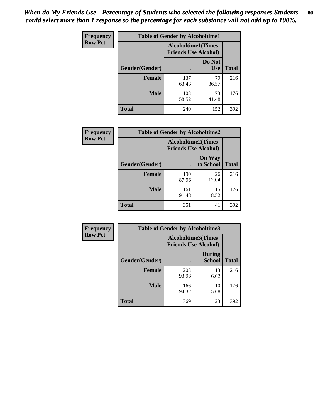| <b>Frequency</b> | <b>Table of Gender by Alcoholtime1</b> |                                                          |                      |              |
|------------------|----------------------------------------|----------------------------------------------------------|----------------------|--------------|
| <b>Row Pct</b>   |                                        | <b>Alcoholtime1(Times</b><br><b>Friends Use Alcohol)</b> |                      |              |
|                  | Gender(Gender)                         | ٠                                                        | Do Not<br><b>Use</b> | <b>Total</b> |
|                  | <b>Female</b>                          | 137<br>63.43                                             | 79<br>36.57          | 216          |
|                  | <b>Male</b>                            | 103<br>58.52                                             | 73<br>41.48          | 176          |
|                  | <b>Total</b>                           | 240                                                      | 152                  | 392          |

| <b>Frequency</b> | <b>Table of Gender by Alcoholtime2</b> |                                                          |                            |              |
|------------------|----------------------------------------|----------------------------------------------------------|----------------------------|--------------|
| <b>Row Pct</b>   |                                        | <b>Alcoholtime2(Times</b><br><b>Friends Use Alcohol)</b> |                            |              |
|                  | Gender(Gender)                         |                                                          | <b>On Way</b><br>to School | <b>Total</b> |
|                  | <b>Female</b>                          | 190<br>87.96                                             | 26<br>12.04                | 216          |
|                  | <b>Male</b>                            | 161<br>91.48                                             | 15<br>8.52                 | 176          |
|                  | <b>Total</b>                           | 351                                                      | 41                         | 392          |

| <b>Frequency</b> | <b>Table of Gender by Alcoholtime3</b> |                                                   |                                |              |
|------------------|----------------------------------------|---------------------------------------------------|--------------------------------|--------------|
| <b>Row Pct</b>   |                                        | Alcoholtime3(Times<br><b>Friends Use Alcohol)</b> |                                |              |
|                  | Gender(Gender)                         |                                                   | <b>During</b><br><b>School</b> | <b>Total</b> |
|                  | Female                                 | 203<br>93.98                                      | 13<br>6.02                     | 216          |
|                  | <b>Male</b>                            | 166<br>94.32                                      | 10<br>5.68                     | 176          |
|                  | <b>Total</b>                           | 369                                               | 23                             | 392          |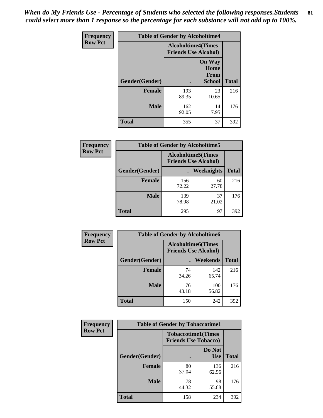*When do My Friends Use - Percentage of Students who selected the following responses.Students could select more than 1 response so the percentage for each substance will not add up to 100%.* **81**

| <b>Frequency</b> | <b>Table of Gender by Alcoholtime4</b> |                                                          |                                                |              |
|------------------|----------------------------------------|----------------------------------------------------------|------------------------------------------------|--------------|
| <b>Row Pct</b>   |                                        | <b>Alcoholtime4(Times</b><br><b>Friends Use Alcohol)</b> |                                                |              |
|                  | Gender(Gender)                         |                                                          | <b>On Way</b><br>Home<br>From<br><b>School</b> | <b>Total</b> |
|                  | <b>Female</b>                          | 193<br>89.35                                             | 23<br>10.65                                    | 216          |
|                  | <b>Male</b>                            | 162<br>92.05                                             | 14<br>7.95                                     | 176          |
|                  | <b>Total</b>                           | 355                                                      | 37                                             | 392          |

| <b>Frequency</b> | <b>Table of Gender by Alcoholtime5</b> |                                                           |                   |              |
|------------------|----------------------------------------|-----------------------------------------------------------|-------------------|--------------|
| <b>Row Pct</b>   |                                        | <b>Alcoholtime5</b> (Times<br><b>Friends Use Alcohol)</b> |                   |              |
|                  | Gender(Gender)                         |                                                           | <b>Weeknights</b> | <b>Total</b> |
|                  | <b>Female</b>                          | 156<br>72.22                                              | 60<br>27.78       | 216          |
|                  | <b>Male</b>                            | 139<br>78.98                                              | 37<br>21.02       | 176          |
|                  | <b>Total</b>                           | 295                                                       | 97                | 392          |

| <b>Frequency</b> | <b>Table of Gender by Alcoholtime6</b> |             |                                                           |              |
|------------------|----------------------------------------|-------------|-----------------------------------------------------------|--------------|
| <b>Row Pct</b>   |                                        |             | <b>Alcoholtime6</b> (Times<br><b>Friends Use Alcohol)</b> |              |
|                  | Gender(Gender)                         |             | <b>Weekends</b>                                           | <b>Total</b> |
|                  | <b>Female</b>                          | 74<br>34.26 | 142<br>65.74                                              | 216          |
|                  | <b>Male</b>                            | 76<br>43.18 | 100<br>56.82                                              | 176          |
|                  | Total                                  | 150         | 242                                                       | 392          |

| Frequency      | <b>Table of Gender by Tobaccotime1</b> |                             |                           |              |
|----------------|----------------------------------------|-----------------------------|---------------------------|--------------|
| <b>Row Pct</b> |                                        | <b>Friends Use Tobacco)</b> | <b>Tobaccotime1(Times</b> |              |
|                | Gender(Gender)                         |                             | Do Not<br><b>Use</b>      | <b>Total</b> |
|                | Female                                 | 80<br>37.04                 | 136<br>62.96              | 216          |
|                | <b>Male</b>                            | 78<br>44.32                 | 98<br>55.68               | 176          |
|                | <b>Total</b>                           | 158                         | 234                       | 392          |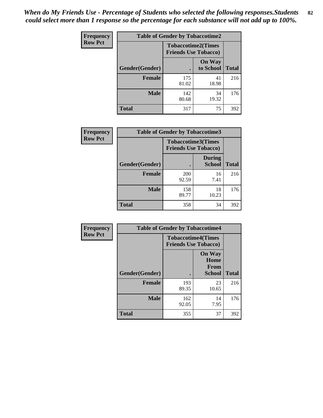*When do My Friends Use - Percentage of Students who selected the following responses.Students could select more than 1 response so the percentage for each substance will not add up to 100%.* **82**

| Frequency      | <b>Table of Gender by Tobaccotime2</b> |                                                          |                            |              |
|----------------|----------------------------------------|----------------------------------------------------------|----------------------------|--------------|
| <b>Row Pct</b> |                                        | <b>Tobaccotime2(Times</b><br><b>Friends Use Tobacco)</b> |                            |              |
|                | Gender(Gender)                         | $\bullet$                                                | <b>On Way</b><br>to School | <b>Total</b> |
|                | <b>Female</b>                          | 175<br>81.02                                             | 41<br>18.98                | 216          |
|                | <b>Male</b>                            | 142<br>80.68                                             | 34<br>19.32                | 176          |
|                | <b>Total</b>                           | 317                                                      | 75                         | 392          |

| Frequency      | <b>Table of Gender by Tobaccotime3</b> |                                                          |                                |              |
|----------------|----------------------------------------|----------------------------------------------------------|--------------------------------|--------------|
| <b>Row Pct</b> |                                        | <b>Tobaccotime3(Times</b><br><b>Friends Use Tobacco)</b> |                                |              |
|                | Gender(Gender)                         |                                                          | <b>During</b><br><b>School</b> | <b>Total</b> |
|                | Female                                 | 200<br>92.59                                             | 16<br>7.41                     | 216          |
|                | <b>Male</b>                            | 158<br>89.77                                             | 18<br>10.23                    | 176          |
|                | <b>Total</b>                           | 358                                                      | 34                             | 392          |

| Frequency      | <b>Table of Gender by Tobaccotime4</b> |                                                          |                                                |              |
|----------------|----------------------------------------|----------------------------------------------------------|------------------------------------------------|--------------|
| <b>Row Pct</b> |                                        | <b>Tobaccotime4(Times</b><br><b>Friends Use Tobacco)</b> |                                                |              |
|                | Gender(Gender)                         |                                                          | <b>On Way</b><br>Home<br>From<br><b>School</b> | <b>Total</b> |
|                | <b>Female</b>                          | 193<br>89.35                                             | 23<br>10.65                                    | 216          |
|                | <b>Male</b>                            | 162<br>92.05                                             | 14<br>7.95                                     | 176          |
|                | <b>Total</b>                           | 355                                                      | 37                                             | 392          |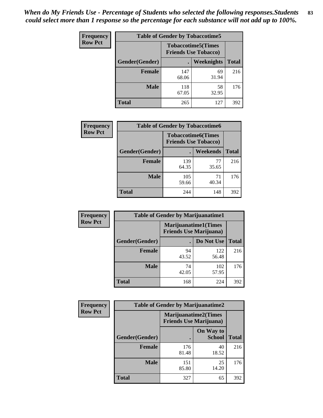| Frequency      | <b>Table of Gender by Tobaccotime5</b> |              |                                                          |              |  |
|----------------|----------------------------------------|--------------|----------------------------------------------------------|--------------|--|
| <b>Row Pct</b> |                                        |              | <b>Tobaccotime5(Times</b><br><b>Friends Use Tobacco)</b> |              |  |
|                | Gender(Gender)                         |              | Weeknights                                               | <b>Total</b> |  |
|                | <b>Female</b>                          | 147<br>68.06 | 69<br>31.94                                              | 216          |  |
|                | <b>Male</b>                            | 118<br>67.05 | 58<br>32.95                                              | 176          |  |
|                | <b>Total</b>                           | 265          | 127                                                      | 392          |  |

| <b>Frequency</b> | <b>Table of Gender by Tobaccotime6</b> |                                                          |                 |              |
|------------------|----------------------------------------|----------------------------------------------------------|-----------------|--------------|
| <b>Row Pct</b>   |                                        | <b>Tobaccotime6(Times</b><br><b>Friends Use Tobacco)</b> |                 |              |
|                  | Gender(Gender)                         |                                                          | <b>Weekends</b> | <b>Total</b> |
|                  | Female                                 | 139<br>64.35                                             | 77<br>35.65     | 216          |
|                  | <b>Male</b>                            | 105<br>59.66                                             | 71<br>40.34     | 176          |
|                  | <b>Total</b>                           | 244                                                      | 148             | 392          |

| <b>Frequency</b> | <b>Table of Gender by Marijuanatime1</b> |                                |                             |              |
|------------------|------------------------------------------|--------------------------------|-----------------------------|--------------|
| <b>Row Pct</b>   |                                          | <b>Friends Use Marijuana</b> ) | <b>Marijuanatime1(Times</b> |              |
|                  | Gender(Gender)                           |                                | Do Not Use                  | <b>Total</b> |
|                  | <b>Female</b>                            | 94<br>43.52                    | 122<br>56.48                | 216          |
|                  | <b>Male</b>                              | 74<br>42.05                    | 102<br>57.95                | 176          |
|                  | <b>Total</b>                             | 168                            | 224                         | 392          |

| <b>Frequency</b> | <b>Table of Gender by Marijuanatime2</b> |                                                               |                            |              |
|------------------|------------------------------------------|---------------------------------------------------------------|----------------------------|--------------|
| <b>Row Pct</b>   |                                          | <b>Marijuanatime2(Times</b><br><b>Friends Use Marijuana</b> ) |                            |              |
|                  | Gender(Gender)                           |                                                               | On Way to<br><b>School</b> | <b>Total</b> |
|                  | <b>Female</b>                            | 176<br>81.48                                                  | 40<br>18.52                | 216          |
|                  | <b>Male</b>                              | 151<br>85.80                                                  | 25<br>14.20                | 176          |
|                  | <b>Total</b>                             | 327                                                           | 65                         | 392          |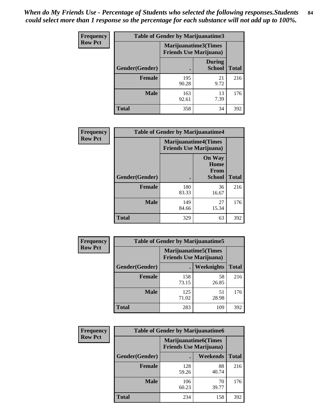*When do My Friends Use - Percentage of Students who selected the following responses.Students could select more than 1 response so the percentage for each substance will not add up to 100%.* **84**

| <b>Frequency</b> | Table of Gender by Marijuanatime3 |                                                        |                                |              |
|------------------|-----------------------------------|--------------------------------------------------------|--------------------------------|--------------|
| <b>Row Pct</b>   |                                   | Marijuanatime3(Times<br><b>Friends Use Marijuana</b> ) |                                |              |
|                  | Gender(Gender)                    |                                                        | <b>During</b><br><b>School</b> | <b>Total</b> |
|                  | <b>Female</b>                     | 195<br>90.28                                           | 21<br>9.72                     | 216          |
|                  | <b>Male</b>                       | 163<br>92.61                                           | 13<br>7.39                     | 176          |
|                  | <b>Total</b>                      | 358                                                    | 34                             | 392          |

| Frequency      | <b>Table of Gender by Marijuanatime4</b> |                                                               |                                                       |              |
|----------------|------------------------------------------|---------------------------------------------------------------|-------------------------------------------------------|--------------|
| <b>Row Pct</b> |                                          | <b>Marijuanatime4(Times</b><br><b>Friends Use Marijuana</b> ) |                                                       |              |
|                | Gender(Gender)                           |                                                               | <b>On Way</b><br>Home<br><b>From</b><br><b>School</b> | <b>Total</b> |
|                | <b>Female</b>                            | 180<br>83.33                                                  | 36<br>16.67                                           | 216          |
|                | <b>Male</b>                              | 149<br>84.66                                                  | 27<br>15.34                                           | 176          |
|                | <b>Total</b>                             | 329                                                           | 63                                                    | 392          |

| Frequency      |                | <b>Table of Gender by Marijuanatime5</b> |                                                                |              |  |
|----------------|----------------|------------------------------------------|----------------------------------------------------------------|--------------|--|
| <b>Row Pct</b> |                |                                          | <b>Marijuanatime5</b> (Times<br><b>Friends Use Marijuana</b> ) |              |  |
|                | Gender(Gender) | ٠                                        | Weeknights                                                     | <b>Total</b> |  |
|                | <b>Female</b>  | 158<br>73.15                             | 58<br>26.85                                                    | 216          |  |
|                | <b>Male</b>    | 125<br>71.02                             | 51<br>28.98                                                    | 176          |  |
|                | <b>Total</b>   | 283                                      | 109                                                            | 392          |  |

| <b>Frequency</b> | <b>Table of Gender by Marijuanatime6</b> |              |                                                               |              |
|------------------|------------------------------------------|--------------|---------------------------------------------------------------|--------------|
| <b>Row Pct</b>   |                                          |              | <b>Marijuanatime6(Times</b><br><b>Friends Use Marijuana</b> ) |              |
|                  | Gender(Gender)                           |              | <b>Weekends</b>                                               | <b>Total</b> |
|                  | <b>Female</b>                            | 128<br>59.26 | 88<br>40.74                                                   | 216          |
|                  | <b>Male</b>                              | 106<br>60.23 | 70<br>39.77                                                   | 176          |
|                  | <b>Total</b>                             | 234          | 158                                                           | 392          |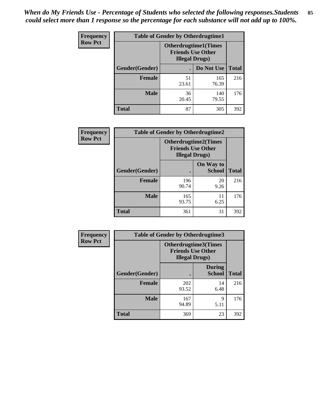| <b>Frequency</b> | <b>Table of Gender by Otherdrugtime1</b> |                                                    |                             |              |
|------------------|------------------------------------------|----------------------------------------------------|-----------------------------|--------------|
| <b>Row Pct</b>   |                                          | <b>Friends Use Other</b><br><b>Illegal Drugs</b> ) | <b>Otherdrugtime1(Times</b> |              |
|                  | Gender(Gender)                           |                                                    | Do Not Use                  | <b>Total</b> |
|                  | <b>Female</b>                            | 51<br>23.61                                        | 165<br>76.39                | 216          |
|                  | <b>Male</b>                              | 36<br>20.45                                        | 140<br>79.55                | 176          |
|                  | <b>Total</b>                             | 87                                                 | 305                         | 392          |

| Frequency      | <b>Table of Gender by Otherdrugtime2</b> |                                                                                   |                            |              |
|----------------|------------------------------------------|-----------------------------------------------------------------------------------|----------------------------|--------------|
| <b>Row Pct</b> |                                          | <b>Otherdrugtime2(Times</b><br><b>Friends Use Other</b><br><b>Illegal Drugs</b> ) |                            |              |
|                | Gender(Gender)                           |                                                                                   | On Way to<br><b>School</b> | <b>Total</b> |
|                | <b>Female</b>                            | 196<br>90.74                                                                      | 20<br>9.26                 | 216          |
|                | <b>Male</b>                              | 165<br>93.75                                                                      | 11<br>6.25                 | 176          |
|                | <b>Total</b>                             | 361                                                                               | 31                         | 392          |

| Frequency      | <b>Table of Gender by Otherdrugtime3</b> |                        |                                                         |              |
|----------------|------------------------------------------|------------------------|---------------------------------------------------------|--------------|
| <b>Row Pct</b> |                                          | <b>Illegal Drugs</b> ) | <b>Otherdrugtime3(Times</b><br><b>Friends Use Other</b> |              |
|                | Gender(Gender)                           |                        | <b>During</b><br><b>School</b>                          | <b>Total</b> |
|                | <b>Female</b>                            | 202<br>93.52           | 14<br>6.48                                              | 216          |
|                | <b>Male</b>                              | 167<br>94.89           | 9<br>5.11                                               | 176          |
|                | <b>Total</b>                             | 369                    | 23                                                      | 392          |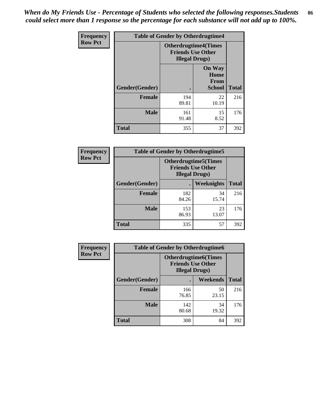*When do My Friends Use - Percentage of Students who selected the following responses.Students could select more than 1 response so the percentage for each substance will not add up to 100%.* **86**

| <b>Frequency</b> | <b>Table of Gender by Otherdrugtime4</b> |                                                                                   |                                                |              |
|------------------|------------------------------------------|-----------------------------------------------------------------------------------|------------------------------------------------|--------------|
| <b>Row Pct</b>   |                                          | <b>Otherdrugtime4(Times</b><br><b>Friends Use Other</b><br><b>Illegal Drugs</b> ) |                                                |              |
|                  | Gender(Gender)                           |                                                                                   | <b>On Way</b><br>Home<br>From<br><b>School</b> | <b>Total</b> |
|                  | Female                                   | 194<br>89.81                                                                      | 22<br>10.19                                    | 216          |
|                  | <b>Male</b>                              | 161<br>91.48                                                                      | 15<br>8.52                                     | 176          |
|                  | <b>Total</b>                             | 355                                                                               | 37                                             | 392          |

| Frequency      | <b>Table of Gender by Otherdrugtime5</b> |                                                                                    |             |              |
|----------------|------------------------------------------|------------------------------------------------------------------------------------|-------------|--------------|
| <b>Row Pct</b> |                                          | <b>Otherdrugtime5</b> (Times<br><b>Friends Use Other</b><br><b>Illegal Drugs</b> ) |             |              |
|                | Gender(Gender)                           |                                                                                    | Weeknights  | <b>Total</b> |
|                | <b>Female</b>                            | 182<br>84.26                                                                       | 34<br>15.74 | 216          |
|                | <b>Male</b>                              | 153<br>86.93                                                                       | 23<br>13.07 | 176          |
|                | <b>Total</b>                             | 335                                                                                | 57          | 392          |

| <b>Frequency</b> | <b>Table of Gender by Otherdrugtime6</b> |                                                                                   |             |              |
|------------------|------------------------------------------|-----------------------------------------------------------------------------------|-------------|--------------|
| <b>Row Pct</b>   |                                          | <b>Otherdrugtime6(Times</b><br><b>Friends Use Other</b><br><b>Illegal Drugs</b> ) |             |              |
|                  | Gender(Gender)                           |                                                                                   | Weekends    | <b>Total</b> |
|                  | <b>Female</b>                            | 166<br>76.85                                                                      | 50<br>23.15 | 216          |
|                  | <b>Male</b>                              | 142<br>80.68                                                                      | 34<br>19.32 | 176          |
|                  | <b>Total</b>                             | 308                                                                               | 84          | 392          |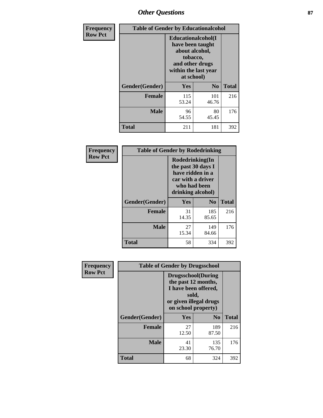# *Other Questions* **87**

| <b>Frequency</b> | <b>Table of Gender by Educationalcohol</b> |                                                                                                                                       |                |              |
|------------------|--------------------------------------------|---------------------------------------------------------------------------------------------------------------------------------------|----------------|--------------|
| <b>Row Pct</b>   |                                            | <b>Educationalcohol</b> (I<br>have been taught<br>about alcohol,<br>tobacco,<br>and other drugs<br>within the last year<br>at school) |                |              |
|                  | Gender(Gender)                             | <b>Yes</b>                                                                                                                            | N <sub>0</sub> | <b>Total</b> |
|                  | <b>Female</b>                              | 115<br>53.24                                                                                                                          | 101<br>46.76   | 216          |
|                  | <b>Male</b>                                | 96<br>54.55                                                                                                                           | 80<br>45.45    | 176          |
|                  | <b>Total</b>                               | 211                                                                                                                                   | 181            | 392          |

| Frequency      | <b>Table of Gender by Rodedrinking</b> |                                                                                                                     |                |              |
|----------------|----------------------------------------|---------------------------------------------------------------------------------------------------------------------|----------------|--------------|
| <b>Row Pct</b> |                                        | Rodedrinking(In<br>the past 30 days I<br>have ridden in a<br>car with a driver<br>who had been<br>drinking alcohol) |                |              |
|                | Gender(Gender)                         | Yes                                                                                                                 | N <sub>0</sub> | <b>Total</b> |
|                | <b>Female</b>                          | 31<br>14.35                                                                                                         | 185<br>85.65   | 216          |
|                | <b>Male</b>                            | 27<br>15.34                                                                                                         | 149<br>84.66   | 176          |
|                | <b>Total</b>                           | 58                                                                                                                  | 334            | 392          |

| Frequency      |                | <b>Table of Gender by Drugsschool</b>                                                                                               |                |              |  |
|----------------|----------------|-------------------------------------------------------------------------------------------------------------------------------------|----------------|--------------|--|
| <b>Row Pct</b> |                | <b>Drugsschool</b> (During<br>the past 12 months,<br>I have been offered,<br>sold,<br>or given illegal drugs<br>on school property) |                |              |  |
|                | Gender(Gender) | Yes                                                                                                                                 | N <sub>0</sub> | <b>Total</b> |  |
|                | <b>Female</b>  | 27<br>12.50                                                                                                                         | 189<br>87.50   | 216          |  |
|                | <b>Male</b>    | 41<br>23.30                                                                                                                         | 135<br>76.70   | 176          |  |
|                | <b>Total</b>   | 68                                                                                                                                  | 324            | 392          |  |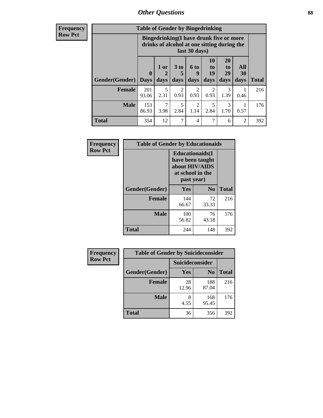## *Other Questions* **88**

**Frequency Row Pct**

| <b>Table of Gender by Bingedrinking</b> |                         |                                                                                                         |                        |                        |                        |                               |                   |              |
|-----------------------------------------|-------------------------|---------------------------------------------------------------------------------------------------------|------------------------|------------------------|------------------------|-------------------------------|-------------------|--------------|
|                                         |                         | Bingedrinking(I have drunk five or more<br>drinks of alcohol at one sitting during the<br>last 30 days) |                        |                        |                        |                               |                   |              |
| <b>Gender</b> (Gender)                  | $\bf{0}$<br><b>Days</b> | $1$ or<br>days                                                                                          | 3 to<br>5<br>days      | 6 to<br>9<br>days      | 10<br>to<br>19<br>days | <b>20</b><br>to<br>29<br>days | All<br>30<br>days | <b>Total</b> |
|                                         |                         |                                                                                                         |                        |                        |                        |                               |                   |              |
| <b>Female</b>                           | 201<br>93.06            | 5<br>2.31                                                                                               | $\overline{2}$<br>0.93 | 2<br>0.93              | 2<br>0.93              | 3<br>1.39                     | 0.46              | 216          |
| <b>Male</b>                             | 153<br>86.93            | 3.98                                                                                                    | 5<br>2.84              | $\mathfrak{D}$<br>1.14 | 5<br>2.84              | 3<br>1.70                     | 0.57              | 176          |

| Frequency      | <b>Table of Gender by Educationaids</b> |                                                                                                 |                |              |
|----------------|-----------------------------------------|-------------------------------------------------------------------------------------------------|----------------|--------------|
| <b>Row Pct</b> |                                         | <b>Educationaids</b> (I<br>have been taught<br>about HIV/AIDS<br>at school in the<br>past year) |                |              |
|                | Gender(Gender)                          | Yes                                                                                             | N <sub>0</sub> | <b>Total</b> |
|                | <b>Female</b>                           | 144<br>66.67                                                                                    | 72<br>33.33    | 216          |
|                | <b>Male</b>                             | 100<br>56.82                                                                                    | 76<br>43.18    | 176          |
|                | <b>Total</b>                            | 244                                                                                             | 148            | 392          |

| <b>Frequency</b> | <b>Table of Gender by Suicideconsider</b> |                 |                |              |  |
|------------------|-------------------------------------------|-----------------|----------------|--------------|--|
| <b>Row Pct</b>   |                                           | Suicideconsider |                |              |  |
|                  | Gender(Gender)                            | Yes             | N <sub>0</sub> | <b>Total</b> |  |
|                  | <b>Female</b>                             | 28<br>12.96     | 188<br>87.04   | 216          |  |
|                  | <b>Male</b>                               | 8<br>4.55       | 168<br>95.45   | 176          |  |
|                  | Total                                     | 36              | 356            | 392          |  |